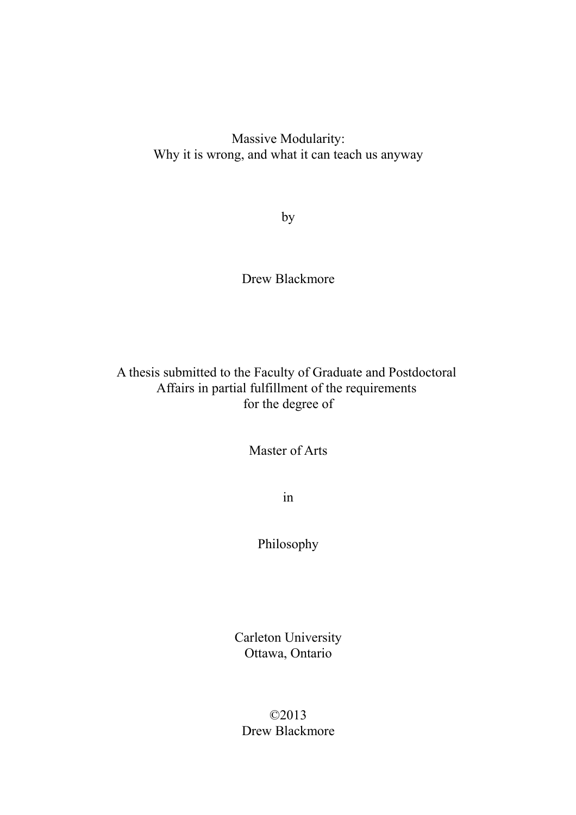Massive Modularity: Why it is wrong, and what it can teach us anyway

by

Drew Blackmore

A thesis submitted to the Faculty of Graduate and Postdoctoral Affairs in partial fulfillment of the requirements for the degree of

Master of Arts

in

Philosophy

Carleton University Ottawa, Ontario

©2013 Drew Blackmore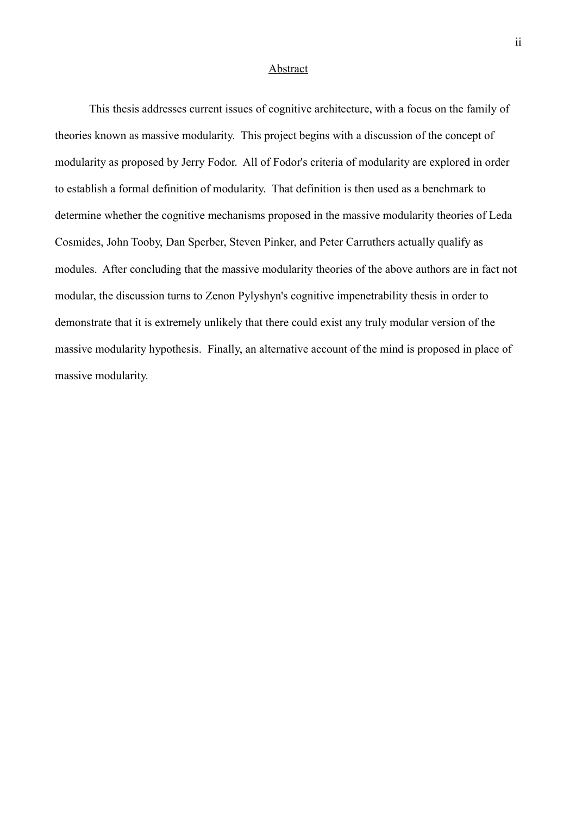# **Abstract**

This thesis addresses current issues of cognitive architecture, with a focus on the family of theories known as massive modularity. This project begins with a discussion of the concept of modularity as proposed by Jerry Fodor. All of Fodor's criteria of modularity are explored in order to establish a formal definition of modularity. That definition is then used as a benchmark to determine whether the cognitive mechanisms proposed in the massive modularity theories of Leda Cosmides, John Tooby, Dan Sperber, Steven Pinker, and Peter Carruthers actually qualify as modules. After concluding that the massive modularity theories of the above authors are in fact not modular, the discussion turns to Zenon Pylyshyn's cognitive impenetrability thesis in order to demonstrate that it is extremely unlikely that there could exist any truly modular version of the massive modularity hypothesis. Finally, an alternative account of the mind is proposed in place of massive modularity.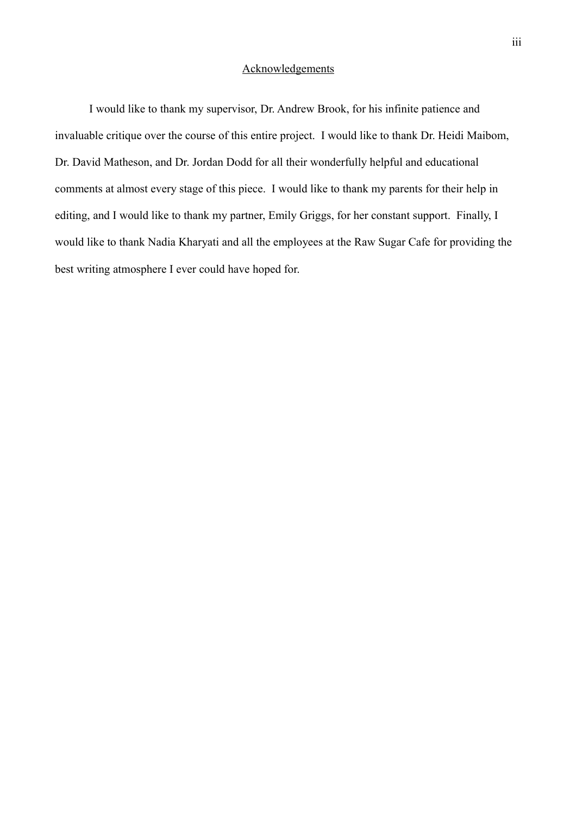## **Acknowledgements**

I would like to thank my supervisor, Dr. Andrew Brook, for his infinite patience and invaluable critique over the course of this entire project. I would like to thank Dr. Heidi Maibom, Dr. David Matheson, and Dr. Jordan Dodd for all their wonderfully helpful and educational comments at almost every stage of this piece. I would like to thank my parents for their help in editing, and I would like to thank my partner, Emily Griggs, for her constant support. Finally, I would like to thank Nadia Kharyati and all the employees at the Raw Sugar Cafe for providing the best writing atmosphere I ever could have hoped for.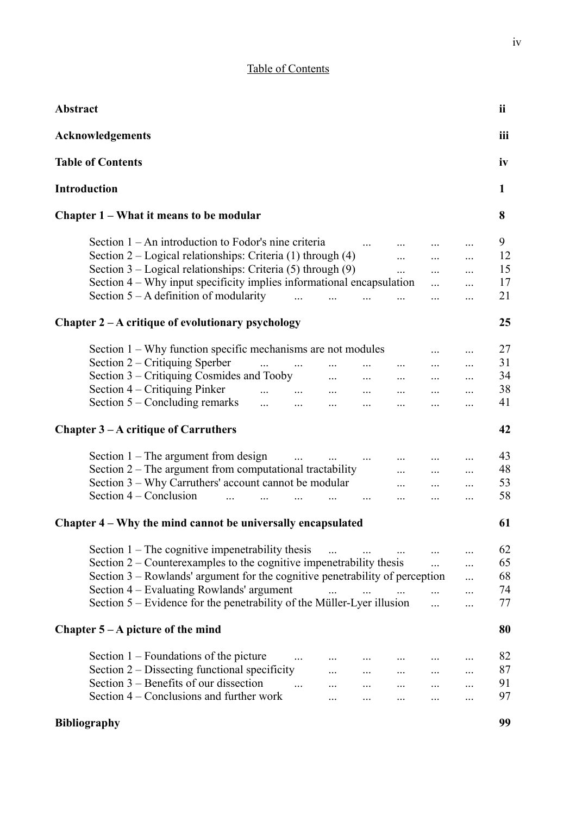|  | Table of Contents |
|--|-------------------|
|  |                   |

| Abstract                                                                                                                                                                                                                                                                                                                                                                                                                                                                 | ii                         |
|--------------------------------------------------------------------------------------------------------------------------------------------------------------------------------------------------------------------------------------------------------------------------------------------------------------------------------------------------------------------------------------------------------------------------------------------------------------------------|----------------------------|
| <b>Acknowledgements</b>                                                                                                                                                                                                                                                                                                                                                                                                                                                  | iii                        |
| <b>Table of Contents</b>                                                                                                                                                                                                                                                                                                                                                                                                                                                 | iv                         |
| <b>Introduction</b>                                                                                                                                                                                                                                                                                                                                                                                                                                                      | 1                          |
| Chapter 1 – What it means to be modular                                                                                                                                                                                                                                                                                                                                                                                                                                  | 8                          |
| Section $1 - An$ introduction to Fodor's nine criteria<br>$\sim$ $\sim$<br>Section $2 -$ Logical relationships: Criteria (1) through (4)<br>$\cdots$<br>$\ddotsc$<br>$\cdots$<br>Section $3 -$ Logical relationships: Criteria (5) through (9)<br>$\cdots$<br>$\cdots$<br>Section 4 – Why input specificity implies informational encapsulation<br>$\cdots$<br>$\ldots$<br>Section $5 - A$ definition of modularity<br>$\mathbf{r}$<br>$\cdots$<br>$\ddotsc$<br>$\cdots$ | 9<br>12<br>15<br>17<br>21  |
| Chapter 2 – A critique of evolutionary psychology                                                                                                                                                                                                                                                                                                                                                                                                                        | 25                         |
| Section 1 – Why function specific mechanisms are not modules<br>$\ldots$<br>Section 2 – Critiquing Sperber<br>$\cdots$<br>$\cdots$<br>Section 3 – Critiquing Cosmides and Tooby<br>$\cdots$<br>$\ldots$ . $\ldots$<br>$\cdots$<br>$\cdots$<br>Section 4 – Critiquing Pinker<br><u>and the second contract of the second second</u><br>$\cdots$<br>Section 5 – Concluding remarks<br>$\dddotsc$<br>$\cdots$                                                               | 27<br>31<br>34<br>38<br>41 |
| Chapter $3 - A$ critique of Carruthers                                                                                                                                                                                                                                                                                                                                                                                                                                   | 42                         |
| Section $1$ – The argument from design<br>$\cdots$ $\cdots$<br>$\sim$ $\sim$<br>$\cdots$<br>Section $2$ – The argument from computational tractability<br>$\ldots$<br>Section 3 – Why Carruthers' account cannot be modular<br>$\cdots$<br>$\cdots$<br><br>Section 4 – Conclusion<br>$\cdots$<br>$\ddots$<br>$\ldots$                                                                                                                                                    | 43<br>48<br>53<br>58       |
| Chapter 4 – Why the mind cannot be universally encapsulated                                                                                                                                                                                                                                                                                                                                                                                                              | 61                         |
| Section $1$ – The cognitive impenetrability thesis<br>$\ddotsc$<br>$\ldots$<br>Section 2 – Counterexamples to the cognitive imperetrability thesis<br>$\dddotsc$<br>.<br>Section 3 – Rowlands' argument for the cognitive penetrability of perception<br>.<br>Section 4 – Evaluating Rowlands' argument<br>$\cdots$ $\cdots$<br>$\cdots$<br>Section 5 – Evidence for the penetrability of the Müller-Lyer illusion<br>.                                                  | 62<br>65<br>68<br>74<br>77 |
| Chapter $5 - A$ picture of the mind                                                                                                                                                                                                                                                                                                                                                                                                                                      | 80                         |
| Section $1$ – Foundations of the picture<br>$\ddots$<br>Section 2 – Dissecting functional specificity<br>Section 3 – Benefits of our dissection<br>$\dddotsc$<br>$\ddotsc$<br>$\ldots$<br>Section 4 – Conclusions and further work<br>$\cdots$<br>$\ldots$<br>$\cdots$                                                                                                                                                                                                   | 82<br>87<br>91<br>97       |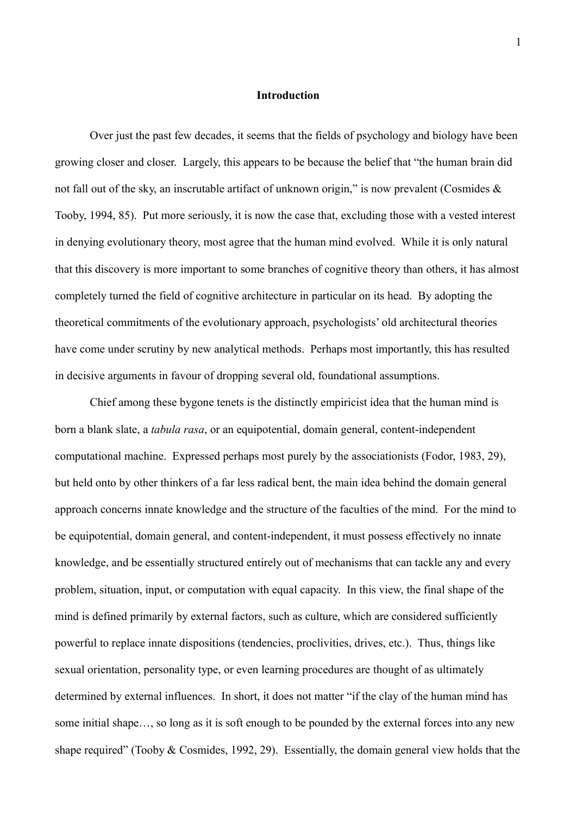## **Introduction**

Over just the past few decades, it seems that the fields of psychology and biology have been growing closer and closer. Largely, this appears to be because the belief that "the human brain did not fall out of the sky, an inscrutable artifact of unknown origin," is now prevalent (Cosmides & Tooby, 1994, 85). Put more seriously, it is now the case that, excluding those with a vested interest in denying evolutionary theory, most agree that the human mind evolved. While it is only natural that this discovery is more important to some branches of cognitive theory than others, it has almost completely turned the field of cognitive architecture in particular on its head. By adopting the theoretical commitments of the evolutionary approach, psychologists' old architectural theories have come under scrutiny by new analytical methods. Perhaps most importantly, this has resulted in decisive arguments in favour of dropping several old, foundational assumptions.

Chief among these bygone tenets is the distinctly empiricist idea that the human mind is born a blank slate, a *tabula rasa*, or an equipotential, domain general, content-independent computational machine. Expressed perhaps most purely by the associationists (Fodor, 1983, 29), but held onto by other thinkers of a far less radical bent, the main idea behind the domain general approach concerns innate knowledge and the structure of the faculties of the mind. For the mind to be equipotential, domain general, and content-independent, it must possess effectively no innate knowledge, and be essentially structured entirely out of mechanisms that can tackle any and every problem, situation, input, or computation with equal capacity. In this view, the final shape of the mind is defined primarily by external factors, such as culture, which are considered sufficiently powerful to replace innate dispositions (tendencies, proclivities, drives, etc.). Thus, things like sexual orientation, personality type, or even learning procedures are thought of as ultimately determined by external influences. In short, it does not matter "if the clay of the human mind has some initial shape…, so long as it is soft enough to be pounded by the external forces into any new shape required" (Tooby & Cosmides, 1992, 29). Essentially, the domain general view holds that the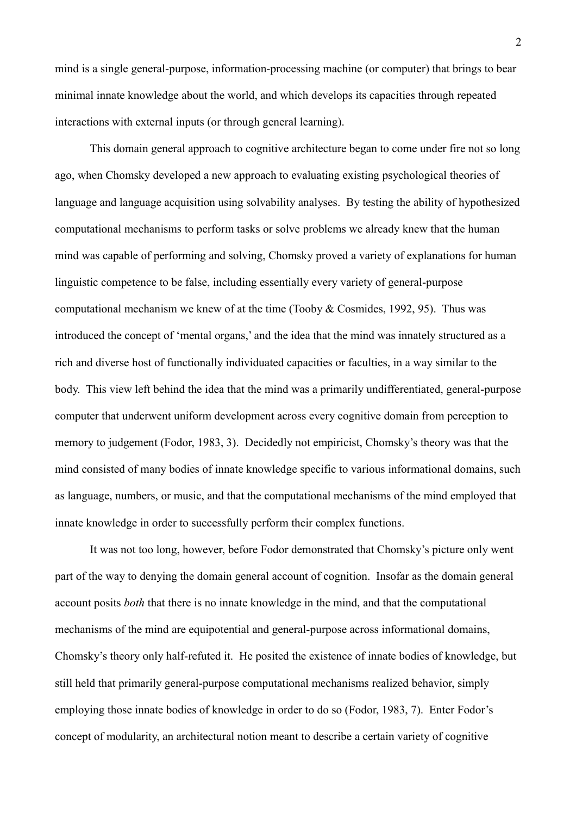mind is a single general-purpose, information-processing machine (or computer) that brings to bear minimal innate knowledge about the world, and which develops its capacities through repeated interactions with external inputs (or through general learning).

This domain general approach to cognitive architecture began to come under fire not so long ago, when Chomsky developed a new approach to evaluating existing psychological theories of language and language acquisition using solvability analyses. By testing the ability of hypothesized computational mechanisms to perform tasks or solve problems we already knew that the human mind was capable of performing and solving, Chomsky proved a variety of explanations for human linguistic competence to be false, including essentially every variety of general-purpose computational mechanism we knew of at the time (Tooby & Cosmides, 1992, 95). Thus was introduced the concept of 'mental organs,' and the idea that the mind was innately structured as a rich and diverse host of functionally individuated capacities or faculties, in a way similar to the body. This view left behind the idea that the mind was a primarily undifferentiated, general-purpose computer that underwent uniform development across every cognitive domain from perception to memory to judgement (Fodor, 1983, 3). Decidedly not empiricist, Chomsky's theory was that the mind consisted of many bodies of innate knowledge specific to various informational domains, such as language, numbers, or music, and that the computational mechanisms of the mind employed that innate knowledge in order to successfully perform their complex functions.

It was not too long, however, before Fodor demonstrated that Chomsky's picture only went part of the way to denying the domain general account of cognition. Insofar as the domain general account posits *both* that there is no innate knowledge in the mind, and that the computational mechanisms of the mind are equipotential and general-purpose across informational domains, Chomsky's theory only half-refuted it. He posited the existence of innate bodies of knowledge, but still held that primarily general-purpose computational mechanisms realized behavior, simply employing those innate bodies of knowledge in order to do so (Fodor, 1983, 7). Enter Fodor's concept of modularity, an architectural notion meant to describe a certain variety of cognitive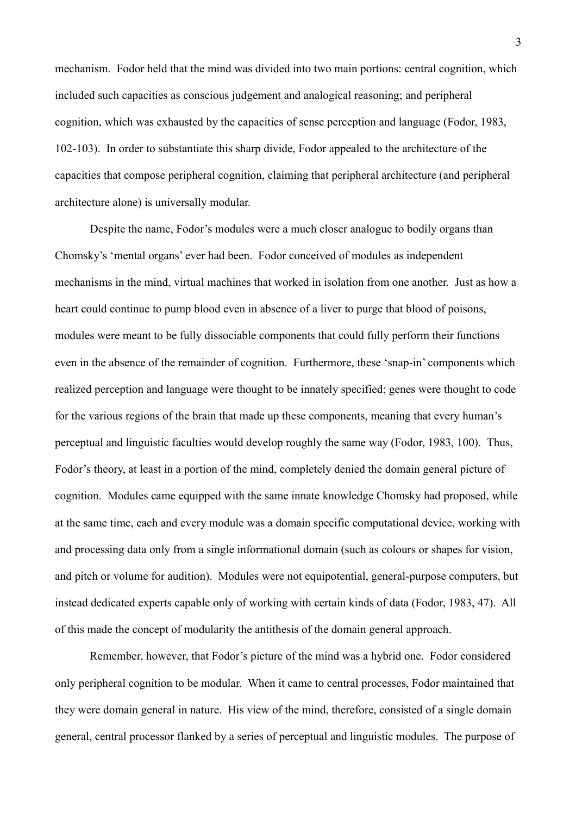mechanism. Fodor held that the mind was divided into two main portions: central cognition, which included such capacities as conscious judgement and analogical reasoning; and peripheral cognition, which was exhausted by the capacities of sense perception and language (Fodor, 1983, 102-103). In order to substantiate this sharp divide, Fodor appealed to the architecture of the capacities that compose peripheral cognition, claiming that peripheral architecture (and peripheral architecture alone) is universally modular.

Despite the name, Fodor's modules were a much closer analogue to bodily organs than Chomsky's 'mental organs' ever had been. Fodor conceived of modules as independent mechanisms in the mind, virtual machines that worked in isolation from one another. Just as how a heart could continue to pump blood even in absence of a liver to purge that blood of poisons, modules were meant to be fully dissociable components that could fully perform their functions even in the absence of the remainder of cognition. Furthermore, these 'snap-in' components which realized perception and language were thought to be innately specified; genes were thought to code for the various regions of the brain that made up these components, meaning that every human's perceptual and linguistic faculties would develop roughly the same way (Fodor, 1983, 100). Thus, Fodor's theory, at least in a portion of the mind, completely denied the domain general picture of cognition. Modules came equipped with the same innate knowledge Chomsky had proposed, while at the same time, each and every module was a domain specific computational device, working with and processing data only from a single informational domain (such as colours or shapes for vision, and pitch or volume for audition). Modules were not equipotential, general-purpose computers, but instead dedicated experts capable only of working with certain kinds of data (Fodor, 1983, 47). All of this made the concept of modularity the antithesis of the domain general approach.

Remember, however, that Fodor's picture of the mind was a hybrid one. Fodor considered only peripheral cognition to be modular. When it came to central processes, Fodor maintained that they were domain general in nature. His view of the mind, therefore, consisted of a single domain general, central processor flanked by a series of perceptual and linguistic modules. The purpose of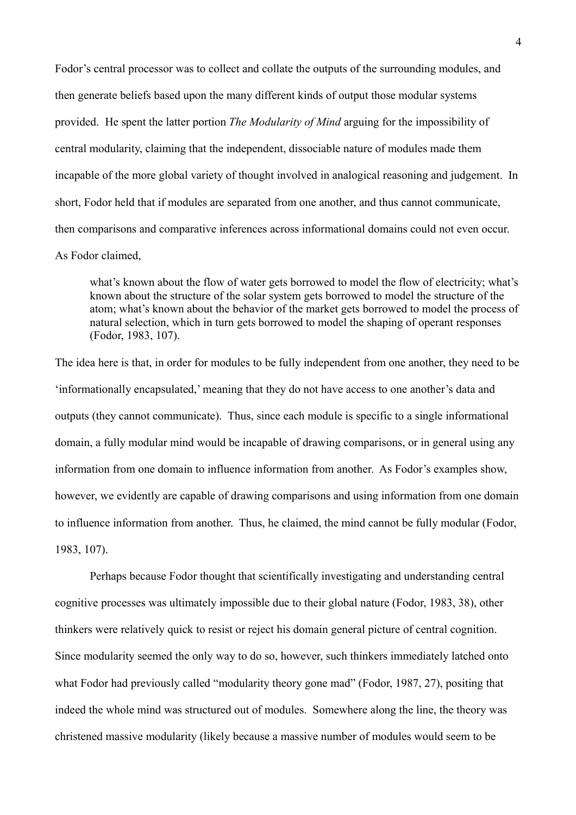Fodor's central processor was to collect and collate the outputs of the surrounding modules, and then generate beliefs based upon the many different kinds of output those modular systems provided. He spent the latter portion *The Modularity of Mind* arguing for the impossibility of central modularity, claiming that the independent, dissociable nature of modules made them incapable of the more global variety of thought involved in analogical reasoning and judgement. In short, Fodor held that if modules are separated from one another, and thus cannot communicate, then comparisons and comparative inferences across informational domains could not even occur. As Fodor claimed,

what's known about the flow of water gets borrowed to model the flow of electricity; what's known about the structure of the solar system gets borrowed to model the structure of the atom; what's known about the behavior of the market gets borrowed to model the process of natural selection, which in turn gets borrowed to model the shaping of operant responses (Fodor, 1983, 107).

The idea here is that, in order for modules to be fully independent from one another, they need to be 'informationally encapsulated,' meaning that they do not have access to one another's data and outputs (they cannot communicate). Thus, since each module is specific to a single informational domain, a fully modular mind would be incapable of drawing comparisons, or in general using any information from one domain to influence information from another. As Fodor's examples show, however, we evidently are capable of drawing comparisons and using information from one domain to influence information from another. Thus, he claimed, the mind cannot be fully modular (Fodor, 1983, 107).

Perhaps because Fodor thought that scientifically investigating and understanding central cognitive processes was ultimately impossible due to their global nature (Fodor, 1983, 38), other thinkers were relatively quick to resist or reject his domain general picture of central cognition. Since modularity seemed the only way to do so, however, such thinkers immediately latched onto what Fodor had previously called "modularity theory gone mad" (Fodor, 1987, 27), positing that indeed the whole mind was structured out of modules. Somewhere along the line, the theory was christened massive modularity (likely because a massive number of modules would seem to be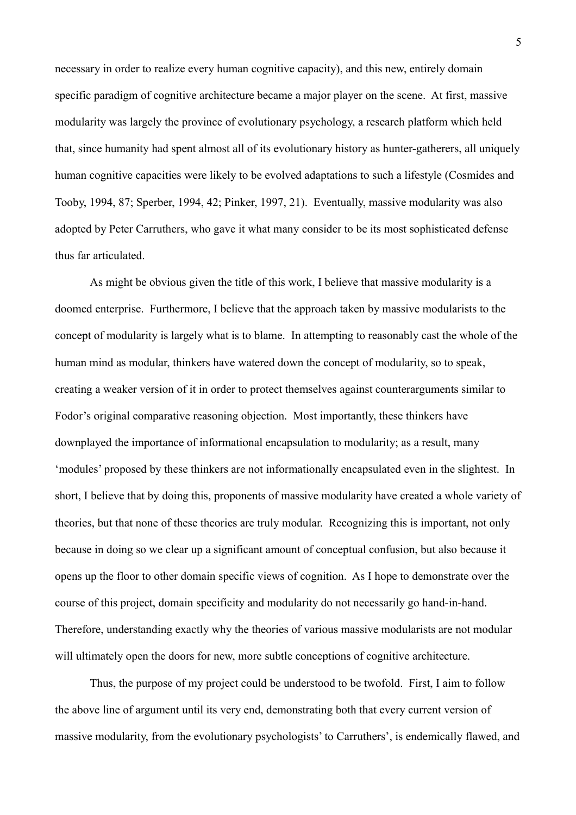necessary in order to realize every human cognitive capacity), and this new, entirely domain specific paradigm of cognitive architecture became a major player on the scene. At first, massive modularity was largely the province of evolutionary psychology, a research platform which held that, since humanity had spent almost all of its evolutionary history as hunter-gatherers, all uniquely human cognitive capacities were likely to be evolved adaptations to such a lifestyle (Cosmides and Tooby, 1994, 87; Sperber, 1994, 42; Pinker, 1997, 21). Eventually, massive modularity was also adopted by Peter Carruthers, who gave it what many consider to be its most sophisticated defense thus far articulated.

As might be obvious given the title of this work, I believe that massive modularity is a doomed enterprise. Furthermore, I believe that the approach taken by massive modularists to the concept of modularity is largely what is to blame. In attempting to reasonably cast the whole of the human mind as modular, thinkers have watered down the concept of modularity, so to speak, creating a weaker version of it in order to protect themselves against counterarguments similar to Fodor's original comparative reasoning objection. Most importantly, these thinkers have downplayed the importance of informational encapsulation to modularity; as a result, many 'modules' proposed by these thinkers are not informationally encapsulated even in the slightest. In short, I believe that by doing this, proponents of massive modularity have created a whole variety of theories, but that none of these theories are truly modular. Recognizing this is important, not only because in doing so we clear up a significant amount of conceptual confusion, but also because it opens up the floor to other domain specific views of cognition. As I hope to demonstrate over the course of this project, domain specificity and modularity do not necessarily go hand-in-hand. Therefore, understanding exactly why the theories of various massive modularists are not modular will ultimately open the doors for new, more subtle conceptions of cognitive architecture.

Thus, the purpose of my project could be understood to be twofold. First, I aim to follow the above line of argument until its very end, demonstrating both that every current version of massive modularity, from the evolutionary psychologists' to Carruthers', is endemically flawed, and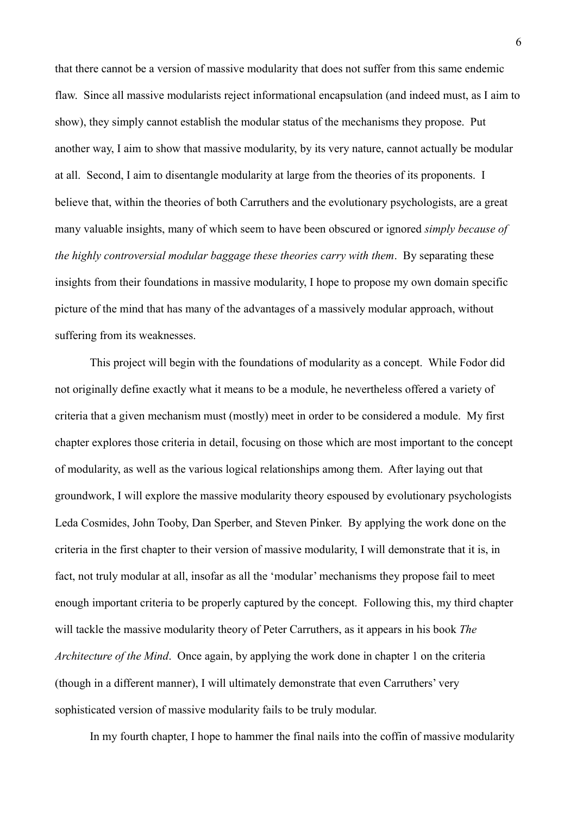that there cannot be a version of massive modularity that does not suffer from this same endemic flaw. Since all massive modularists reject informational encapsulation (and indeed must, as I aim to show), they simply cannot establish the modular status of the mechanisms they propose. Put another way, I aim to show that massive modularity, by its very nature, cannot actually be modular at all. Second, I aim to disentangle modularity at large from the theories of its proponents. I believe that, within the theories of both Carruthers and the evolutionary psychologists, are a great many valuable insights, many of which seem to have been obscured or ignored *simply because of the highly controversial modular baggage these theories carry with them*. By separating these insights from their foundations in massive modularity, I hope to propose my own domain specific picture of the mind that has many of the advantages of a massively modular approach, without suffering from its weaknesses.

This project will begin with the foundations of modularity as a concept. While Fodor did not originally define exactly what it means to be a module, he nevertheless offered a variety of criteria that a given mechanism must (mostly) meet in order to be considered a module. My first chapter explores those criteria in detail, focusing on those which are most important to the concept of modularity, as well as the various logical relationships among them. After laying out that groundwork, I will explore the massive modularity theory espoused by evolutionary psychologists Leda Cosmides, John Tooby, Dan Sperber, and Steven Pinker. By applying the work done on the criteria in the first chapter to their version of massive modularity, I will demonstrate that it is, in fact, not truly modular at all, insofar as all the 'modular' mechanisms they propose fail to meet enough important criteria to be properly captured by the concept. Following this, my third chapter will tackle the massive modularity theory of Peter Carruthers, as it appears in his book *The Architecture of the Mind*. Once again, by applying the work done in chapter 1 on the criteria (though in a different manner), I will ultimately demonstrate that even Carruthers' very sophisticated version of massive modularity fails to be truly modular.

In my fourth chapter, I hope to hammer the final nails into the coffin of massive modularity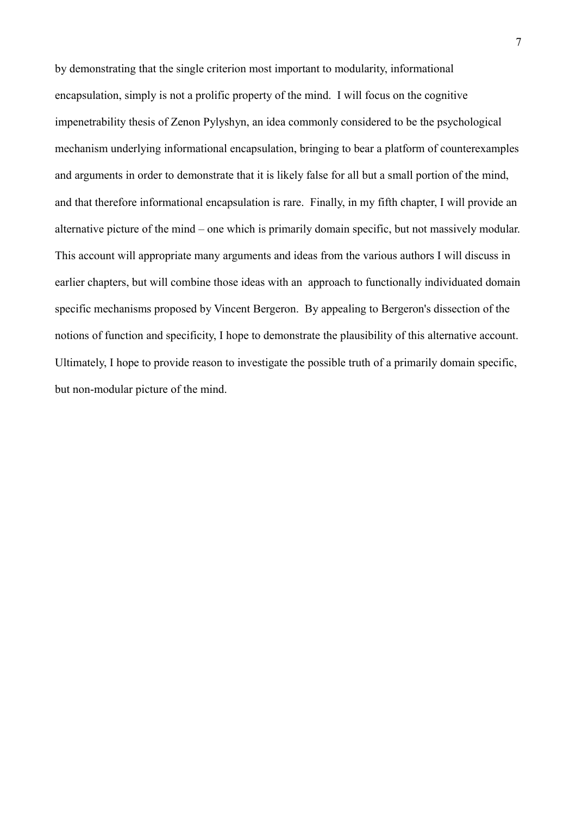by demonstrating that the single criterion most important to modularity, informational encapsulation, simply is not a prolific property of the mind. I will focus on the cognitive impenetrability thesis of Zenon Pylyshyn, an idea commonly considered to be the psychological mechanism underlying informational encapsulation, bringing to bear a platform of counterexamples and arguments in order to demonstrate that it is likely false for all but a small portion of the mind, and that therefore informational encapsulation is rare. Finally, in my fifth chapter, I will provide an alternative picture of the mind – one which is primarily domain specific, but not massively modular. This account will appropriate many arguments and ideas from the various authors I will discuss in earlier chapters, but will combine those ideas with an approach to functionally individuated domain specific mechanisms proposed by Vincent Bergeron. By appealing to Bergeron's dissection of the notions of function and specificity, I hope to demonstrate the plausibility of this alternative account. Ultimately, I hope to provide reason to investigate the possible truth of a primarily domain specific, but non-modular picture of the mind.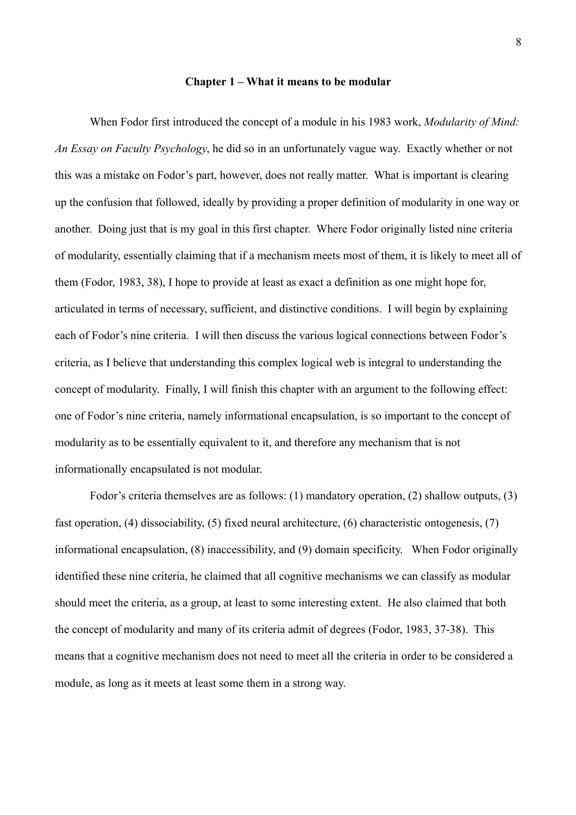#### **Chapter 1 – What it means to be modular**

When Fodor first introduced the concept of a module in his 1983 work, *Modularity of Mind: An Essay on Faculty Psychology*, he did so in an unfortunately vague way. Exactly whether or not this was a mistake on Fodor's part, however, does not really matter. What is important is clearing up the confusion that followed, ideally by providing a proper definition of modularity in one way or another. Doing just that is my goal in this first chapter. Where Fodor originally listed nine criteria of modularity, essentially claiming that if a mechanism meets most of them, it is likely to meet all of them (Fodor, 1983, 38), I hope to provide at least as exact a definition as one might hope for, articulated in terms of necessary, sufficient, and distinctive conditions. I will begin by explaining each of Fodor's nine criteria. I will then discuss the various logical connections between Fodor's criteria, as I believe that understanding this complex logical web is integral to understanding the concept of modularity. Finally, I will finish this chapter with an argument to the following effect: one of Fodor's nine criteria, namely informational encapsulation, is so important to the concept of modularity as to be essentially equivalent to it, and therefore any mechanism that is not informationally encapsulated is not modular.

Fodor's criteria themselves are as follows: (1) mandatory operation, (2) shallow outputs, (3) fast operation, (4) dissociability, (5) fixed neural architecture, (6) characteristic ontogenesis, (7) informational encapsulation, (8) inaccessibility, and (9) domain specificity. When Fodor originally identified these nine criteria, he claimed that all cognitive mechanisms we can classify as modular should meet the criteria, as a group, at least to some interesting extent. He also claimed that both the concept of modularity and many of its criteria admit of degrees (Fodor, 1983, 37-38). This means that a cognitive mechanism does not need to meet all the criteria in order to be considered a module, as long as it meets at least some them in a strong way.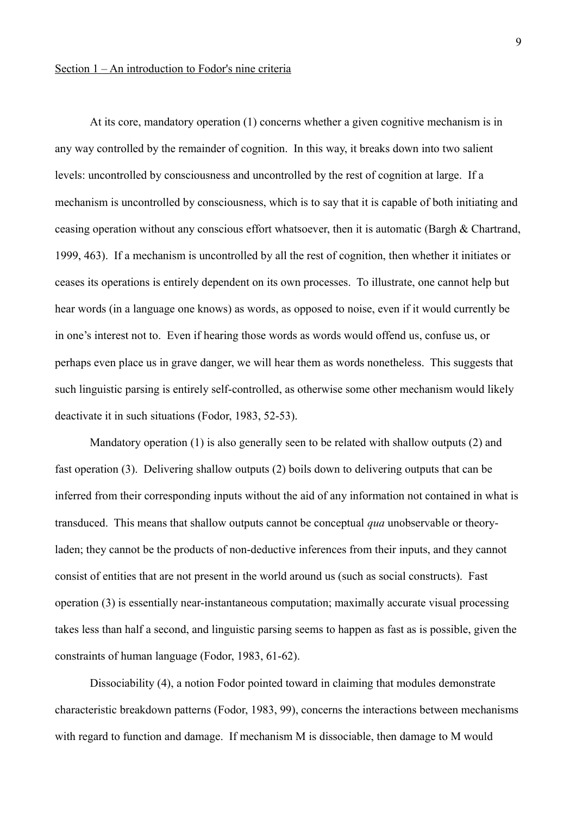At its core, mandatory operation (1) concerns whether a given cognitive mechanism is in any way controlled by the remainder of cognition. In this way, it breaks down into two salient levels: uncontrolled by consciousness and uncontrolled by the rest of cognition at large. If a mechanism is uncontrolled by consciousness, which is to say that it is capable of both initiating and ceasing operation without any conscious effort whatsoever, then it is automatic (Bargh & Chartrand, 1999, 463). If a mechanism is uncontrolled by all the rest of cognition, then whether it initiates or ceases its operations is entirely dependent on its own processes. To illustrate, one cannot help but hear words (in a language one knows) as words, as opposed to noise, even if it would currently be in one's interest not to. Even if hearing those words as words would offend us, confuse us, or perhaps even place us in grave danger, we will hear them as words nonetheless. This suggests that such linguistic parsing is entirely self-controlled, as otherwise some other mechanism would likely deactivate it in such situations (Fodor, 1983, 52-53).

Mandatory operation (1) is also generally seen to be related with shallow outputs (2) and fast operation (3). Delivering shallow outputs (2) boils down to delivering outputs that can be inferred from their corresponding inputs without the aid of any information not contained in what is transduced. This means that shallow outputs cannot be conceptual *qua* unobservable or theoryladen; they cannot be the products of non-deductive inferences from their inputs, and they cannot consist of entities that are not present in the world around us (such as social constructs). Fast operation (3) is essentially near-instantaneous computation; maximally accurate visual processing takes less than half a second, and linguistic parsing seems to happen as fast as is possible, given the constraints of human language (Fodor, 1983, 61-62).

Dissociability (4), a notion Fodor pointed toward in claiming that modules demonstrate characteristic breakdown patterns (Fodor, 1983, 99), concerns the interactions between mechanisms with regard to function and damage. If mechanism M is dissociable, then damage to M would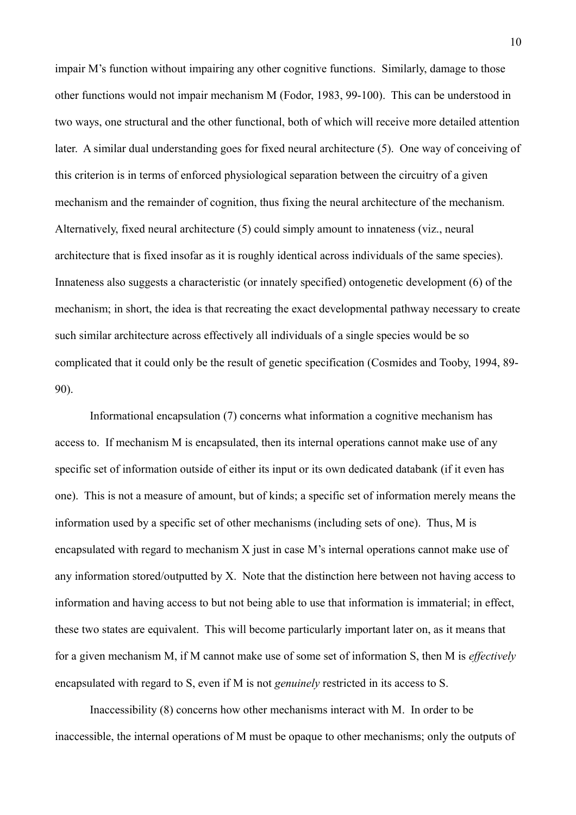impair M's function without impairing any other cognitive functions. Similarly, damage to those other functions would not impair mechanism M (Fodor, 1983, 99-100). This can be understood in two ways, one structural and the other functional, both of which will receive more detailed attention later. A similar dual understanding goes for fixed neural architecture (5). One way of conceiving of this criterion is in terms of enforced physiological separation between the circuitry of a given mechanism and the remainder of cognition, thus fixing the neural architecture of the mechanism. Alternatively, fixed neural architecture (5) could simply amount to innateness (viz., neural architecture that is fixed insofar as it is roughly identical across individuals of the same species). Innateness also suggests a characteristic (or innately specified) ontogenetic development (6) of the mechanism; in short, the idea is that recreating the exact developmental pathway necessary to create such similar architecture across effectively all individuals of a single species would be so complicated that it could only be the result of genetic specification (Cosmides and Tooby, 1994, 89- 90).

Informational encapsulation (7) concerns what information a cognitive mechanism has access to. If mechanism M is encapsulated, then its internal operations cannot make use of any specific set of information outside of either its input or its own dedicated databank (if it even has one). This is not a measure of amount, but of kinds; a specific set of information merely means the information used by a specific set of other mechanisms (including sets of one). Thus, M is encapsulated with regard to mechanism X just in case M's internal operations cannot make use of any information stored/outputted by X. Note that the distinction here between not having access to information and having access to but not being able to use that information is immaterial; in effect, these two states are equivalent. This will become particularly important later on, as it means that for a given mechanism M, if M cannot make use of some set of information S, then M is *effectively* encapsulated with regard to S, even if M is not *genuinely* restricted in its access to S.

Inaccessibility (8) concerns how other mechanisms interact with M. In order to be inaccessible, the internal operations of M must be opaque to other mechanisms; only the outputs of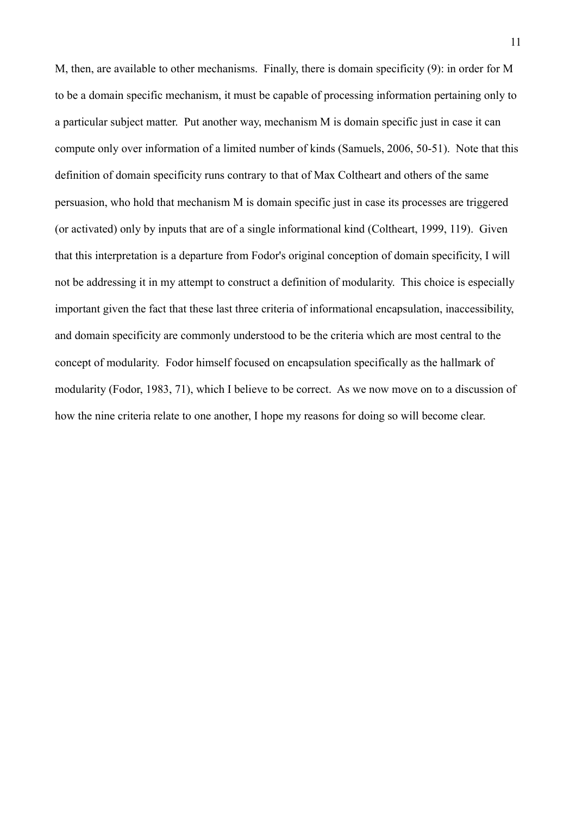M, then, are available to other mechanisms. Finally, there is domain specificity (9): in order for M to be a domain specific mechanism, it must be capable of processing information pertaining only to a particular subject matter. Put another way, mechanism M is domain specific just in case it can compute only over information of a limited number of kinds (Samuels, 2006, 50-51). Note that this definition of domain specificity runs contrary to that of Max Coltheart and others of the same persuasion, who hold that mechanism M is domain specific just in case its processes are triggered (or activated) only by inputs that are of a single informational kind (Coltheart, 1999, 119). Given that this interpretation is a departure from Fodor's original conception of domain specificity, I will not be addressing it in my attempt to construct a definition of modularity. This choice is especially important given the fact that these last three criteria of informational encapsulation, inaccessibility, and domain specificity are commonly understood to be the criteria which are most central to the concept of modularity. Fodor himself focused on encapsulation specifically as the hallmark of modularity (Fodor, 1983, 71), which I believe to be correct. As we now move on to a discussion of how the nine criteria relate to one another, I hope my reasons for doing so will become clear.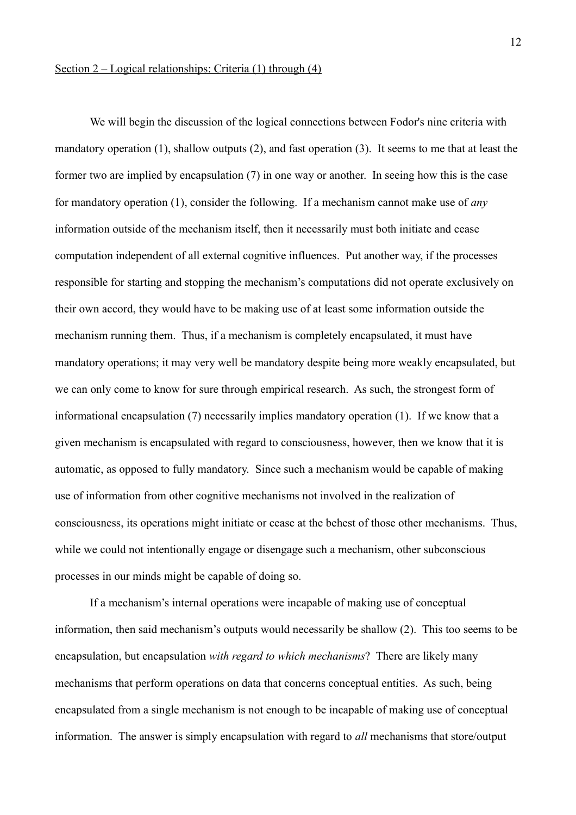## Section 2 – Logical relationships: Criteria (1) through (4)

We will begin the discussion of the logical connections between Fodor's nine criteria with mandatory operation (1), shallow outputs (2), and fast operation (3). It seems to me that at least the former two are implied by encapsulation (7) in one way or another. In seeing how this is the case for mandatory operation (1), consider the following. If a mechanism cannot make use of *any* information outside of the mechanism itself, then it necessarily must both initiate and cease computation independent of all external cognitive influences. Put another way, if the processes responsible for starting and stopping the mechanism's computations did not operate exclusively on their own accord, they would have to be making use of at least some information outside the mechanism running them. Thus, if a mechanism is completely encapsulated, it must have mandatory operations; it may very well be mandatory despite being more weakly encapsulated, but we can only come to know for sure through empirical research. As such, the strongest form of informational encapsulation (7) necessarily implies mandatory operation (1). If we know that a given mechanism is encapsulated with regard to consciousness, however, then we know that it is automatic, as opposed to fully mandatory. Since such a mechanism would be capable of making use of information from other cognitive mechanisms not involved in the realization of consciousness, its operations might initiate or cease at the behest of those other mechanisms. Thus, while we could not intentionally engage or disengage such a mechanism, other subconscious processes in our minds might be capable of doing so.

If a mechanism's internal operations were incapable of making use of conceptual information, then said mechanism's outputs would necessarily be shallow (2). This too seems to be encapsulation, but encapsulation *with regard to which mechanisms*? There are likely many mechanisms that perform operations on data that concerns conceptual entities. As such, being encapsulated from a single mechanism is not enough to be incapable of making use of conceptual information. The answer is simply encapsulation with regard to *all* mechanisms that store/output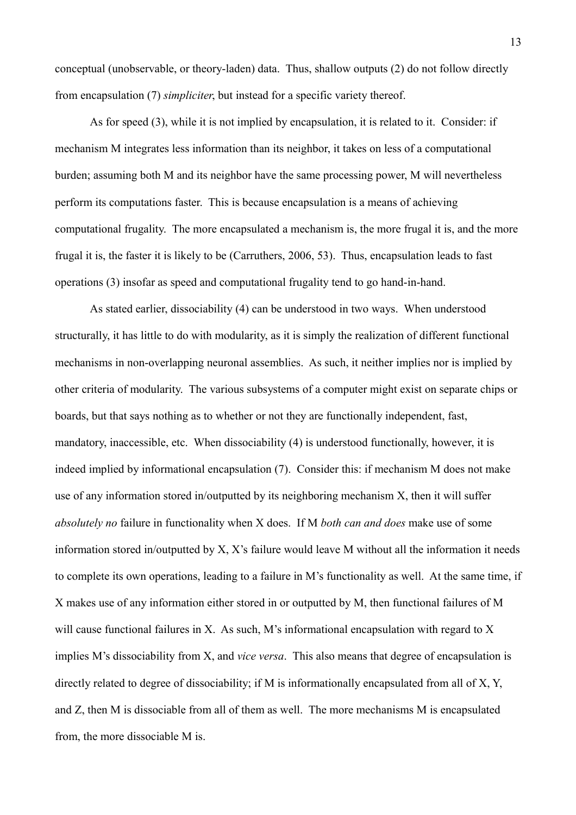conceptual (unobservable, or theory-laden) data. Thus, shallow outputs (2) do not follow directly from encapsulation (7) *simpliciter*, but instead for a specific variety thereof.

As for speed (3), while it is not implied by encapsulation, it is related to it. Consider: if mechanism M integrates less information than its neighbor, it takes on less of a computational burden; assuming both M and its neighbor have the same processing power, M will nevertheless perform its computations faster. This is because encapsulation is a means of achieving computational frugality. The more encapsulated a mechanism is, the more frugal it is, and the more frugal it is, the faster it is likely to be (Carruthers, 2006, 53). Thus, encapsulation leads to fast operations (3) insofar as speed and computational frugality tend to go hand-in-hand.

As stated earlier, dissociability (4) can be understood in two ways. When understood structurally, it has little to do with modularity, as it is simply the realization of different functional mechanisms in non-overlapping neuronal assemblies. As such, it neither implies nor is implied by other criteria of modularity. The various subsystems of a computer might exist on separate chips or boards, but that says nothing as to whether or not they are functionally independent, fast, mandatory, inaccessible, etc. When dissociability (4) is understood functionally, however, it is indeed implied by informational encapsulation (7). Consider this: if mechanism M does not make use of any information stored in/outputted by its neighboring mechanism X, then it will suffer *absolutely no* failure in functionality when X does. If M *both can and does* make use of some information stored in/outputted by X, X's failure would leave M without all the information it needs to complete its own operations, leading to a failure in M's functionality as well. At the same time, if X makes use of any information either stored in or outputted by M, then functional failures of M will cause functional failures in X. As such, M's informational encapsulation with regard to X implies M's dissociability from X, and *vice versa*. This also means that degree of encapsulation is directly related to degree of dissociability; if M is informationally encapsulated from all of X, Y, and Z, then M is dissociable from all of them as well. The more mechanisms M is encapsulated from, the more dissociable M is.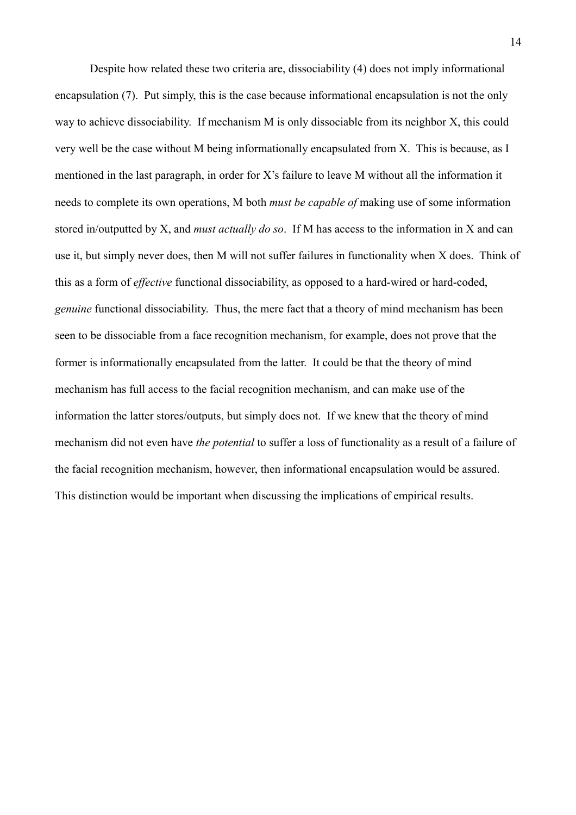Despite how related these two criteria are, dissociability (4) does not imply informational encapsulation (7). Put simply, this is the case because informational encapsulation is not the only way to achieve dissociability. If mechanism M is only dissociable from its neighbor X, this could very well be the case without M being informationally encapsulated from X. This is because, as I mentioned in the last paragraph, in order for X's failure to leave M without all the information it needs to complete its own operations, M both *must be capable of* making use of some information stored in/outputted by X, and *must actually do so*. If M has access to the information in X and can use it, but simply never does, then M will not suffer failures in functionality when X does. Think of this as a form of *effective* functional dissociability, as opposed to a hard-wired or hard-coded, *genuine* functional dissociability. Thus, the mere fact that a theory of mind mechanism has been seen to be dissociable from a face recognition mechanism, for example, does not prove that the former is informationally encapsulated from the latter. It could be that the theory of mind mechanism has full access to the facial recognition mechanism, and can make use of the information the latter stores/outputs, but simply does not. If we knew that the theory of mind mechanism did not even have *the potential* to suffer a loss of functionality as a result of a failure of the facial recognition mechanism, however, then informational encapsulation would be assured. This distinction would be important when discussing the implications of empirical results.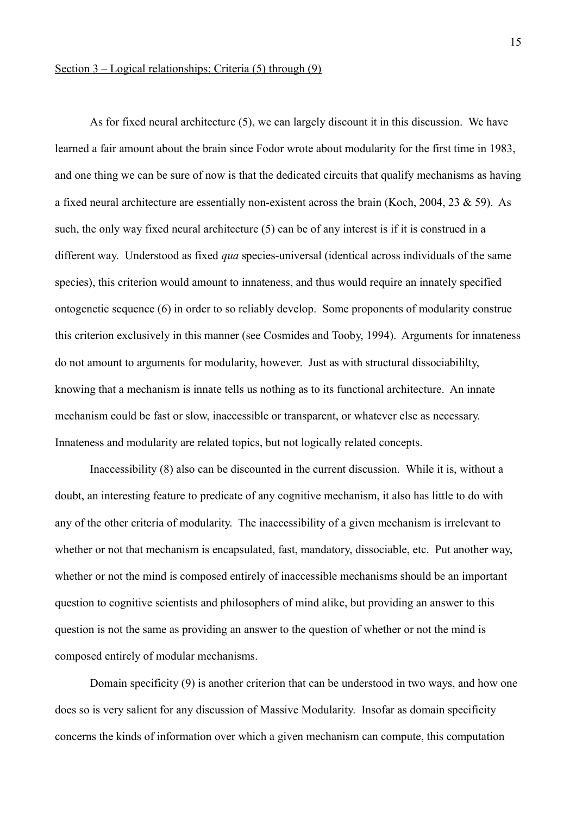## Section 3 – Logical relationships: Criteria (5) through (9)

As for fixed neural architecture (5), we can largely discount it in this discussion. We have learned a fair amount about the brain since Fodor wrote about modularity for the first time in 1983, and one thing we can be sure of now is that the dedicated circuits that qualify mechanisms as having a fixed neural architecture are essentially non-existent across the brain (Koch, 2004, 23 & 59). As such, the only way fixed neural architecture (5) can be of any interest is if it is construed in a different way. Understood as fixed *qua* species-universal (identical across individuals of the same species), this criterion would amount to innateness, and thus would require an innately specified ontogenetic sequence (6) in order to so reliably develop. Some proponents of modularity construe this criterion exclusively in this manner (see Cosmides and Tooby, 1994). Arguments for innateness do not amount to arguments for modularity, however. Just as with structural dissociabililty, knowing that a mechanism is innate tells us nothing as to its functional architecture. An innate mechanism could be fast or slow, inaccessible or transparent, or whatever else as necessary. Innateness and modularity are related topics, but not logically related concepts.

Inaccessibility (8) also can be discounted in the current discussion. While it is, without a doubt, an interesting feature to predicate of any cognitive mechanism, it also has little to do with any of the other criteria of modularity. The inaccessibility of a given mechanism is irrelevant to whether or not that mechanism is encapsulated, fast, mandatory, dissociable, etc. Put another way, whether or not the mind is composed entirely of inaccessible mechanisms should be an important question to cognitive scientists and philosophers of mind alike, but providing an answer to this question is not the same as providing an answer to the question of whether or not the mind is composed entirely of modular mechanisms.

Domain specificity (9) is another criterion that can be understood in two ways, and how one does so is very salient for any discussion of Massive Modularity. Insofar as domain specificity concerns the kinds of information over which a given mechanism can compute, this computation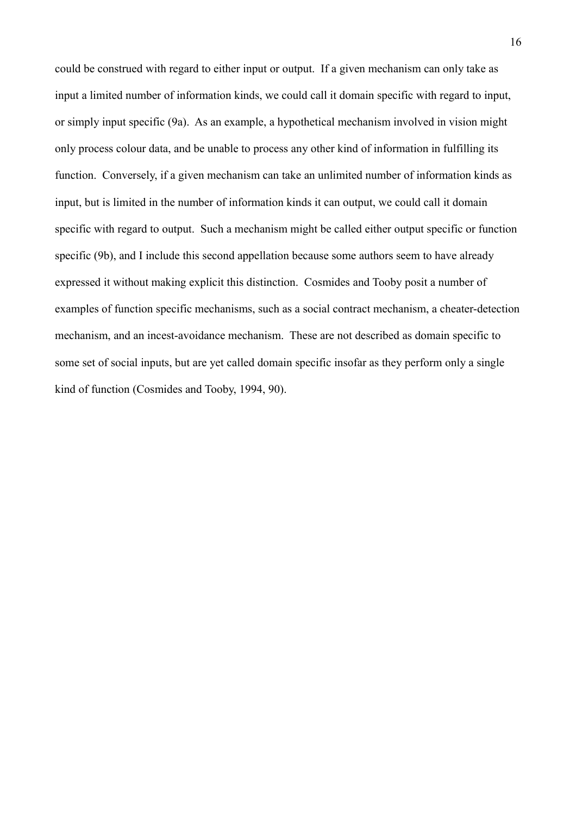could be construed with regard to either input or output. If a given mechanism can only take as input a limited number of information kinds, we could call it domain specific with regard to input, or simply input specific (9a). As an example, a hypothetical mechanism involved in vision might only process colour data, and be unable to process any other kind of information in fulfilling its function. Conversely, if a given mechanism can take an unlimited number of information kinds as input, but is limited in the number of information kinds it can output, we could call it domain specific with regard to output. Such a mechanism might be called either output specific or function specific (9b), and I include this second appellation because some authors seem to have already expressed it without making explicit this distinction. Cosmides and Tooby posit a number of examples of function specific mechanisms, such as a social contract mechanism, a cheater-detection mechanism, and an incest-avoidance mechanism. These are not described as domain specific to some set of social inputs, but are yet called domain specific insofar as they perform only a single kind of function (Cosmides and Tooby, 1994, 90).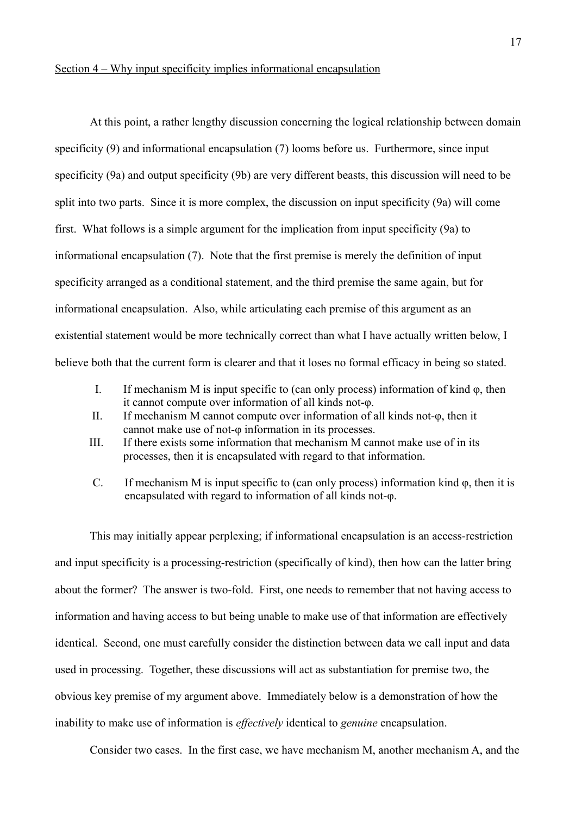## Section 4 – Why input specificity implies informational encapsulation

At this point, a rather lengthy discussion concerning the logical relationship between domain specificity (9) and informational encapsulation (7) looms before us. Furthermore, since input specificity (9a) and output specificity (9b) are very different beasts, this discussion will need to be split into two parts. Since it is more complex, the discussion on input specificity (9a) will come first. What follows is a simple argument for the implication from input specificity (9a) to informational encapsulation (7). Note that the first premise is merely the definition of input specificity arranged as a conditional statement, and the third premise the same again, but for informational encapsulation. Also, while articulating each premise of this argument as an existential statement would be more technically correct than what I have actually written below, I believe both that the current form is clearer and that it loses no formal efficacy in being so stated.

- I. If mechanism M is input specific to (can only process) information of kind  $\varphi$ , then it cannot compute over information of all kinds not-φ.
- II. If mechanism M cannot compute over information of all kinds not-φ, then it cannot make use of not-φ information in its processes.
- III. If there exists some information that mechanism M cannot make use of in its processes, then it is encapsulated with regard to that information.
- C. If mechanism M is input specific to (can only process) information kind φ, then it is encapsulated with regard to information of all kinds not-φ.

This may initially appear perplexing; if informational encapsulation is an access-restriction and input specificity is a processing-restriction (specifically of kind), then how can the latter bring about the former? The answer is two-fold. First, one needs to remember that not having access to information and having access to but being unable to make use of that information are effectively identical. Second, one must carefully consider the distinction between data we call input and data used in processing. Together, these discussions will act as substantiation for premise two, the obvious key premise of my argument above. Immediately below is a demonstration of how the inability to make use of information is *effectively* identical to *genuine* encapsulation.

Consider two cases. In the first case, we have mechanism M, another mechanism A, and the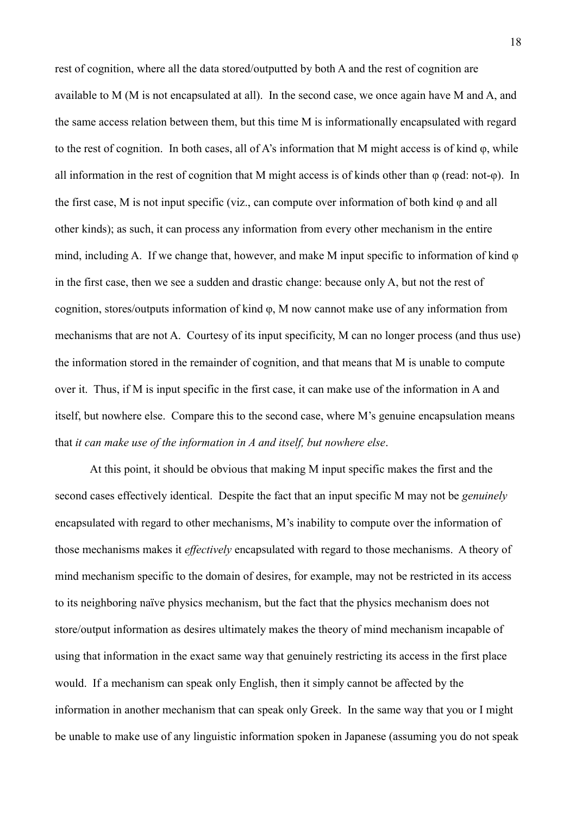rest of cognition, where all the data stored/outputted by both A and the rest of cognition are available to M (M is not encapsulated at all). In the second case, we once again have M and A, and the same access relation between them, but this time M is informationally encapsulated with regard to the rest of cognition. In both cases, all of A's information that M might access is of kind φ, while all information in the rest of cognition that M might access is of kinds other than φ (read: not-φ). In the first case, M is not input specific (viz., can compute over information of both kind φ and all other kinds); as such, it can process any information from every other mechanism in the entire mind, including A. If we change that, however, and make M input specific to information of kind φ in the first case, then we see a sudden and drastic change: because only A, but not the rest of cognition, stores/outputs information of kind φ, M now cannot make use of any information from mechanisms that are not A. Courtesy of its input specificity, M can no longer process (and thus use) the information stored in the remainder of cognition, and that means that M is unable to compute over it. Thus, if M is input specific in the first case, it can make use of the information in A and itself, but nowhere else. Compare this to the second case, where M's genuine encapsulation means that *it can make use of the information in A and itself, but nowhere else*.

At this point, it should be obvious that making M input specific makes the first and the second cases effectively identical. Despite the fact that an input specific M may not be *genuinely*  encapsulated with regard to other mechanisms, M's inability to compute over the information of those mechanisms makes it *effectively* encapsulated with regard to those mechanisms. A theory of mind mechanism specific to the domain of desires, for example, may not be restricted in its access to its neighboring naïve physics mechanism, but the fact that the physics mechanism does not store/output information as desires ultimately makes the theory of mind mechanism incapable of using that information in the exact same way that genuinely restricting its access in the first place would. If a mechanism can speak only English, then it simply cannot be affected by the information in another mechanism that can speak only Greek. In the same way that you or I might be unable to make use of any linguistic information spoken in Japanese (assuming you do not speak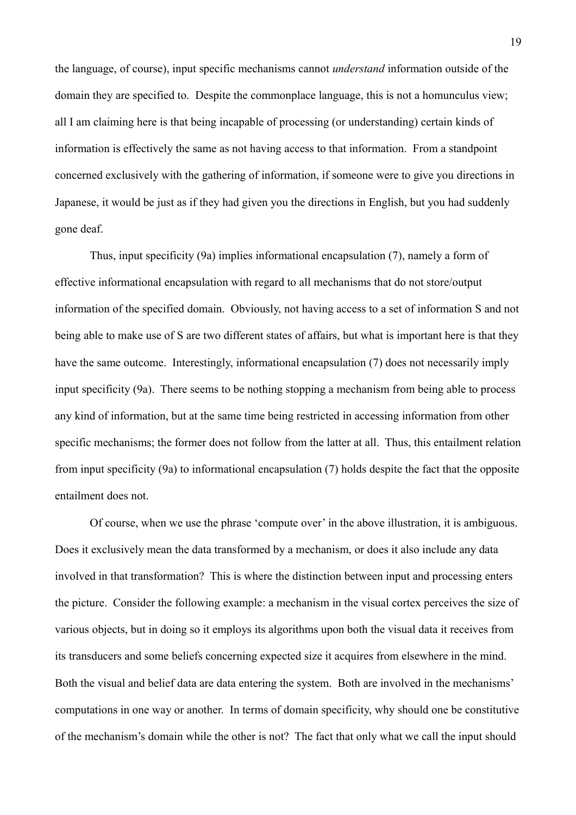the language, of course), input specific mechanisms cannot *understand* information outside of the domain they are specified to. Despite the commonplace language, this is not a homunculus view; all I am claiming here is that being incapable of processing (or understanding) certain kinds of information is effectively the same as not having access to that information. From a standpoint concerned exclusively with the gathering of information, if someone were to give you directions in Japanese, it would be just as if they had given you the directions in English, but you had suddenly gone deaf.

Thus, input specificity (9a) implies informational encapsulation (7), namely a form of effective informational encapsulation with regard to all mechanisms that do not store/output information of the specified domain. Obviously, not having access to a set of information S and not being able to make use of S are two different states of affairs, but what is important here is that they have the same outcome. Interestingly, informational encapsulation (7) does not necessarily imply input specificity (9a). There seems to be nothing stopping a mechanism from being able to process any kind of information, but at the same time being restricted in accessing information from other specific mechanisms; the former does not follow from the latter at all. Thus, this entailment relation from input specificity (9a) to informational encapsulation (7) holds despite the fact that the opposite entailment does not.

Of course, when we use the phrase 'compute over' in the above illustration, it is ambiguous. Does it exclusively mean the data transformed by a mechanism, or does it also include any data involved in that transformation? This is where the distinction between input and processing enters the picture. Consider the following example: a mechanism in the visual cortex perceives the size of various objects, but in doing so it employs its algorithms upon both the visual data it receives from its transducers and some beliefs concerning expected size it acquires from elsewhere in the mind. Both the visual and belief data are data entering the system. Both are involved in the mechanisms' computations in one way or another. In terms of domain specificity, why should one be constitutive of the mechanism's domain while the other is not? The fact that only what we call the input should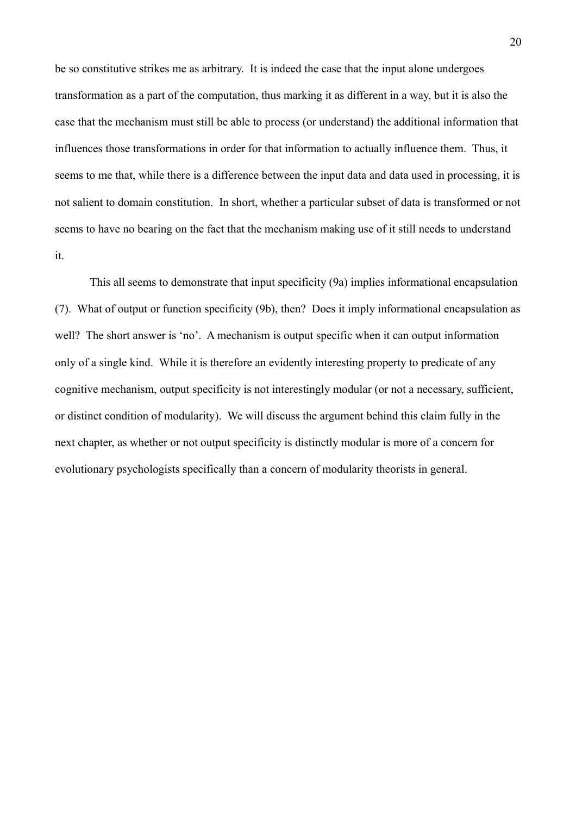be so constitutive strikes me as arbitrary. It is indeed the case that the input alone undergoes transformation as a part of the computation, thus marking it as different in a way, but it is also the case that the mechanism must still be able to process (or understand) the additional information that influences those transformations in order for that information to actually influence them. Thus, it seems to me that, while there is a difference between the input data and data used in processing, it is not salient to domain constitution. In short, whether a particular subset of data is transformed or not seems to have no bearing on the fact that the mechanism making use of it still needs to understand it.

This all seems to demonstrate that input specificity (9a) implies informational encapsulation (7). What of output or function specificity (9b), then? Does it imply informational encapsulation as well? The short answer is 'no'. A mechanism is output specific when it can output information only of a single kind. While it is therefore an evidently interesting property to predicate of any cognitive mechanism, output specificity is not interestingly modular (or not a necessary, sufficient, or distinct condition of modularity). We will discuss the argument behind this claim fully in the next chapter, as whether or not output specificity is distinctly modular is more of a concern for evolutionary psychologists specifically than a concern of modularity theorists in general.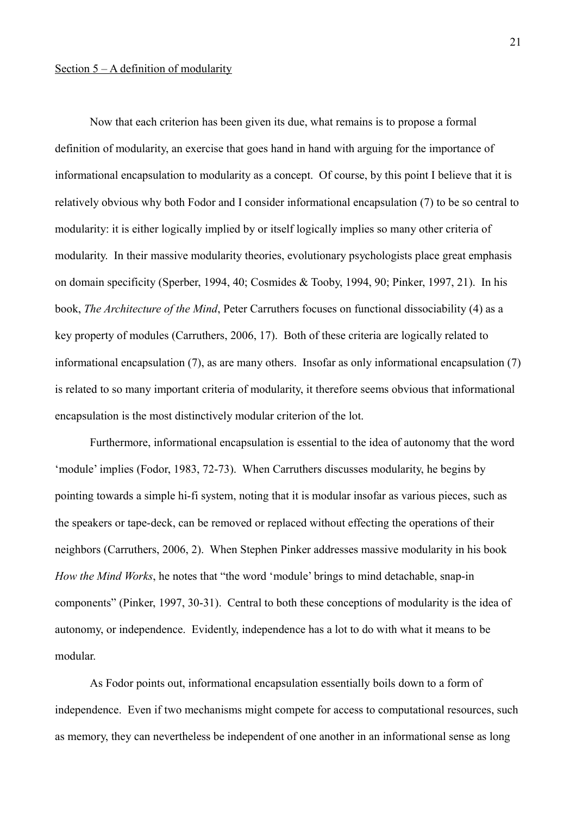Now that each criterion has been given its due, what remains is to propose a formal definition of modularity, an exercise that goes hand in hand with arguing for the importance of informational encapsulation to modularity as a concept. Of course, by this point I believe that it is relatively obvious why both Fodor and I consider informational encapsulation (7) to be so central to modularity: it is either logically implied by or itself logically implies so many other criteria of modularity. In their massive modularity theories, evolutionary psychologists place great emphasis on domain specificity (Sperber, 1994, 40; Cosmides & Tooby, 1994, 90; Pinker, 1997, 21). In his book, *The Architecture of the Mind*, Peter Carruthers focuses on functional dissociability (4) as a key property of modules (Carruthers, 2006, 17). Both of these criteria are logically related to informational encapsulation (7), as are many others. Insofar as only informational encapsulation (7) is related to so many important criteria of modularity, it therefore seems obvious that informational encapsulation is the most distinctively modular criterion of the lot.

Furthermore, informational encapsulation is essential to the idea of autonomy that the word 'module' implies (Fodor, 1983, 72-73). When Carruthers discusses modularity, he begins by pointing towards a simple hi-fi system, noting that it is modular insofar as various pieces, such as the speakers or tape-deck, can be removed or replaced without effecting the operations of their neighbors (Carruthers, 2006, 2). When Stephen Pinker addresses massive modularity in his book *How the Mind Works*, he notes that "the word 'module' brings to mind detachable, snap-in components" (Pinker, 1997, 30-31). Central to both these conceptions of modularity is the idea of autonomy, or independence. Evidently, independence has a lot to do with what it means to be modular.

As Fodor points out, informational encapsulation essentially boils down to a form of independence. Even if two mechanisms might compete for access to computational resources, such as memory, they can nevertheless be independent of one another in an informational sense as long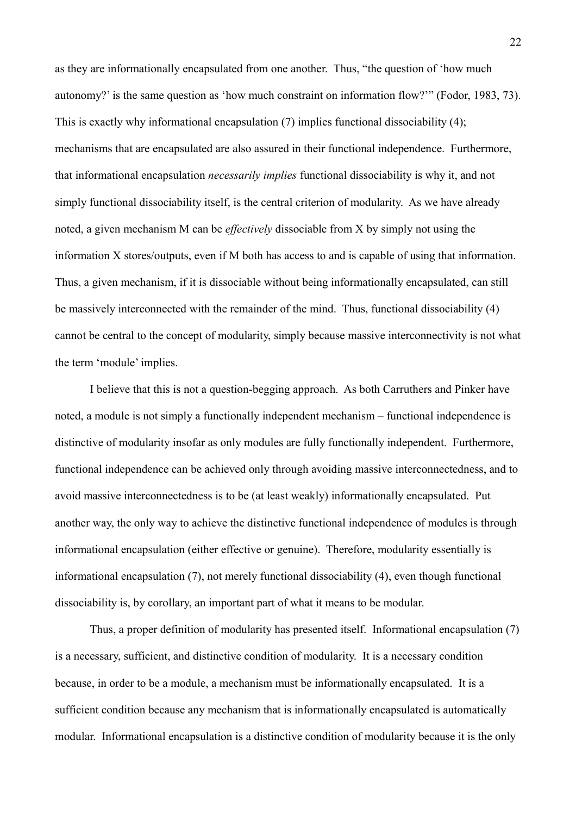as they are informationally encapsulated from one another. Thus, "the question of 'how much autonomy?' is the same question as 'how much constraint on information flow?'" (Fodor, 1983, 73). This is exactly why informational encapsulation (7) implies functional dissociability (4); mechanisms that are encapsulated are also assured in their functional independence. Furthermore, that informational encapsulation *necessarily implies* functional dissociability is why it, and not simply functional dissociability itself, is the central criterion of modularity. As we have already noted, a given mechanism M can be *effectively* dissociable from X by simply not using the information X stores/outputs, even if M both has access to and is capable of using that information. Thus, a given mechanism, if it is dissociable without being informationally encapsulated, can still be massively interconnected with the remainder of the mind. Thus, functional dissociability (4) cannot be central to the concept of modularity, simply because massive interconnectivity is not what the term 'module' implies.

I believe that this is not a question-begging approach. As both Carruthers and Pinker have noted, a module is not simply a functionally independent mechanism – functional independence is distinctive of modularity insofar as only modules are fully functionally independent. Furthermore, functional independence can be achieved only through avoiding massive interconnectedness, and to avoid massive interconnectedness is to be (at least weakly) informationally encapsulated. Put another way, the only way to achieve the distinctive functional independence of modules is through informational encapsulation (either effective or genuine). Therefore, modularity essentially is informational encapsulation (7), not merely functional dissociability (4), even though functional dissociability is, by corollary, an important part of what it means to be modular.

Thus, a proper definition of modularity has presented itself. Informational encapsulation (7) is a necessary, sufficient, and distinctive condition of modularity. It is a necessary condition because, in order to be a module, a mechanism must be informationally encapsulated. It is a sufficient condition because any mechanism that is informationally encapsulated is automatically modular. Informational encapsulation is a distinctive condition of modularity because it is the only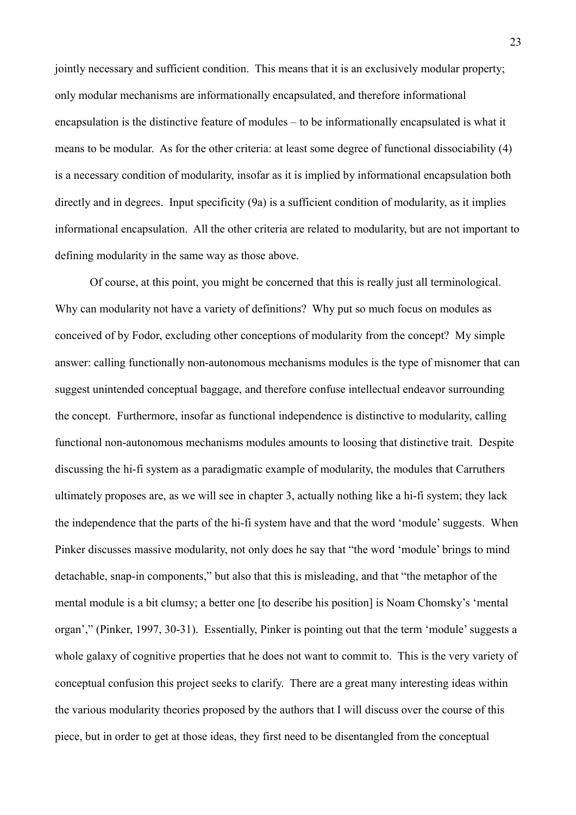jointly necessary and sufficient condition. This means that it is an exclusively modular property; only modular mechanisms are informationally encapsulated, and therefore informational encapsulation is the distinctive feature of modules – to be informationally encapsulated is what it means to be modular. As for the other criteria: at least some degree of functional dissociability (4) is a necessary condition of modularity, insofar as it is implied by informational encapsulation both directly and in degrees. Input specificity (9a) is a sufficient condition of modularity, as it implies informational encapsulation. All the other criteria are related to modularity, but are not important to defining modularity in the same way as those above.

Of course, at this point, you might be concerned that this is really just all terminological. Why can modularity not have a variety of definitions? Why put so much focus on modules as conceived of by Fodor, excluding other conceptions of modularity from the concept? My simple answer: calling functionally non-autonomous mechanisms modules is the type of misnomer that can suggest unintended conceptual baggage, and therefore confuse intellectual endeavor surrounding the concept. Furthermore, insofar as functional independence is distinctive to modularity, calling functional non-autonomous mechanisms modules amounts to loosing that distinctive trait. Despite discussing the hi-fi system as a paradigmatic example of modularity, the modules that Carruthers ultimately proposes are, as we will see in chapter 3, actually nothing like a hi-fi system; they lack the independence that the parts of the hi-fi system have and that the word 'module' suggests. When Pinker discusses massive modularity, not only does he say that "the word 'module' brings to mind detachable, snap-in components," but also that this is misleading, and that "the metaphor of the mental module is a bit clumsy; a better one [to describe his position] is Noam Chomsky's 'mental organ'," (Pinker, 1997, 30-31). Essentially, Pinker is pointing out that the term 'module' suggests a whole galaxy of cognitive properties that he does not want to commit to. This is the very variety of conceptual confusion this project seeks to clarify. There are a great many interesting ideas within the various modularity theories proposed by the authors that I will discuss over the course of this piece, but in order to get at those ideas, they first need to be disentangled from the conceptual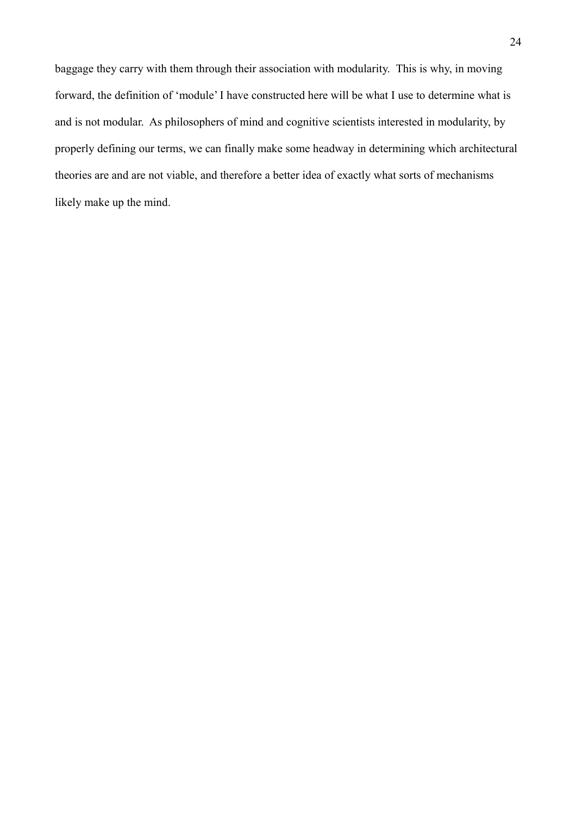baggage they carry with them through their association with modularity. This is why, in moving forward, the definition of 'module' I have constructed here will be what I use to determine what is and is not modular. As philosophers of mind and cognitive scientists interested in modularity, by properly defining our terms, we can finally make some headway in determining which architectural theories are and are not viable, and therefore a better idea of exactly what sorts of mechanisms likely make up the mind.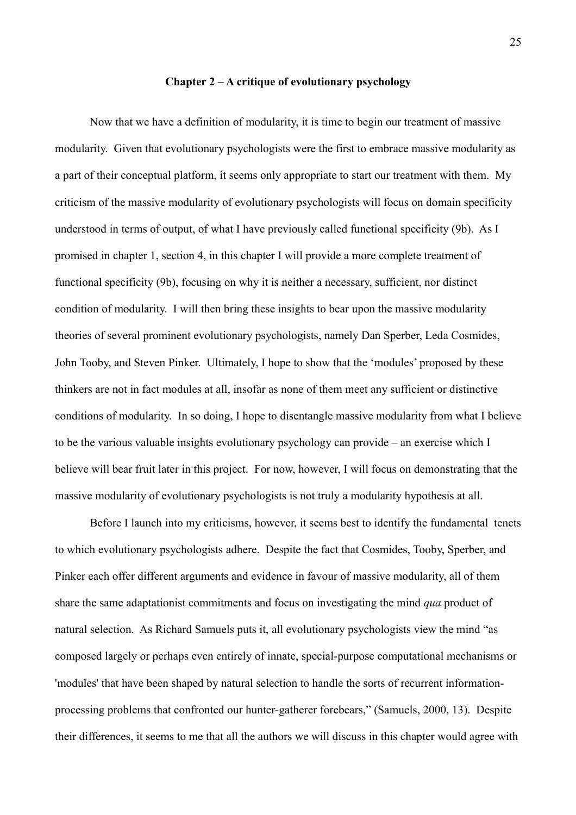#### **Chapter 2 – A critique of evolutionary psychology**

Now that we have a definition of modularity, it is time to begin our treatment of massive modularity. Given that evolutionary psychologists were the first to embrace massive modularity as a part of their conceptual platform, it seems only appropriate to start our treatment with them. My criticism of the massive modularity of evolutionary psychologists will focus on domain specificity understood in terms of output, of what I have previously called functional specificity (9b). As I promised in chapter 1, section 4, in this chapter I will provide a more complete treatment of functional specificity (9b), focusing on why it is neither a necessary, sufficient, nor distinct condition of modularity. I will then bring these insights to bear upon the massive modularity theories of several prominent evolutionary psychologists, namely Dan Sperber, Leda Cosmides, John Tooby, and Steven Pinker. Ultimately, I hope to show that the 'modules' proposed by these thinkers are not in fact modules at all, insofar as none of them meet any sufficient or distinctive conditions of modularity. In so doing, I hope to disentangle massive modularity from what I believe to be the various valuable insights evolutionary psychology can provide – an exercise which I believe will bear fruit later in this project. For now, however, I will focus on demonstrating that the massive modularity of evolutionary psychologists is not truly a modularity hypothesis at all.

Before I launch into my criticisms, however, it seems best to identify the fundamental tenets to which evolutionary psychologists adhere. Despite the fact that Cosmides, Tooby, Sperber, and Pinker each offer different arguments and evidence in favour of massive modularity, all of them share the same adaptationist commitments and focus on investigating the mind *qua* product of natural selection. As Richard Samuels puts it, all evolutionary psychologists view the mind "as composed largely or perhaps even entirely of innate, special-purpose computational mechanisms or 'modules' that have been shaped by natural selection to handle the sorts of recurrent informationprocessing problems that confronted our hunter-gatherer forebears," (Samuels, 2000, 13). Despite their differences, it seems to me that all the authors we will discuss in this chapter would agree with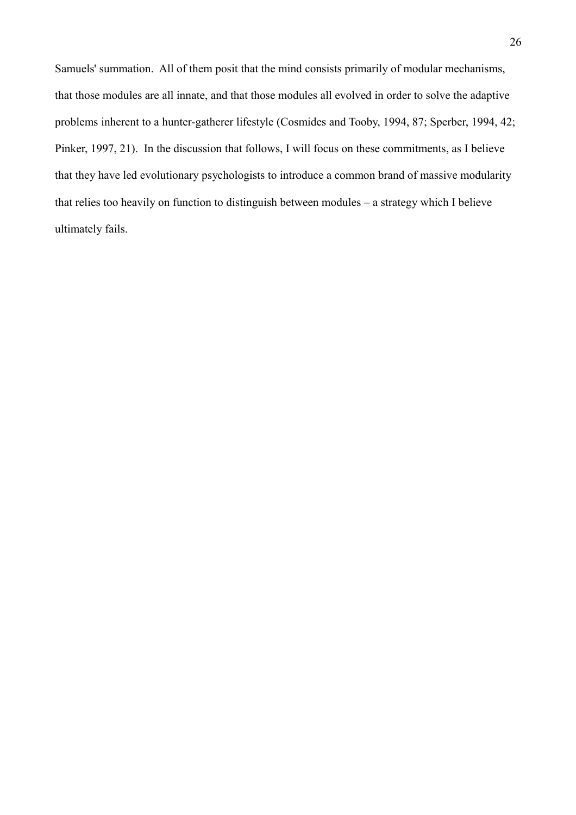Samuels' summation. All of them posit that the mind consists primarily of modular mechanisms, that those modules are all innate, and that those modules all evolved in order to solve the adaptive problems inherent to a hunter-gatherer lifestyle (Cosmides and Tooby, 1994, 87; Sperber, 1994, 42; Pinker, 1997, 21). In the discussion that follows, I will focus on these commitments, as I believe that they have led evolutionary psychologists to introduce a common brand of massive modularity that relies too heavily on function to distinguish between modules – a strategy which I believe ultimately fails.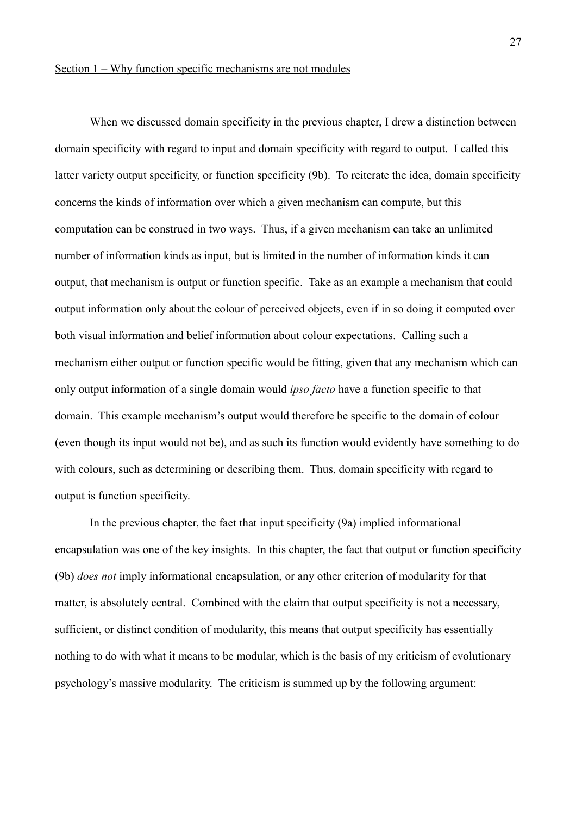When we discussed domain specificity in the previous chapter, I drew a distinction between domain specificity with regard to input and domain specificity with regard to output. I called this latter variety output specificity, or function specificity (9b). To reiterate the idea, domain specificity concerns the kinds of information over which a given mechanism can compute, but this computation can be construed in two ways. Thus, if a given mechanism can take an unlimited number of information kinds as input, but is limited in the number of information kinds it can output, that mechanism is output or function specific. Take as an example a mechanism that could output information only about the colour of perceived objects, even if in so doing it computed over both visual information and belief information about colour expectations. Calling such a mechanism either output or function specific would be fitting, given that any mechanism which can only output information of a single domain would *ipso facto* have a function specific to that domain. This example mechanism's output would therefore be specific to the domain of colour (even though its input would not be), and as such its function would evidently have something to do with colours, such as determining or describing them. Thus, domain specificity with regard to output is function specificity.

In the previous chapter, the fact that input specificity (9a) implied informational encapsulation was one of the key insights. In this chapter, the fact that output or function specificity (9b) *does not* imply informational encapsulation, or any other criterion of modularity for that matter, is absolutely central. Combined with the claim that output specificity is not a necessary, sufficient, or distinct condition of modularity, this means that output specificity has essentially nothing to do with what it means to be modular, which is the basis of my criticism of evolutionary psychology's massive modularity. The criticism is summed up by the following argument: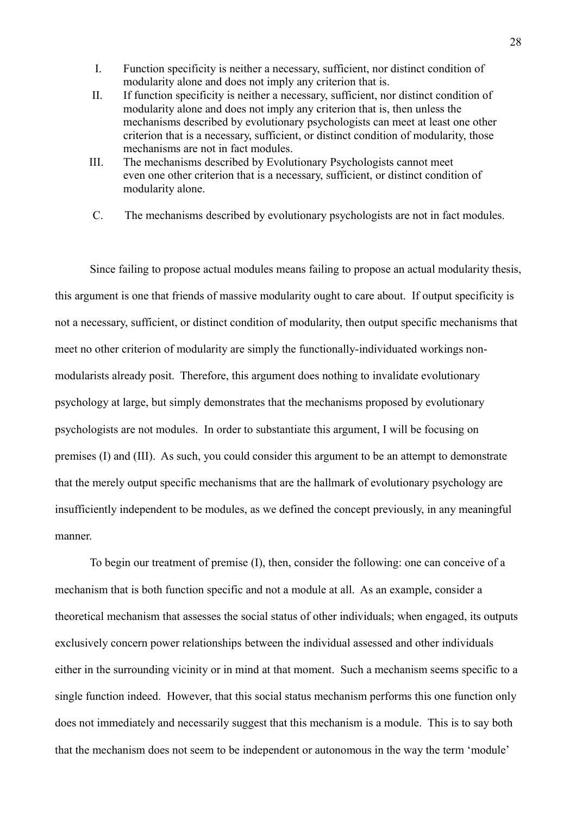- I. Function specificity is neither a necessary, sufficient, nor distinct condition of modularity alone and does not imply any criterion that is.
- II. If function specificity is neither a necessary, sufficient, nor distinct condition of modularity alone and does not imply any criterion that is, then unless the mechanisms described by evolutionary psychologists can meet at least one other criterion that is a necessary, sufficient, or distinct condition of modularity, those mechanisms are not in fact modules.
- III. The mechanisms described by Evolutionary Psychologists cannot meet even one other criterion that is a necessary, sufficient, or distinct condition of modularity alone.
- C. The mechanisms described by evolutionary psychologists are not in fact modules.

Since failing to propose actual modules means failing to propose an actual modularity thesis, this argument is one that friends of massive modularity ought to care about. If output specificity is not a necessary, sufficient, or distinct condition of modularity, then output specific mechanisms that meet no other criterion of modularity are simply the functionally-individuated workings nonmodularists already posit. Therefore, this argument does nothing to invalidate evolutionary psychology at large, but simply demonstrates that the mechanisms proposed by evolutionary psychologists are not modules. In order to substantiate this argument, I will be focusing on premises (I) and (III). As such, you could consider this argument to be an attempt to demonstrate that the merely output specific mechanisms that are the hallmark of evolutionary psychology are insufficiently independent to be modules, as we defined the concept previously, in any meaningful manner.

To begin our treatment of premise (I), then, consider the following: one can conceive of a mechanism that is both function specific and not a module at all. As an example, consider a theoretical mechanism that assesses the social status of other individuals; when engaged, its outputs exclusively concern power relationships between the individual assessed and other individuals either in the surrounding vicinity or in mind at that moment. Such a mechanism seems specific to a single function indeed. However, that this social status mechanism performs this one function only does not immediately and necessarily suggest that this mechanism is a module. This is to say both that the mechanism does not seem to be independent or autonomous in the way the term 'module'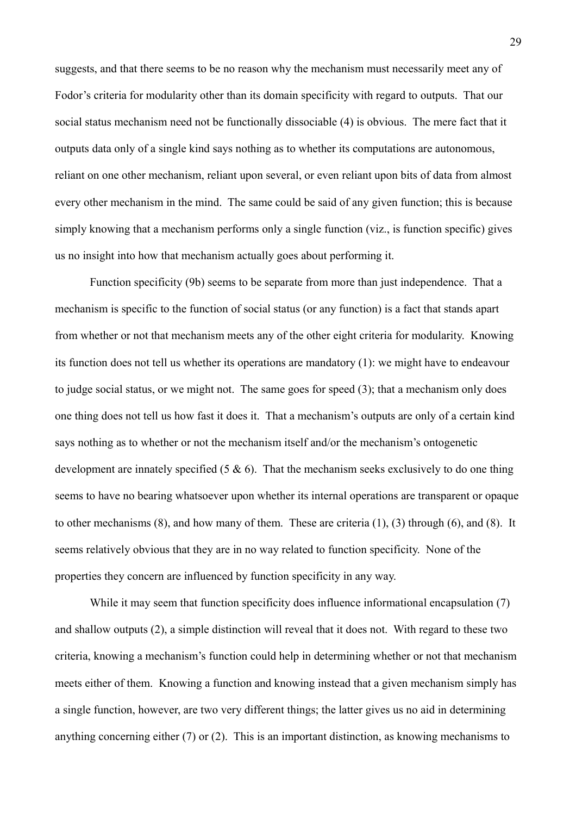suggests, and that there seems to be no reason why the mechanism must necessarily meet any of Fodor's criteria for modularity other than its domain specificity with regard to outputs. That our social status mechanism need not be functionally dissociable (4) is obvious. The mere fact that it outputs data only of a single kind says nothing as to whether its computations are autonomous, reliant on one other mechanism, reliant upon several, or even reliant upon bits of data from almost every other mechanism in the mind. The same could be said of any given function; this is because simply knowing that a mechanism performs only a single function (viz., is function specific) gives us no insight into how that mechanism actually goes about performing it.

Function specificity (9b) seems to be separate from more than just independence. That a mechanism is specific to the function of social status (or any function) is a fact that stands apart from whether or not that mechanism meets any of the other eight criteria for modularity. Knowing its function does not tell us whether its operations are mandatory (1): we might have to endeavour to judge social status, or we might not. The same goes for speed (3); that a mechanism only does one thing does not tell us how fast it does it. That a mechanism's outputs are only of a certain kind says nothing as to whether or not the mechanism itself and/or the mechanism's ontogenetic development are innately specified  $(5 \& 6)$ . That the mechanism seeks exclusively to do one thing seems to have no bearing whatsoever upon whether its internal operations are transparent or opaque to other mechanisms (8), and how many of them. These are criteria (1), (3) through (6), and (8). It seems relatively obvious that they are in no way related to function specificity. None of the properties they concern are influenced by function specificity in any way.

While it may seem that function specificity does influence informational encapsulation (7) and shallow outputs (2), a simple distinction will reveal that it does not. With regard to these two criteria, knowing a mechanism's function could help in determining whether or not that mechanism meets either of them. Knowing a function and knowing instead that a given mechanism simply has a single function, however, are two very different things; the latter gives us no aid in determining anything concerning either (7) or (2). This is an important distinction, as knowing mechanisms to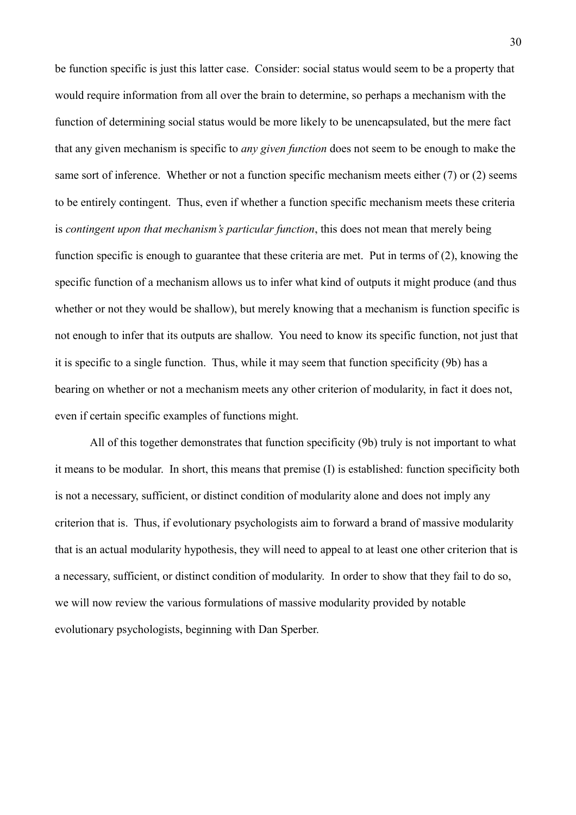be function specific is just this latter case. Consider: social status would seem to be a property that would require information from all over the brain to determine, so perhaps a mechanism with the function of determining social status would be more likely to be unencapsulated, but the mere fact that any given mechanism is specific to *any given function* does not seem to be enough to make the same sort of inference. Whether or not a function specific mechanism meets either (7) or (2) seems to be entirely contingent. Thus, even if whether a function specific mechanism meets these criteria is *contingent upon that mechanism's particular function*, this does not mean that merely being function specific is enough to guarantee that these criteria are met. Put in terms of (2), knowing the specific function of a mechanism allows us to infer what kind of outputs it might produce (and thus whether or not they would be shallow), but merely knowing that a mechanism is function specific is not enough to infer that its outputs are shallow. You need to know its specific function, not just that it is specific to a single function. Thus, while it may seem that function specificity (9b) has a bearing on whether or not a mechanism meets any other criterion of modularity, in fact it does not, even if certain specific examples of functions might.

All of this together demonstrates that function specificity (9b) truly is not important to what it means to be modular. In short, this means that premise (I) is established: function specificity both is not a necessary, sufficient, or distinct condition of modularity alone and does not imply any criterion that is. Thus, if evolutionary psychologists aim to forward a brand of massive modularity that is an actual modularity hypothesis, they will need to appeal to at least one other criterion that is a necessary, sufficient, or distinct condition of modularity. In order to show that they fail to do so, we will now review the various formulations of massive modularity provided by notable evolutionary psychologists, beginning with Dan Sperber.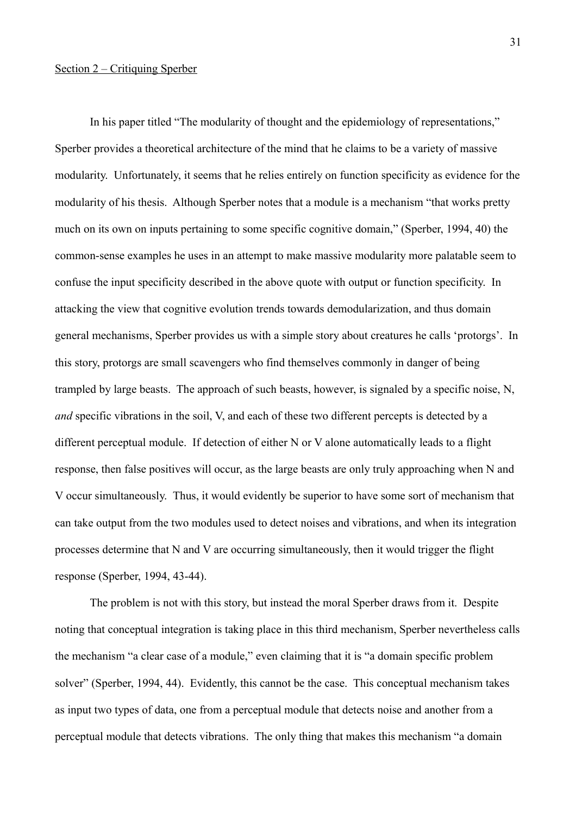# Section 2 – Critiquing Sperber

In his paper titled "The modularity of thought and the epidemiology of representations," Sperber provides a theoretical architecture of the mind that he claims to be a variety of massive modularity. Unfortunately, it seems that he relies entirely on function specificity as evidence for the modularity of his thesis. Although Sperber notes that a module is a mechanism "that works pretty much on its own on inputs pertaining to some specific cognitive domain," (Sperber, 1994, 40) the common-sense examples he uses in an attempt to make massive modularity more palatable seem to confuse the input specificity described in the above quote with output or function specificity. In attacking the view that cognitive evolution trends towards demodularization, and thus domain general mechanisms, Sperber provides us with a simple story about creatures he calls 'protorgs'. In this story, protorgs are small scavengers who find themselves commonly in danger of being trampled by large beasts. The approach of such beasts, however, is signaled by a specific noise, N, *and* specific vibrations in the soil, V, and each of these two different percepts is detected by a different perceptual module. If detection of either N or V alone automatically leads to a flight response, then false positives will occur, as the large beasts are only truly approaching when N and V occur simultaneously. Thus, it would evidently be superior to have some sort of mechanism that can take output from the two modules used to detect noises and vibrations, and when its integration processes determine that N and V are occurring simultaneously, then it would trigger the flight response (Sperber, 1994, 43-44).

The problem is not with this story, but instead the moral Sperber draws from it. Despite noting that conceptual integration is taking place in this third mechanism, Sperber nevertheless calls the mechanism "a clear case of a module," even claiming that it is "a domain specific problem solver" (Sperber, 1994, 44). Evidently, this cannot be the case. This conceptual mechanism takes as input two types of data, one from a perceptual module that detects noise and another from a perceptual module that detects vibrations. The only thing that makes this mechanism "a domain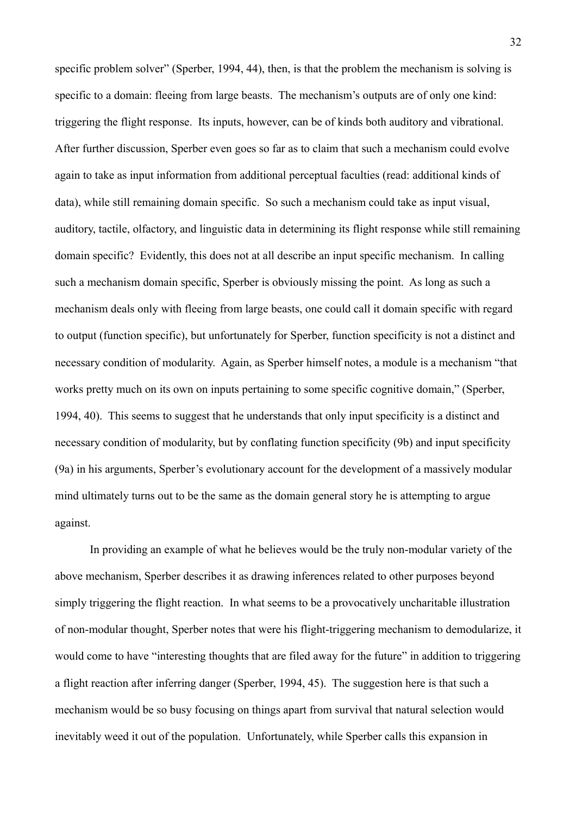specific problem solver" (Sperber, 1994, 44), then, is that the problem the mechanism is solving is specific to a domain: fleeing from large beasts. The mechanism's outputs are of only one kind: triggering the flight response. Its inputs, however, can be of kinds both auditory and vibrational. After further discussion, Sperber even goes so far as to claim that such a mechanism could evolve again to take as input information from additional perceptual faculties (read: additional kinds of data), while still remaining domain specific. So such a mechanism could take as input visual, auditory, tactile, olfactory, and linguistic data in determining its flight response while still remaining domain specific? Evidently, this does not at all describe an input specific mechanism. In calling such a mechanism domain specific, Sperber is obviously missing the point. As long as such a mechanism deals only with fleeing from large beasts, one could call it domain specific with regard to output (function specific), but unfortunately for Sperber, function specificity is not a distinct and necessary condition of modularity. Again, as Sperber himself notes, a module is a mechanism "that works pretty much on its own on inputs pertaining to some specific cognitive domain," (Sperber, 1994, 40). This seems to suggest that he understands that only input specificity is a distinct and necessary condition of modularity, but by conflating function specificity (9b) and input specificity (9a) in his arguments, Sperber's evolutionary account for the development of a massively modular mind ultimately turns out to be the same as the domain general story he is attempting to argue against.

In providing an example of what he believes would be the truly non-modular variety of the above mechanism, Sperber describes it as drawing inferences related to other purposes beyond simply triggering the flight reaction. In what seems to be a provocatively uncharitable illustration of non-modular thought, Sperber notes that were his flight-triggering mechanism to demodularize, it would come to have "interesting thoughts that are filed away for the future" in addition to triggering a flight reaction after inferring danger (Sperber, 1994, 45). The suggestion here is that such a mechanism would be so busy focusing on things apart from survival that natural selection would inevitably weed it out of the population. Unfortunately, while Sperber calls this expansion in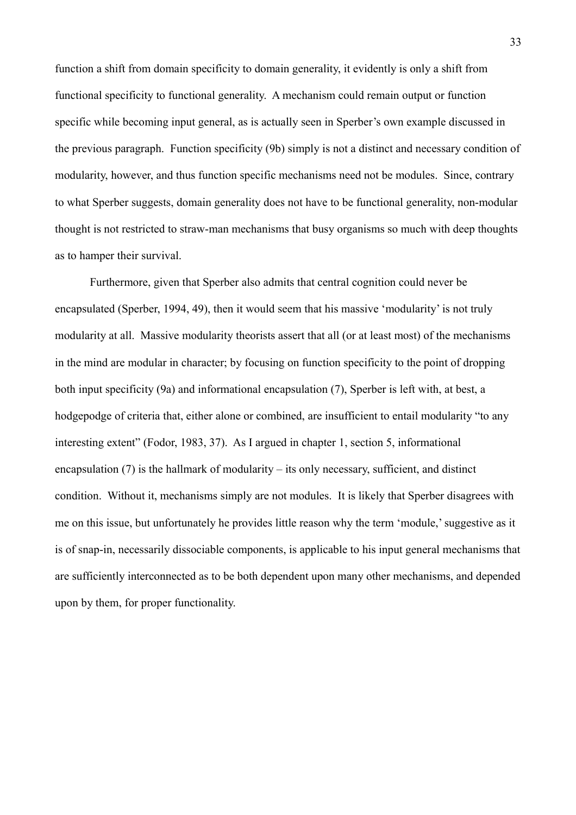function a shift from domain specificity to domain generality, it evidently is only a shift from functional specificity to functional generality. A mechanism could remain output or function specific while becoming input general, as is actually seen in Sperber's own example discussed in the previous paragraph. Function specificity (9b) simply is not a distinct and necessary condition of modularity, however, and thus function specific mechanisms need not be modules. Since, contrary to what Sperber suggests, domain generality does not have to be functional generality, non-modular thought is not restricted to straw-man mechanisms that busy organisms so much with deep thoughts as to hamper their survival.

Furthermore, given that Sperber also admits that central cognition could never be encapsulated (Sperber, 1994, 49), then it would seem that his massive 'modularity' is not truly modularity at all. Massive modularity theorists assert that all (or at least most) of the mechanisms in the mind are modular in character; by focusing on function specificity to the point of dropping both input specificity (9a) and informational encapsulation (7), Sperber is left with, at best, a hodgepodge of criteria that, either alone or combined, are insufficient to entail modularity "to any interesting extent" (Fodor, 1983, 37). As I argued in chapter 1, section 5, informational encapsulation (7) is the hallmark of modularity – its only necessary, sufficient, and distinct condition. Without it, mechanisms simply are not modules. It is likely that Sperber disagrees with me on this issue, but unfortunately he provides little reason why the term 'module,' suggestive as it is of snap-in, necessarily dissociable components, is applicable to his input general mechanisms that are sufficiently interconnected as to be both dependent upon many other mechanisms, and depended upon by them, for proper functionality.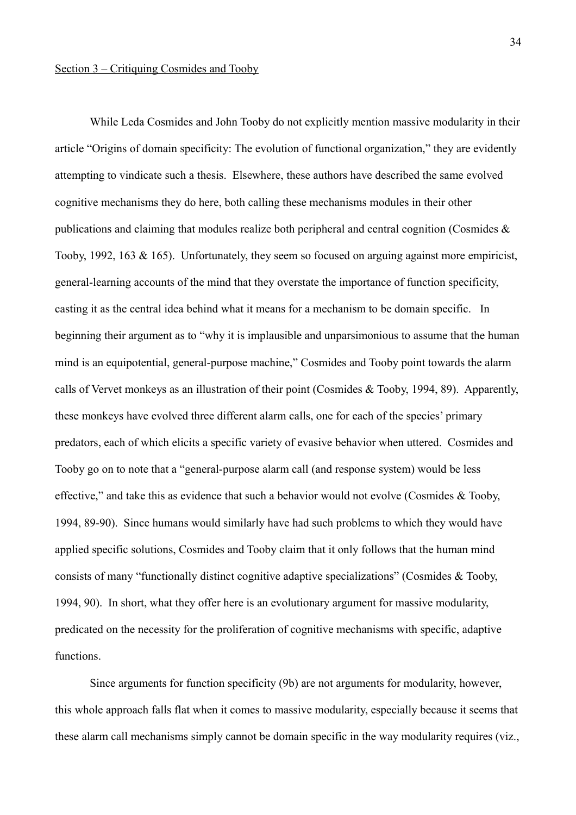While Leda Cosmides and John Tooby do not explicitly mention massive modularity in their article "Origins of domain specificity: The evolution of functional organization," they are evidently attempting to vindicate such a thesis. Elsewhere, these authors have described the same evolved cognitive mechanisms they do here, both calling these mechanisms modules in their other publications and claiming that modules realize both peripheral and central cognition (Cosmides & Tooby, 1992, 163 & 165). Unfortunately, they seem so focused on arguing against more empiricist, general-learning accounts of the mind that they overstate the importance of function specificity, casting it as the central idea behind what it means for a mechanism to be domain specific. In beginning their argument as to "why it is implausible and unparsimonious to assume that the human mind is an equipotential, general-purpose machine," Cosmides and Tooby point towards the alarm calls of Vervet monkeys as an illustration of their point (Cosmides & Tooby, 1994, 89). Apparently, these monkeys have evolved three different alarm calls, one for each of the species' primary predators, each of which elicits a specific variety of evasive behavior when uttered. Cosmides and Tooby go on to note that a "general-purpose alarm call (and response system) would be less effective," and take this as evidence that such a behavior would not evolve (Cosmides & Tooby, 1994, 89-90). Since humans would similarly have had such problems to which they would have applied specific solutions, Cosmides and Tooby claim that it only follows that the human mind consists of many "functionally distinct cognitive adaptive specializations" (Cosmides & Tooby, 1994, 90). In short, what they offer here is an evolutionary argument for massive modularity, predicated on the necessity for the proliferation of cognitive mechanisms with specific, adaptive functions.

Since arguments for function specificity (9b) are not arguments for modularity, however, this whole approach falls flat when it comes to massive modularity, especially because it seems that these alarm call mechanisms simply cannot be domain specific in the way modularity requires (viz.,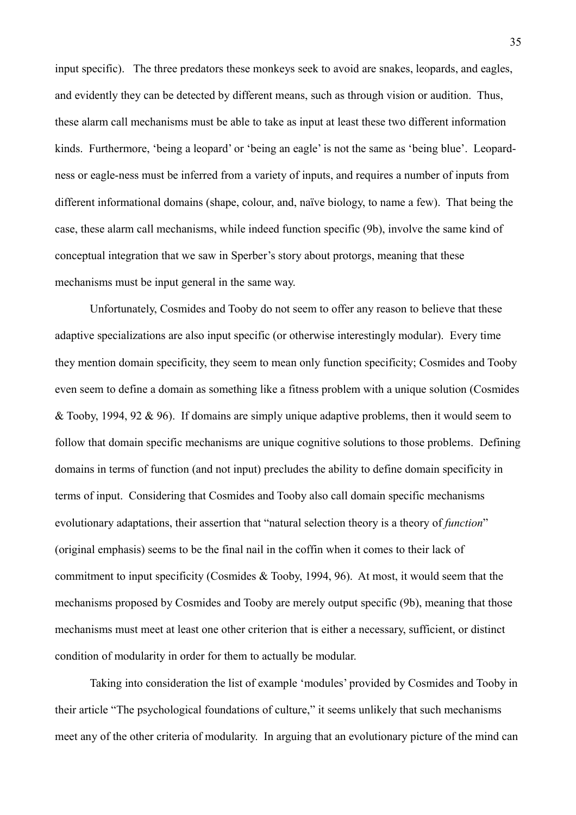input specific). The three predators these monkeys seek to avoid are snakes, leopards, and eagles, and evidently they can be detected by different means, such as through vision or audition. Thus, these alarm call mechanisms must be able to take as input at least these two different information kinds. Furthermore, 'being a leopard' or 'being an eagle' is not the same as 'being blue'. Leopardness or eagle-ness must be inferred from a variety of inputs, and requires a number of inputs from different informational domains (shape, colour, and, naïve biology, to name a few). That being the case, these alarm call mechanisms, while indeed function specific (9b), involve the same kind of conceptual integration that we saw in Sperber's story about protorgs, meaning that these mechanisms must be input general in the same way.

Unfortunately, Cosmides and Tooby do not seem to offer any reason to believe that these adaptive specializations are also input specific (or otherwise interestingly modular). Every time they mention domain specificity, they seem to mean only function specificity; Cosmides and Tooby even seem to define a domain as something like a fitness problem with a unique solution (Cosmides & Tooby, 1994, 92 & 96). If domains are simply unique adaptive problems, then it would seem to follow that domain specific mechanisms are unique cognitive solutions to those problems. Defining domains in terms of function (and not input) precludes the ability to define domain specificity in terms of input. Considering that Cosmides and Tooby also call domain specific mechanisms evolutionary adaptations, their assertion that "natural selection theory is a theory of *function*" (original emphasis) seems to be the final nail in the coffin when it comes to their lack of commitment to input specificity (Cosmides & Tooby, 1994, 96). At most, it would seem that the mechanisms proposed by Cosmides and Tooby are merely output specific (9b), meaning that those mechanisms must meet at least one other criterion that is either a necessary, sufficient, or distinct condition of modularity in order for them to actually be modular.

Taking into consideration the list of example 'modules' provided by Cosmides and Tooby in their article "The psychological foundations of culture," it seems unlikely that such mechanisms meet any of the other criteria of modularity. In arguing that an evolutionary picture of the mind can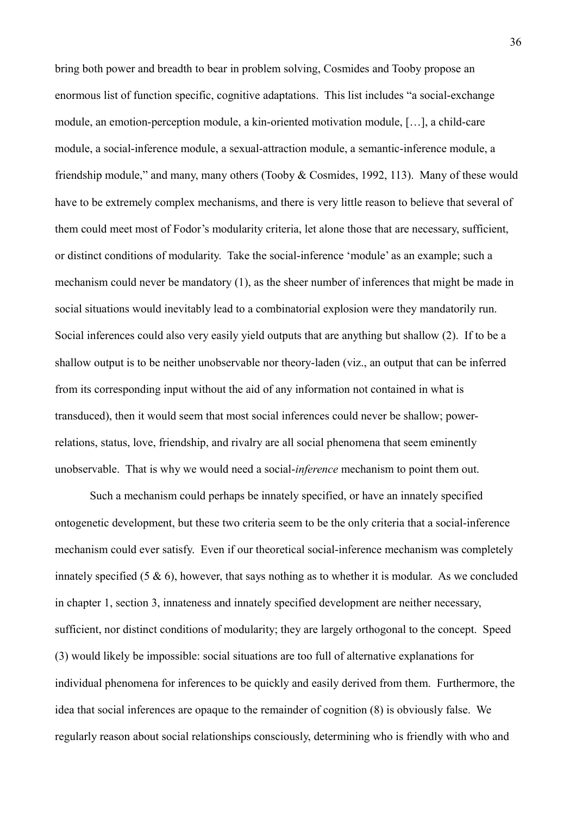bring both power and breadth to bear in problem solving, Cosmides and Tooby propose an enormous list of function specific, cognitive adaptations. This list includes "a social-exchange module, an emotion-perception module, a kin-oriented motivation module, […], a child-care module, a social-inference module, a sexual-attraction module, a semantic-inference module, a friendship module," and many, many others (Tooby & Cosmides, 1992, 113). Many of these would have to be extremely complex mechanisms, and there is very little reason to believe that several of them could meet most of Fodor's modularity criteria, let alone those that are necessary, sufficient, or distinct conditions of modularity. Take the social-inference 'module' as an example; such a mechanism could never be mandatory (1), as the sheer number of inferences that might be made in social situations would inevitably lead to a combinatorial explosion were they mandatorily run. Social inferences could also very easily yield outputs that are anything but shallow (2). If to be a shallow output is to be neither unobservable nor theory-laden (viz., an output that can be inferred from its corresponding input without the aid of any information not contained in what is transduced), then it would seem that most social inferences could never be shallow; powerrelations, status, love, friendship, and rivalry are all social phenomena that seem eminently unobservable. That is why we would need a social-*inference* mechanism to point them out.

Such a mechanism could perhaps be innately specified, or have an innately specified ontogenetic development, but these two criteria seem to be the only criteria that a social-inference mechanism could ever satisfy. Even if our theoretical social-inference mechanism was completely innately specified  $(5 \& 6)$ , however, that says nothing as to whether it is modular. As we concluded in chapter 1, section 3, innateness and innately specified development are neither necessary, sufficient, nor distinct conditions of modularity; they are largely orthogonal to the concept. Speed (3) would likely be impossible: social situations are too full of alternative explanations for individual phenomena for inferences to be quickly and easily derived from them. Furthermore, the idea that social inferences are opaque to the remainder of cognition (8) is obviously false. We regularly reason about social relationships consciously, determining who is friendly with who and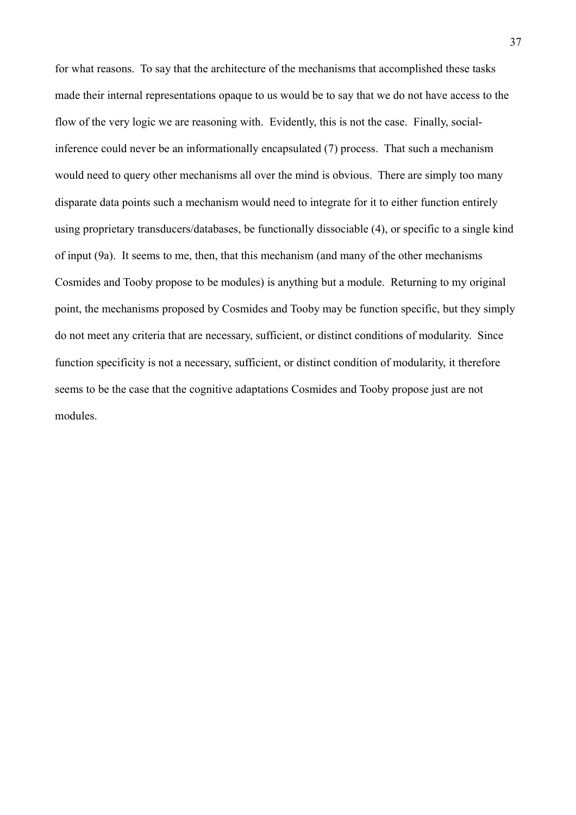for what reasons. To say that the architecture of the mechanisms that accomplished these tasks made their internal representations opaque to us would be to say that we do not have access to the flow of the very logic we are reasoning with. Evidently, this is not the case. Finally, socialinference could never be an informationally encapsulated (7) process. That such a mechanism would need to query other mechanisms all over the mind is obvious. There are simply too many disparate data points such a mechanism would need to integrate for it to either function entirely using proprietary transducers/databases, be functionally dissociable (4), or specific to a single kind of input (9a). It seems to me, then, that this mechanism (and many of the other mechanisms Cosmides and Tooby propose to be modules) is anything but a module. Returning to my original point, the mechanisms proposed by Cosmides and Tooby may be function specific, but they simply do not meet any criteria that are necessary, sufficient, or distinct conditions of modularity. Since function specificity is not a necessary, sufficient, or distinct condition of modularity, it therefore seems to be the case that the cognitive adaptations Cosmides and Tooby propose just are not modules.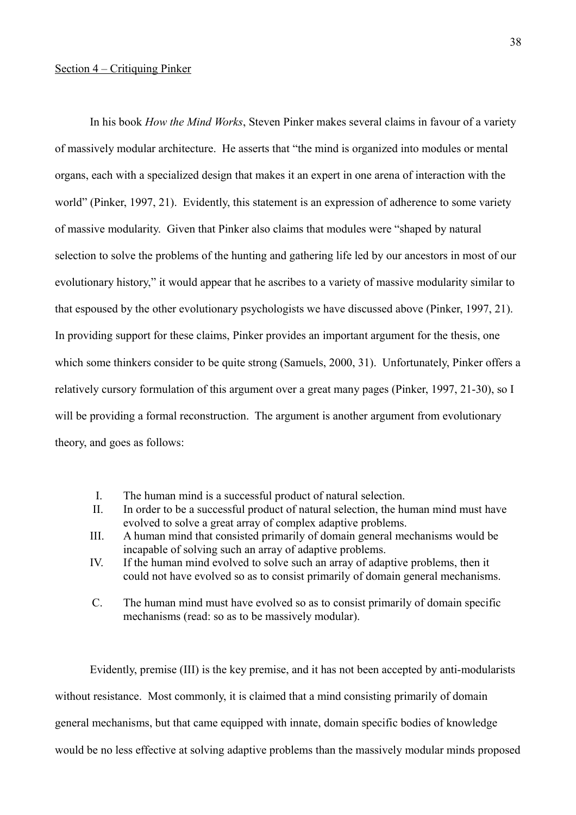## Section 4 – Critiquing Pinker

In his book *How the Mind Works*, Steven Pinker makes several claims in favour of a variety of massively modular architecture. He asserts that "the mind is organized into modules or mental organs, each with a specialized design that makes it an expert in one arena of interaction with the world" (Pinker, 1997, 21). Evidently, this statement is an expression of adherence to some variety of massive modularity. Given that Pinker also claims that modules were "shaped by natural selection to solve the problems of the hunting and gathering life led by our ancestors in most of our evolutionary history," it would appear that he ascribes to a variety of massive modularity similar to that espoused by the other evolutionary psychologists we have discussed above (Pinker, 1997, 21). In providing support for these claims, Pinker provides an important argument for the thesis, one which some thinkers consider to be quite strong (Samuels, 2000, 31). Unfortunately, Pinker offers a relatively cursory formulation of this argument over a great many pages (Pinker, 1997, 21-30), so I will be providing a formal reconstruction. The argument is another argument from evolutionary theory, and goes as follows:

- I. The human mind is a successful product of natural selection.
- II. In order to be a successful product of natural selection, the human mind must have evolved to solve a great array of complex adaptive problems.
- III. A human mind that consisted primarily of domain general mechanisms would be incapable of solving such an array of adaptive problems.
- IV. If the human mind evolved to solve such an array of adaptive problems, then it could not have evolved so as to consist primarily of domain general mechanisms.
- C. The human mind must have evolved so as to consist primarily of domain specific mechanisms (read: so as to be massively modular).

Evidently, premise (III) is the key premise, and it has not been accepted by anti-modularists without resistance. Most commonly, it is claimed that a mind consisting primarily of domain general mechanisms, but that came equipped with innate, domain specific bodies of knowledge would be no less effective at solving adaptive problems than the massively modular minds proposed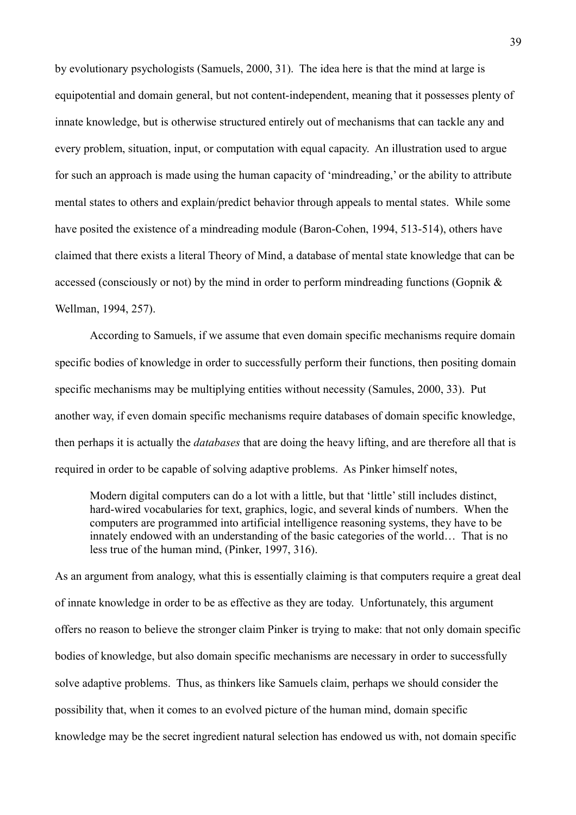by evolutionary psychologists (Samuels, 2000, 31). The idea here is that the mind at large is equipotential and domain general, but not content-independent, meaning that it possesses plenty of innate knowledge, but is otherwise structured entirely out of mechanisms that can tackle any and every problem, situation, input, or computation with equal capacity. An illustration used to argue for such an approach is made using the human capacity of 'mindreading,' or the ability to attribute mental states to others and explain/predict behavior through appeals to mental states. While some have posited the existence of a mindreading module (Baron-Cohen, 1994, 513-514), others have claimed that there exists a literal Theory of Mind, a database of mental state knowledge that can be accessed (consciously or not) by the mind in order to perform mindreading functions (Gopnik & Wellman, 1994, 257).

According to Samuels, if we assume that even domain specific mechanisms require domain specific bodies of knowledge in order to successfully perform their functions, then positing domain specific mechanisms may be multiplying entities without necessity (Samules, 2000, 33). Put another way, if even domain specific mechanisms require databases of domain specific knowledge, then perhaps it is actually the *databases* that are doing the heavy lifting, and are therefore all that is required in order to be capable of solving adaptive problems. As Pinker himself notes,

Modern digital computers can do a lot with a little, but that 'little' still includes distinct, hard-wired vocabularies for text, graphics, logic, and several kinds of numbers. When the computers are programmed into artificial intelligence reasoning systems, they have to be innately endowed with an understanding of the basic categories of the world… That is no less true of the human mind, (Pinker, 1997, 316).

As an argument from analogy, what this is essentially claiming is that computers require a great deal of innate knowledge in order to be as effective as they are today. Unfortunately, this argument offers no reason to believe the stronger claim Pinker is trying to make: that not only domain specific bodies of knowledge, but also domain specific mechanisms are necessary in order to successfully solve adaptive problems. Thus, as thinkers like Samuels claim, perhaps we should consider the possibility that, when it comes to an evolved picture of the human mind, domain specific knowledge may be the secret ingredient natural selection has endowed us with, not domain specific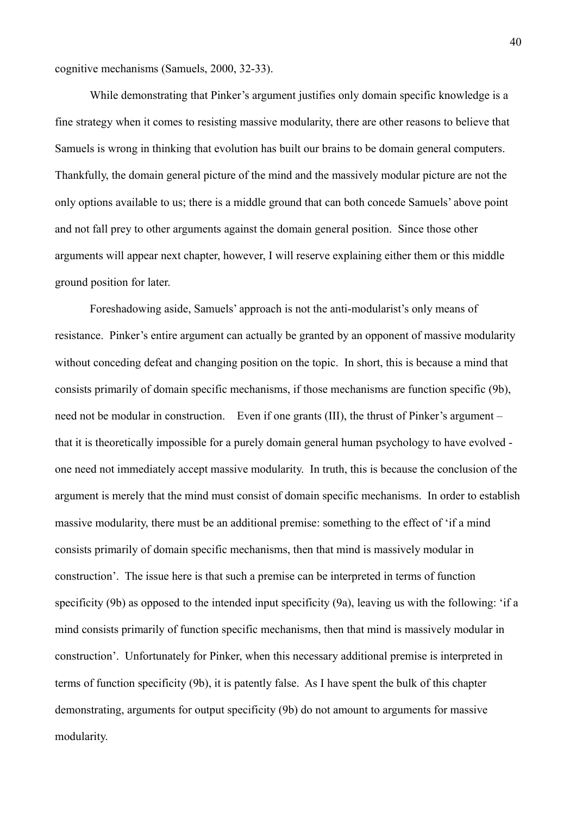cognitive mechanisms (Samuels, 2000, 32-33).

While demonstrating that Pinker's argument justifies only domain specific knowledge is a fine strategy when it comes to resisting massive modularity, there are other reasons to believe that Samuels is wrong in thinking that evolution has built our brains to be domain general computers. Thankfully, the domain general picture of the mind and the massively modular picture are not the only options available to us; there is a middle ground that can both concede Samuels' above point and not fall prey to other arguments against the domain general position. Since those other arguments will appear next chapter, however, I will reserve explaining either them or this middle ground position for later.

Foreshadowing aside, Samuels' approach is not the anti-modularist's only means of resistance. Pinker's entire argument can actually be granted by an opponent of massive modularity without conceding defeat and changing position on the topic. In short, this is because a mind that consists primarily of domain specific mechanisms, if those mechanisms are function specific (9b), need not be modular in construction. Even if one grants (III), the thrust of Pinker's argument – that it is theoretically impossible for a purely domain general human psychology to have evolved one need not immediately accept massive modularity. In truth, this is because the conclusion of the argument is merely that the mind must consist of domain specific mechanisms. In order to establish massive modularity, there must be an additional premise: something to the effect of 'if a mind consists primarily of domain specific mechanisms, then that mind is massively modular in construction'. The issue here is that such a premise can be interpreted in terms of function specificity (9b) as opposed to the intended input specificity (9a), leaving us with the following: 'if a mind consists primarily of function specific mechanisms, then that mind is massively modular in construction'. Unfortunately for Pinker, when this necessary additional premise is interpreted in terms of function specificity (9b), it is patently false. As I have spent the bulk of this chapter demonstrating, arguments for output specificity (9b) do not amount to arguments for massive modularity.

40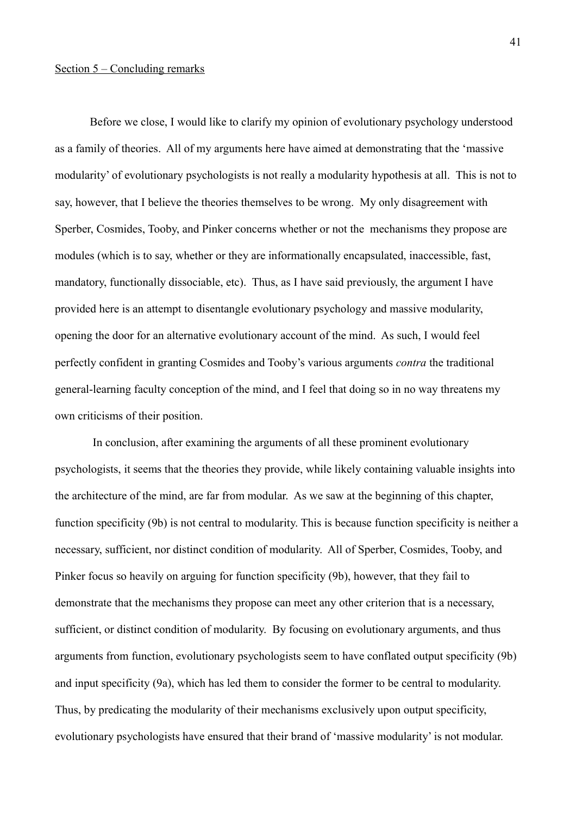## Section 5 – Concluding remarks

Before we close, I would like to clarify my opinion of evolutionary psychology understood as a family of theories. All of my arguments here have aimed at demonstrating that the 'massive modularity' of evolutionary psychologists is not really a modularity hypothesis at all. This is not to say, however, that I believe the theories themselves to be wrong. My only disagreement with Sperber, Cosmides, Tooby, and Pinker concerns whether or not the mechanisms they propose are modules (which is to say, whether or they are informationally encapsulated, inaccessible, fast, mandatory, functionally dissociable, etc). Thus, as I have said previously, the argument I have provided here is an attempt to disentangle evolutionary psychology and massive modularity, opening the door for an alternative evolutionary account of the mind. As such, I would feel perfectly confident in granting Cosmides and Tooby's various arguments *contra* the traditional general-learning faculty conception of the mind, and I feel that doing so in no way threatens my own criticisms of their position.

 In conclusion, after examining the arguments of all these prominent evolutionary psychologists, it seems that the theories they provide, while likely containing valuable insights into the architecture of the mind, are far from modular. As we saw at the beginning of this chapter, function specificity (9b) is not central to modularity. This is because function specificity is neither a necessary, sufficient, nor distinct condition of modularity. All of Sperber, Cosmides, Tooby, and Pinker focus so heavily on arguing for function specificity (9b), however, that they fail to demonstrate that the mechanisms they propose can meet any other criterion that is a necessary, sufficient, or distinct condition of modularity. By focusing on evolutionary arguments, and thus arguments from function, evolutionary psychologists seem to have conflated output specificity (9b) and input specificity (9a), which has led them to consider the former to be central to modularity. Thus, by predicating the modularity of their mechanisms exclusively upon output specificity, evolutionary psychologists have ensured that their brand of 'massive modularity' is not modular.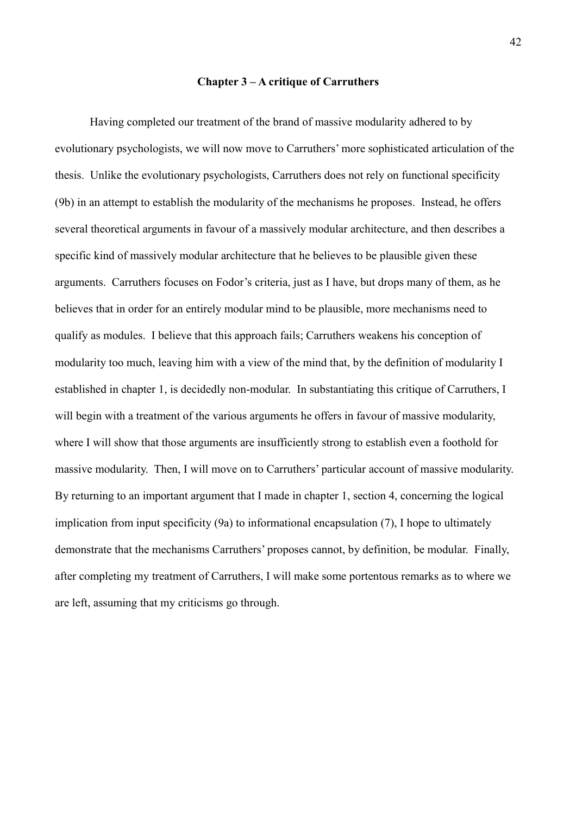#### **Chapter 3 – A critique of Carruthers**

Having completed our treatment of the brand of massive modularity adhered to by evolutionary psychologists, we will now move to Carruthers' more sophisticated articulation of the thesis. Unlike the evolutionary psychologists, Carruthers does not rely on functional specificity (9b) in an attempt to establish the modularity of the mechanisms he proposes. Instead, he offers several theoretical arguments in favour of a massively modular architecture, and then describes a specific kind of massively modular architecture that he believes to be plausible given these arguments. Carruthers focuses on Fodor's criteria, just as I have, but drops many of them, as he believes that in order for an entirely modular mind to be plausible, more mechanisms need to qualify as modules. I believe that this approach fails; Carruthers weakens his conception of modularity too much, leaving him with a view of the mind that, by the definition of modularity I established in chapter 1, is decidedly non-modular. In substantiating this critique of Carruthers, I will begin with a treatment of the various arguments he offers in favour of massive modularity, where I will show that those arguments are insufficiently strong to establish even a foothold for massive modularity. Then, I will move on to Carruthers' particular account of massive modularity. By returning to an important argument that I made in chapter 1, section 4, concerning the logical implication from input specificity (9a) to informational encapsulation (7), I hope to ultimately demonstrate that the mechanisms Carruthers' proposes cannot, by definition, be modular. Finally, after completing my treatment of Carruthers, I will make some portentous remarks as to where we are left, assuming that my criticisms go through.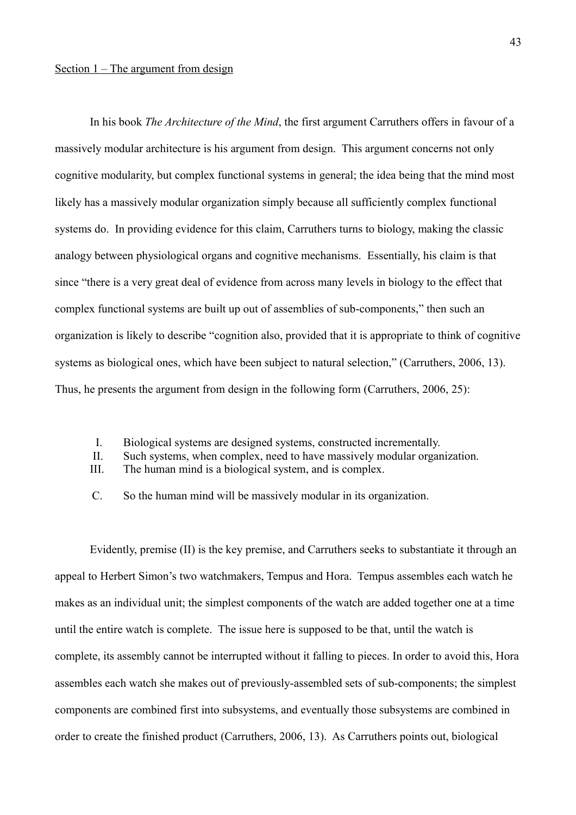# Section 1 – The argument from design

In his book *The Architecture of the Mind*, the first argument Carruthers offers in favour of a massively modular architecture is his argument from design. This argument concerns not only cognitive modularity, but complex functional systems in general; the idea being that the mind most likely has a massively modular organization simply because all sufficiently complex functional systems do. In providing evidence for this claim, Carruthers turns to biology, making the classic analogy between physiological organs and cognitive mechanisms. Essentially, his claim is that since "there is a very great deal of evidence from across many levels in biology to the effect that complex functional systems are built up out of assemblies of sub-components," then such an organization is likely to describe "cognition also, provided that it is appropriate to think of cognitive systems as biological ones, which have been subject to natural selection," (Carruthers, 2006, 13). Thus, he presents the argument from design in the following form (Carruthers, 2006, 25):

- I. Biological systems are designed systems, constructed incrementally.
- II. Such systems, when complex, need to have massively modular organization.
- III. The human mind is a biological system, and is complex.
- C. So the human mind will be massively modular in its organization.

Evidently, premise (II) is the key premise, and Carruthers seeks to substantiate it through an appeal to Herbert Simon's two watchmakers, Tempus and Hora. Tempus assembles each watch he makes as an individual unit; the simplest components of the watch are added together one at a time until the entire watch is complete. The issue here is supposed to be that, until the watch is complete, its assembly cannot be interrupted without it falling to pieces. In order to avoid this, Hora assembles each watch she makes out of previously-assembled sets of sub-components; the simplest components are combined first into subsystems, and eventually those subsystems are combined in order to create the finished product (Carruthers, 2006, 13). As Carruthers points out, biological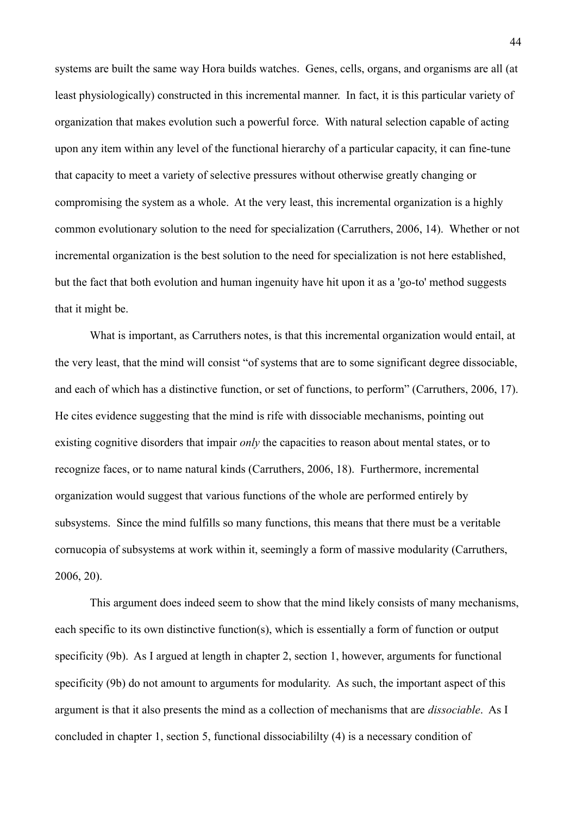systems are built the same way Hora builds watches. Genes, cells, organs, and organisms are all (at least physiologically) constructed in this incremental manner. In fact, it is this particular variety of organization that makes evolution such a powerful force. With natural selection capable of acting upon any item within any level of the functional hierarchy of a particular capacity, it can fine-tune that capacity to meet a variety of selective pressures without otherwise greatly changing or compromising the system as a whole. At the very least, this incremental organization is a highly common evolutionary solution to the need for specialization (Carruthers, 2006, 14). Whether or not incremental organization is the best solution to the need for specialization is not here established, but the fact that both evolution and human ingenuity have hit upon it as a 'go-to' method suggests that it might be.

What is important, as Carruthers notes, is that this incremental organization would entail, at the very least, that the mind will consist "of systems that are to some significant degree dissociable, and each of which has a distinctive function, or set of functions, to perform" (Carruthers, 2006, 17). He cites evidence suggesting that the mind is rife with dissociable mechanisms, pointing out existing cognitive disorders that impair *only* the capacities to reason about mental states, or to recognize faces, or to name natural kinds (Carruthers, 2006, 18). Furthermore, incremental organization would suggest that various functions of the whole are performed entirely by subsystems. Since the mind fulfills so many functions, this means that there must be a veritable cornucopia of subsystems at work within it, seemingly a form of massive modularity (Carruthers, 2006, 20).

This argument does indeed seem to show that the mind likely consists of many mechanisms, each specific to its own distinctive function(s), which is essentially a form of function or output specificity (9b). As I argued at length in chapter 2, section 1, however, arguments for functional specificity (9b) do not amount to arguments for modularity. As such, the important aspect of this argument is that it also presents the mind as a collection of mechanisms that are *dissociable*. As I concluded in chapter 1, section 5, functional dissociabililty (4) is a necessary condition of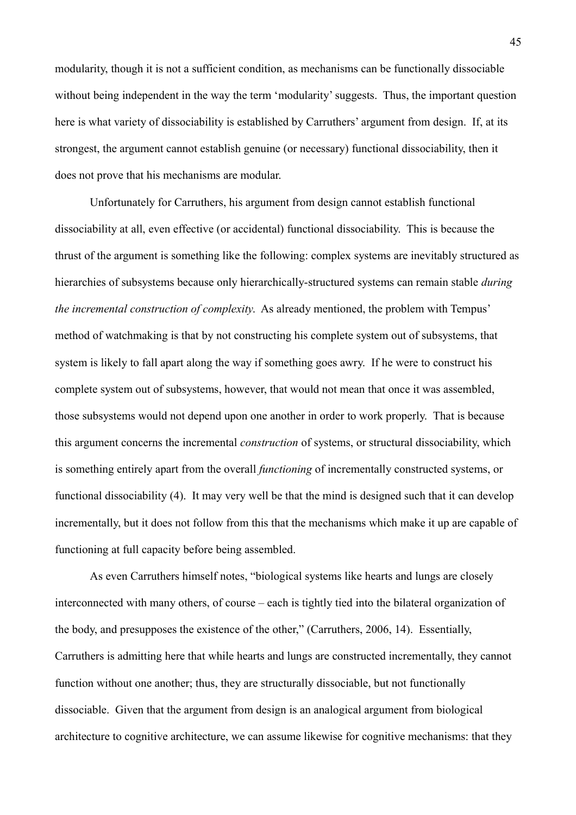modularity, though it is not a sufficient condition, as mechanisms can be functionally dissociable without being independent in the way the term 'modularity' suggests. Thus, the important question here is what variety of dissociability is established by Carruthers' argument from design. If, at its strongest, the argument cannot establish genuine (or necessary) functional dissociability, then it does not prove that his mechanisms are modular.

Unfortunately for Carruthers, his argument from design cannot establish functional dissociability at all, even effective (or accidental) functional dissociability. This is because the thrust of the argument is something like the following: complex systems are inevitably structured as hierarchies of subsystems because only hierarchically-structured systems can remain stable *during the incremental construction of complexity*. As already mentioned, the problem with Tempus' method of watchmaking is that by not constructing his complete system out of subsystems, that system is likely to fall apart along the way if something goes awry. If he were to construct his complete system out of subsystems, however, that would not mean that once it was assembled, those subsystems would not depend upon one another in order to work properly. That is because this argument concerns the incremental *construction* of systems, or structural dissociability, which is something entirely apart from the overall *functioning* of incrementally constructed systems, or functional dissociability (4). It may very well be that the mind is designed such that it can develop incrementally, but it does not follow from this that the mechanisms which make it up are capable of functioning at full capacity before being assembled.

As even Carruthers himself notes, "biological systems like hearts and lungs are closely interconnected with many others, of course – each is tightly tied into the bilateral organization of the body, and presupposes the existence of the other," (Carruthers, 2006, 14). Essentially, Carruthers is admitting here that while hearts and lungs are constructed incrementally, they cannot function without one another; thus, they are structurally dissociable, but not functionally dissociable. Given that the argument from design is an analogical argument from biological architecture to cognitive architecture, we can assume likewise for cognitive mechanisms: that they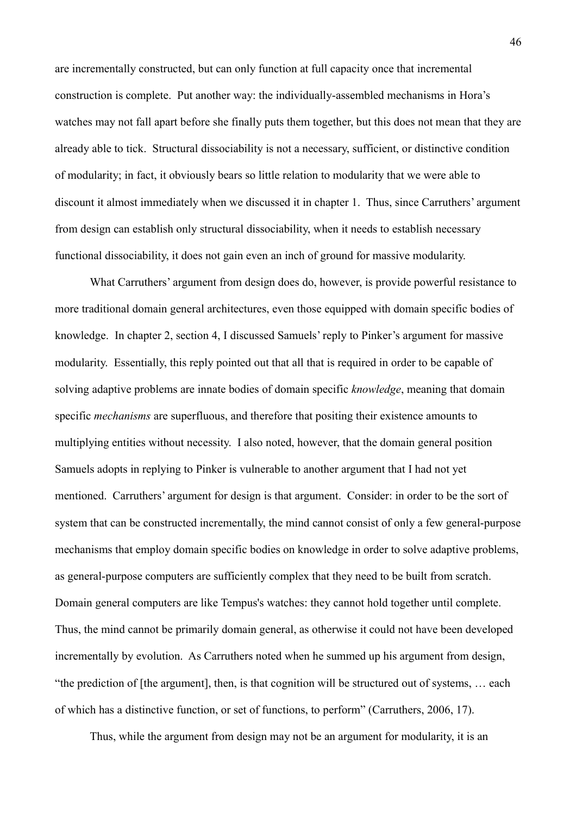are incrementally constructed, but can only function at full capacity once that incremental construction is complete. Put another way: the individually-assembled mechanisms in Hora's watches may not fall apart before she finally puts them together, but this does not mean that they are already able to tick. Structural dissociability is not a necessary, sufficient, or distinctive condition of modularity; in fact, it obviously bears so little relation to modularity that we were able to discount it almost immediately when we discussed it in chapter 1. Thus, since Carruthers' argument from design can establish only structural dissociability, when it needs to establish necessary functional dissociability, it does not gain even an inch of ground for massive modularity.

What Carruthers' argument from design does do, however, is provide powerful resistance to more traditional domain general architectures, even those equipped with domain specific bodies of knowledge. In chapter 2, section 4, I discussed Samuels' reply to Pinker's argument for massive modularity. Essentially, this reply pointed out that all that is required in order to be capable of solving adaptive problems are innate bodies of domain specific *knowledge*, meaning that domain specific *mechanisms* are superfluous, and therefore that positing their existence amounts to multiplying entities without necessity. I also noted, however, that the domain general position Samuels adopts in replying to Pinker is vulnerable to another argument that I had not yet mentioned. Carruthers' argument for design is that argument. Consider: in order to be the sort of system that can be constructed incrementally, the mind cannot consist of only a few general-purpose mechanisms that employ domain specific bodies on knowledge in order to solve adaptive problems, as general-purpose computers are sufficiently complex that they need to be built from scratch. Domain general computers are like Tempus's watches: they cannot hold together until complete. Thus, the mind cannot be primarily domain general, as otherwise it could not have been developed incrementally by evolution. As Carruthers noted when he summed up his argument from design, "the prediction of [the argument], then, is that cognition will be structured out of systems, … each of which has a distinctive function, or set of functions, to perform" (Carruthers, 2006, 17).

Thus, while the argument from design may not be an argument for modularity, it is an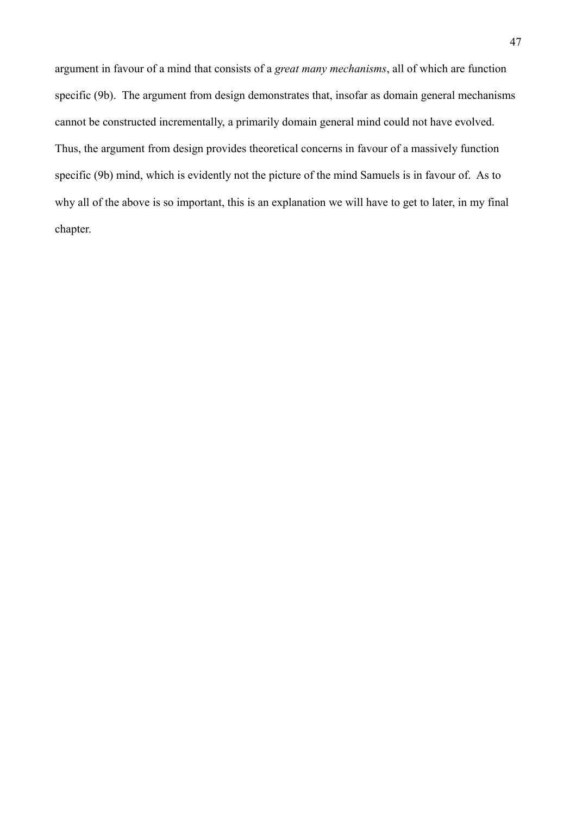argument in favour of a mind that consists of a *great many mechanisms*, all of which are function specific (9b). The argument from design demonstrates that, insofar as domain general mechanisms cannot be constructed incrementally, a primarily domain general mind could not have evolved. Thus, the argument from design provides theoretical concerns in favour of a massively function specific (9b) mind, which is evidently not the picture of the mind Samuels is in favour of. As to why all of the above is so important, this is an explanation we will have to get to later, in my final chapter.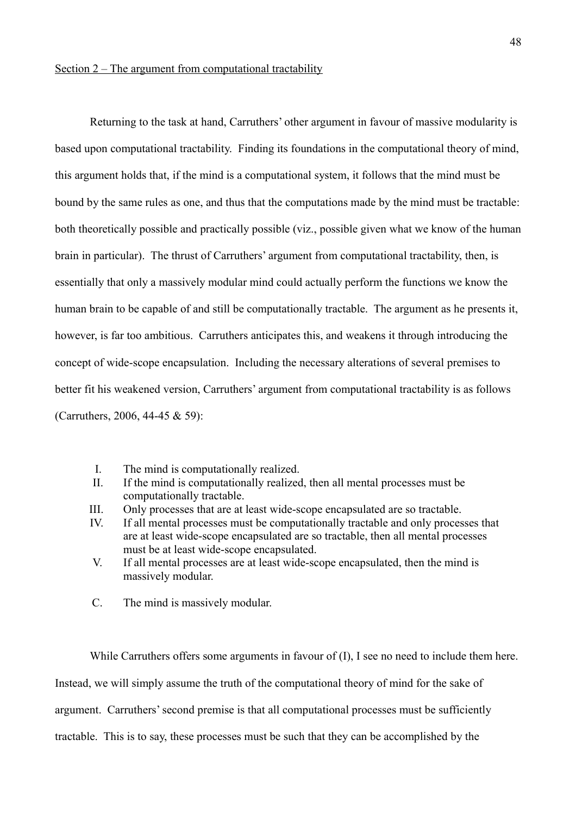Returning to the task at hand, Carruthers' other argument in favour of massive modularity is based upon computational tractability. Finding its foundations in the computational theory of mind, this argument holds that, if the mind is a computational system, it follows that the mind must be bound by the same rules as one, and thus that the computations made by the mind must be tractable: both theoretically possible and practically possible (viz., possible given what we know of the human brain in particular). The thrust of Carruthers' argument from computational tractability, then, is essentially that only a massively modular mind could actually perform the functions we know the human brain to be capable of and still be computationally tractable. The argument as he presents it, however, is far too ambitious. Carruthers anticipates this, and weakens it through introducing the concept of wide-scope encapsulation. Including the necessary alterations of several premises to better fit his weakened version, Carruthers' argument from computational tractability is as follows (Carruthers, 2006, 44-45 & 59):

- I. The mind is computationally realized.
- II. If the mind is computationally realized, then all mental processes must be computationally tractable.
- III. Only processes that are at least wide-scope encapsulated are so tractable.
- IV. If all mental processes must be computationally tractable and only processes that are at least wide-scope encapsulated are so tractable, then all mental processes must be at least wide-scope encapsulated.
- V. If all mental processes are at least wide-scope encapsulated, then the mind is massively modular.
- C. The mind is massively modular.

While Carruthers offers some arguments in favour of  $(I)$ , I see no need to include them here. Instead, we will simply assume the truth of the computational theory of mind for the sake of argument. Carruthers' second premise is that all computational processes must be sufficiently tractable. This is to say, these processes must be such that they can be accomplished by the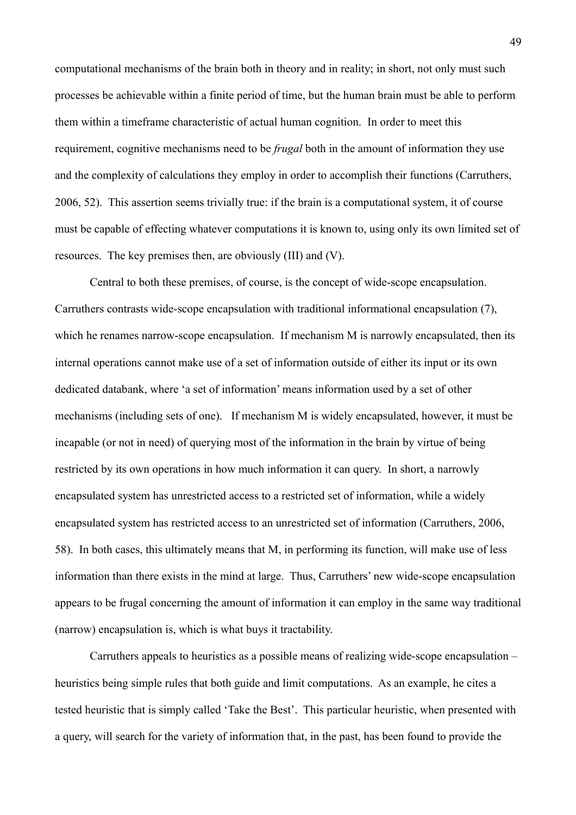computational mechanisms of the brain both in theory and in reality; in short, not only must such processes be achievable within a finite period of time, but the human brain must be able to perform them within a timeframe characteristic of actual human cognition. In order to meet this requirement, cognitive mechanisms need to be *frugal* both in the amount of information they use and the complexity of calculations they employ in order to accomplish their functions (Carruthers, 2006, 52). This assertion seems trivially true: if the brain is a computational system, it of course must be capable of effecting whatever computations it is known to, using only its own limited set of resources. The key premises then, are obviously (III) and (V).

Central to both these premises, of course, is the concept of wide-scope encapsulation. Carruthers contrasts wide-scope encapsulation with traditional informational encapsulation (7), which he renames narrow-scope encapsulation. If mechanism M is narrowly encapsulated, then its internal operations cannot make use of a set of information outside of either its input or its own dedicated databank, where 'a set of information' means information used by a set of other mechanisms (including sets of one). If mechanism M is widely encapsulated, however, it must be incapable (or not in need) of querying most of the information in the brain by virtue of being restricted by its own operations in how much information it can query. In short, a narrowly encapsulated system has unrestricted access to a restricted set of information, while a widely encapsulated system has restricted access to an unrestricted set of information (Carruthers, 2006, 58). In both cases, this ultimately means that M, in performing its function, will make use of less information than there exists in the mind at large. Thus, Carruthers' new wide-scope encapsulation appears to be frugal concerning the amount of information it can employ in the same way traditional (narrow) encapsulation is, which is what buys it tractability.

Carruthers appeals to heuristics as a possible means of realizing wide-scope encapsulation – heuristics being simple rules that both guide and limit computations. As an example, he cites a tested heuristic that is simply called 'Take the Best'. This particular heuristic, when presented with a query, will search for the variety of information that, in the past, has been found to provide the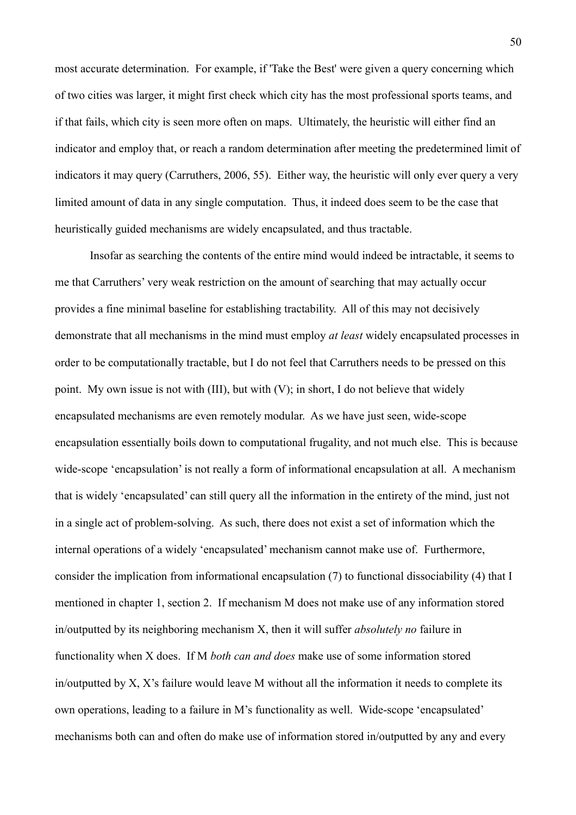most accurate determination. For example, if 'Take the Best' were given a query concerning which of two cities was larger, it might first check which city has the most professional sports teams, and if that fails, which city is seen more often on maps. Ultimately, the heuristic will either find an indicator and employ that, or reach a random determination after meeting the predetermined limit of indicators it may query (Carruthers, 2006, 55). Either way, the heuristic will only ever query a very limited amount of data in any single computation. Thus, it indeed does seem to be the case that heuristically guided mechanisms are widely encapsulated, and thus tractable.

Insofar as searching the contents of the entire mind would indeed be intractable, it seems to me that Carruthers' very weak restriction on the amount of searching that may actually occur provides a fine minimal baseline for establishing tractability. All of this may not decisively demonstrate that all mechanisms in the mind must employ *at least* widely encapsulated processes in order to be computationally tractable, but I do not feel that Carruthers needs to be pressed on this point. My own issue is not with (III), but with (V); in short, I do not believe that widely encapsulated mechanisms are even remotely modular. As we have just seen, wide-scope encapsulation essentially boils down to computational frugality, and not much else. This is because wide-scope 'encapsulation' is not really a form of informational encapsulation at all. A mechanism that is widely 'encapsulated' can still query all the information in the entirety of the mind, just not in a single act of problem-solving. As such, there does not exist a set of information which the internal operations of a widely 'encapsulated' mechanism cannot make use of. Furthermore, consider the implication from informational encapsulation (7) to functional dissociability (4) that I mentioned in chapter 1, section 2. If mechanism M does not make use of any information stored in/outputted by its neighboring mechanism X, then it will suffer *absolutely no* failure in functionality when X does. If M *both can and does* make use of some information stored in/outputted by X, X's failure would leave M without all the information it needs to complete its own operations, leading to a failure in M's functionality as well. Wide-scope 'encapsulated' mechanisms both can and often do make use of information stored in/outputted by any and every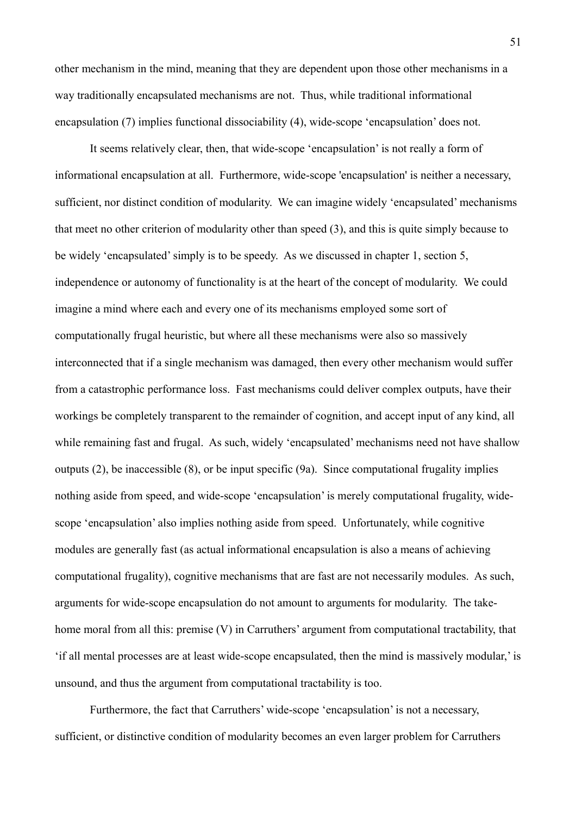other mechanism in the mind, meaning that they are dependent upon those other mechanisms in a way traditionally encapsulated mechanisms are not. Thus, while traditional informational encapsulation (7) implies functional dissociability (4), wide-scope 'encapsulation' does not.

It seems relatively clear, then, that wide-scope 'encapsulation' is not really a form of informational encapsulation at all. Furthermore, wide-scope 'encapsulation' is neither a necessary, sufficient, nor distinct condition of modularity. We can imagine widely 'encapsulated' mechanisms that meet no other criterion of modularity other than speed (3), and this is quite simply because to be widely 'encapsulated' simply is to be speedy. As we discussed in chapter 1, section 5, independence or autonomy of functionality is at the heart of the concept of modularity. We could imagine a mind where each and every one of its mechanisms employed some sort of computationally frugal heuristic, but where all these mechanisms were also so massively interconnected that if a single mechanism was damaged, then every other mechanism would suffer from a catastrophic performance loss. Fast mechanisms could deliver complex outputs, have their workings be completely transparent to the remainder of cognition, and accept input of any kind, all while remaining fast and frugal. As such, widely 'encapsulated' mechanisms need not have shallow outputs  $(2)$ , be inaccessible  $(8)$ , or be input specific  $(9a)$ . Since computational frugality implies nothing aside from speed, and wide-scope 'encapsulation' is merely computational frugality, widescope 'encapsulation' also implies nothing aside from speed. Unfortunately, while cognitive modules are generally fast (as actual informational encapsulation is also a means of achieving computational frugality), cognitive mechanisms that are fast are not necessarily modules. As such, arguments for wide-scope encapsulation do not amount to arguments for modularity. The takehome moral from all this: premise (V) in Carruthers' argument from computational tractability, that 'if all mental processes are at least wide-scope encapsulated, then the mind is massively modular,' is unsound, and thus the argument from computational tractability is too.

Furthermore, the fact that Carruthers' wide-scope 'encapsulation' is not a necessary, sufficient, or distinctive condition of modularity becomes an even larger problem for Carruthers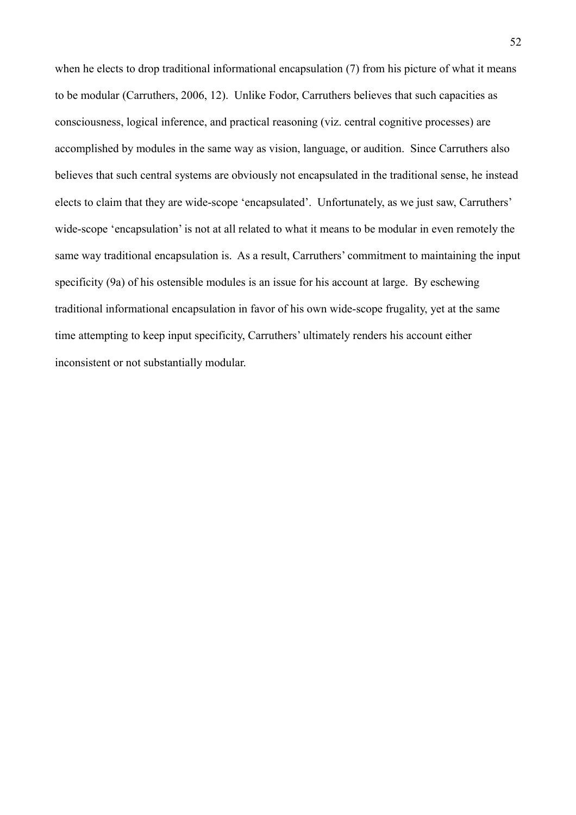when he elects to drop traditional informational encapsulation (7) from his picture of what it means to be modular (Carruthers, 2006, 12). Unlike Fodor, Carruthers believes that such capacities as consciousness, logical inference, and practical reasoning (viz. central cognitive processes) are accomplished by modules in the same way as vision, language, or audition. Since Carruthers also believes that such central systems are obviously not encapsulated in the traditional sense, he instead elects to claim that they are wide-scope 'encapsulated'. Unfortunately, as we just saw, Carruthers' wide-scope 'encapsulation' is not at all related to what it means to be modular in even remotely the same way traditional encapsulation is. As a result, Carruthers' commitment to maintaining the input specificity (9a) of his ostensible modules is an issue for his account at large. By eschewing traditional informational encapsulation in favor of his own wide-scope frugality, yet at the same time attempting to keep input specificity, Carruthers' ultimately renders his account either inconsistent or not substantially modular.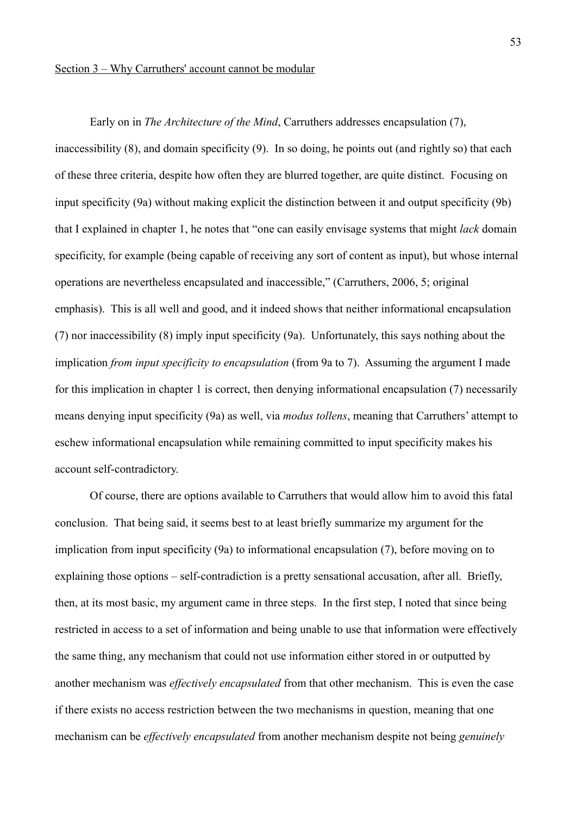Early on in *The Architecture of the Mind*, Carruthers addresses encapsulation (7), inaccessibility (8), and domain specificity (9). In so doing, he points out (and rightly so) that each of these three criteria, despite how often they are blurred together, are quite distinct. Focusing on input specificity (9a) without making explicit the distinction between it and output specificity (9b) that I explained in chapter 1, he notes that "one can easily envisage systems that might *lack* domain specificity, for example (being capable of receiving any sort of content as input), but whose internal operations are nevertheless encapsulated and inaccessible," (Carruthers, 2006, 5; original emphasis). This is all well and good, and it indeed shows that neither informational encapsulation (7) nor inaccessibility (8) imply input specificity (9a). Unfortunately, this says nothing about the implication *from input specificity to encapsulation* (from 9a to 7). Assuming the argument I made for this implication in chapter 1 is correct, then denying informational encapsulation (7) necessarily means denying input specificity (9a) as well, via *modus tollens*, meaning that Carruthers' attempt to eschew informational encapsulation while remaining committed to input specificity makes his account self-contradictory.

Of course, there are options available to Carruthers that would allow him to avoid this fatal conclusion. That being said, it seems best to at least briefly summarize my argument for the implication from input specificity (9a) to informational encapsulation (7), before moving on to explaining those options – self-contradiction is a pretty sensational accusation, after all. Briefly, then, at its most basic, my argument came in three steps. In the first step, I noted that since being restricted in access to a set of information and being unable to use that information were effectively the same thing, any mechanism that could not use information either stored in or outputted by another mechanism was *effectively encapsulated* from that other mechanism. This is even the case if there exists no access restriction between the two mechanisms in question, meaning that one mechanism can be *effectively encapsulated* from another mechanism despite not being *genuinely*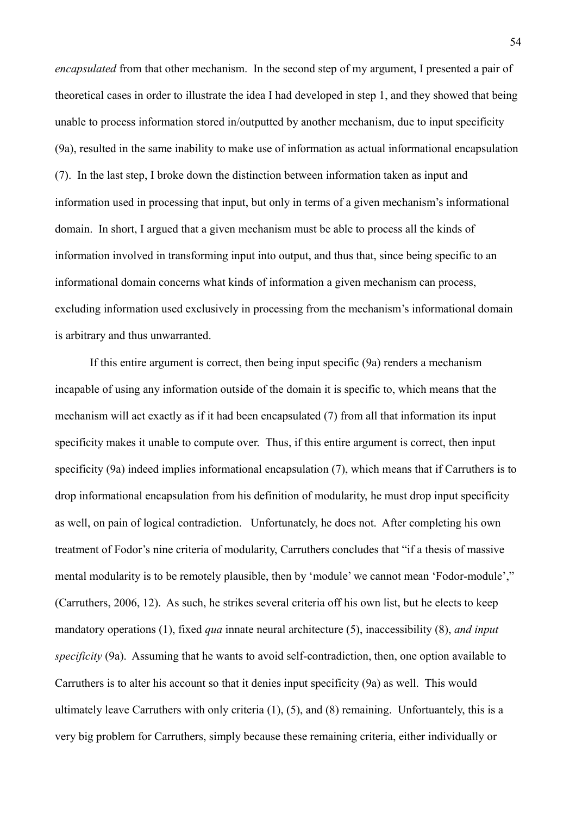*encapsulated* from that other mechanism. In the second step of my argument, I presented a pair of theoretical cases in order to illustrate the idea I had developed in step 1, and they showed that being unable to process information stored in/outputted by another mechanism, due to input specificity (9a), resulted in the same inability to make use of information as actual informational encapsulation (7). In the last step, I broke down the distinction between information taken as input and information used in processing that input, but only in terms of a given mechanism's informational domain. In short, I argued that a given mechanism must be able to process all the kinds of information involved in transforming input into output, and thus that, since being specific to an informational domain concerns what kinds of information a given mechanism can process, excluding information used exclusively in processing from the mechanism's informational domain is arbitrary and thus unwarranted.

If this entire argument is correct, then being input specific (9a) renders a mechanism incapable of using any information outside of the domain it is specific to, which means that the mechanism will act exactly as if it had been encapsulated (7) from all that information its input specificity makes it unable to compute over. Thus, if this entire argument is correct, then input specificity (9a) indeed implies informational encapsulation (7), which means that if Carruthers is to drop informational encapsulation from his definition of modularity, he must drop input specificity as well, on pain of logical contradiction. Unfortunately, he does not. After completing his own treatment of Fodor's nine criteria of modularity, Carruthers concludes that "if a thesis of massive mental modularity is to be remotely plausible, then by 'module' we cannot mean 'Fodor-module'," (Carruthers, 2006, 12). As such, he strikes several criteria off his own list, but he elects to keep mandatory operations (1), fixed *qua* innate neural architecture (5), inaccessibility (8), *and input specificity* (9a). Assuming that he wants to avoid self-contradiction, then, one option available to Carruthers is to alter his account so that it denies input specificity (9a) as well. This would ultimately leave Carruthers with only criteria (1), (5), and (8) remaining. Unfortuantely, this is a very big problem for Carruthers, simply because these remaining criteria, either individually or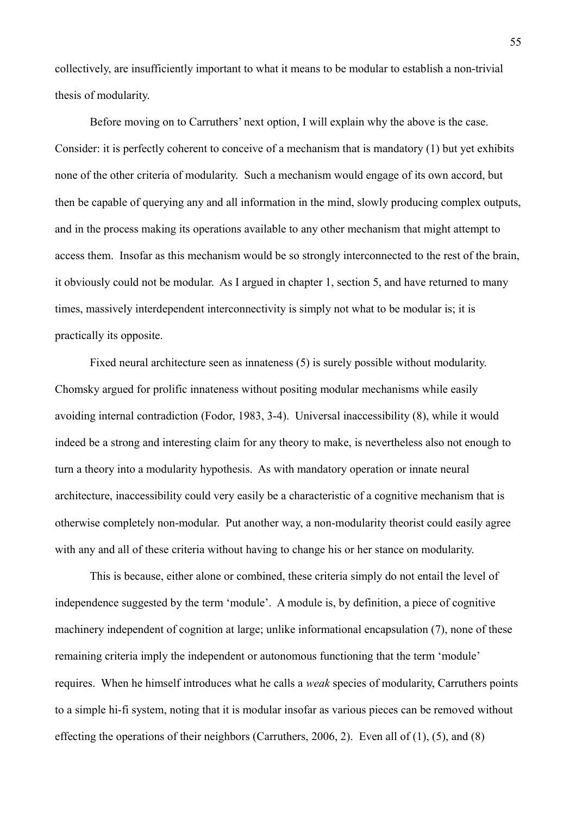collectively, are insufficiently important to what it means to be modular to establish a non-trivial thesis of modularity.

Before moving on to Carruthers' next option, I will explain why the above is the case. Consider: it is perfectly coherent to conceive of a mechanism that is mandatory (1) but yet exhibits none of the other criteria of modularity. Such a mechanism would engage of its own accord, but then be capable of querying any and all information in the mind, slowly producing complex outputs, and in the process making its operations available to any other mechanism that might attempt to access them. Insofar as this mechanism would be so strongly interconnected to the rest of the brain, it obviously could not be modular. As I argued in chapter 1, section 5, and have returned to many times, massively interdependent interconnectivity is simply not what to be modular is; it is practically its opposite.

Fixed neural architecture seen as innateness (5) is surely possible without modularity. Chomsky argued for prolific innateness without positing modular mechanisms while easily avoiding internal contradiction (Fodor, 1983, 3-4). Universal inaccessibility (8), while it would indeed be a strong and interesting claim for any theory to make, is nevertheless also not enough to turn a theory into a modularity hypothesis. As with mandatory operation or innate neural architecture, inaccessibility could very easily be a characteristic of a cognitive mechanism that is otherwise completely non-modular. Put another way, a non-modularity theorist could easily agree with any and all of these criteria without having to change his or her stance on modularity.

This is because, either alone or combined, these criteria simply do not entail the level of independence suggested by the term 'module'. A module is, by definition, a piece of cognitive machinery independent of cognition at large; unlike informational encapsulation (7), none of these remaining criteria imply the independent or autonomous functioning that the term 'module' requires. When he himself introduces what he calls a *weak* species of modularity, Carruthers points to a simple hi-fi system, noting that it is modular insofar as various pieces can be removed without effecting the operations of their neighbors (Carruthers, 2006, 2). Even all of (1), (5), and (8)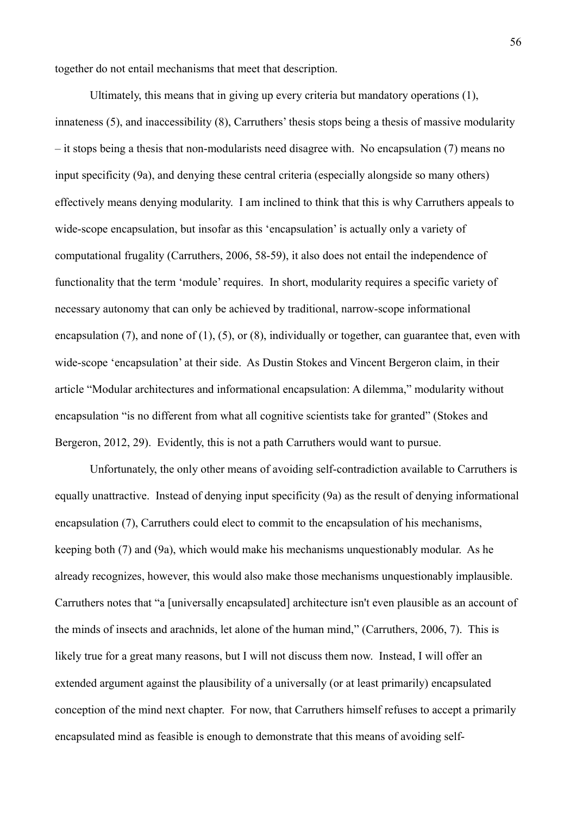together do not entail mechanisms that meet that description.

Ultimately, this means that in giving up every criteria but mandatory operations (1), innateness (5), and inaccessibility (8), Carruthers' thesis stops being a thesis of massive modularity – it stops being a thesis that non-modularists need disagree with. No encapsulation (7) means no input specificity (9a), and denying these central criteria (especially alongside so many others) effectively means denying modularity. I am inclined to think that this is why Carruthers appeals to wide-scope encapsulation, but insofar as this 'encapsulation' is actually only a variety of computational frugality (Carruthers, 2006, 58-59), it also does not entail the independence of functionality that the term 'module' requires. In short, modularity requires a specific variety of necessary autonomy that can only be achieved by traditional, narrow-scope informational encapsulation (7), and none of (1), (5), or (8), individually or together, can guarantee that, even with wide-scope 'encapsulation' at their side. As Dustin Stokes and Vincent Bergeron claim, in their article "Modular architectures and informational encapsulation: A dilemma," modularity without encapsulation "is no different from what all cognitive scientists take for granted" (Stokes and Bergeron, 2012, 29). Evidently, this is not a path Carruthers would want to pursue.

Unfortunately, the only other means of avoiding self-contradiction available to Carruthers is equally unattractive. Instead of denying input specificity (9a) as the result of denying informational encapsulation (7), Carruthers could elect to commit to the encapsulation of his mechanisms, keeping both (7) and (9a), which would make his mechanisms unquestionably modular. As he already recognizes, however, this would also make those mechanisms unquestionably implausible. Carruthers notes that "a [universally encapsulated] architecture isn't even plausible as an account of the minds of insects and arachnids, let alone of the human mind," (Carruthers, 2006, 7). This is likely true for a great many reasons, but I will not discuss them now. Instead, I will offer an extended argument against the plausibility of a universally (or at least primarily) encapsulated conception of the mind next chapter. For now, that Carruthers himself refuses to accept a primarily encapsulated mind as feasible is enough to demonstrate that this means of avoiding self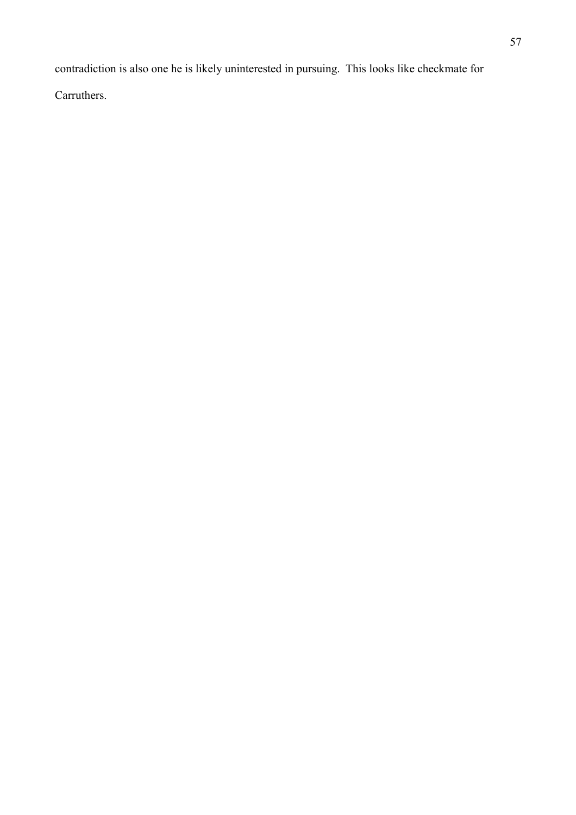contradiction is also one he is likely uninterested in pursuing. This looks like checkmate for

Carruthers.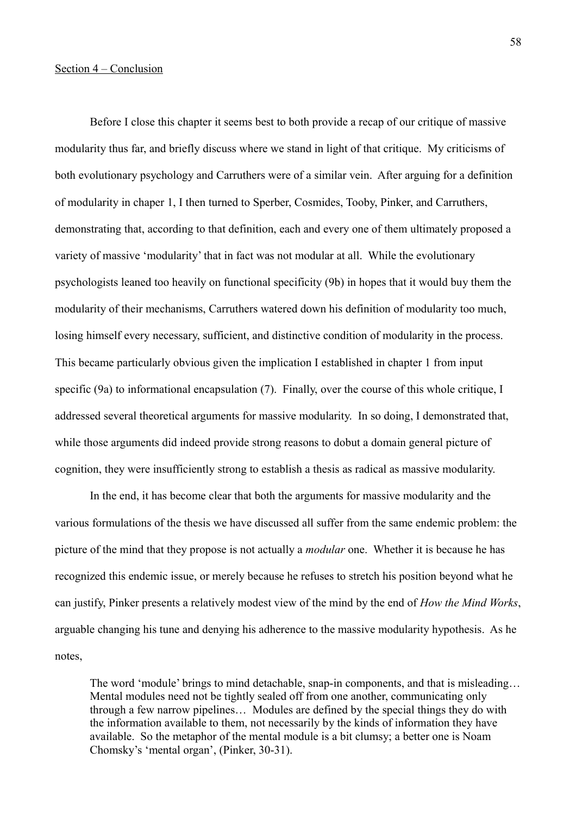Before I close this chapter it seems best to both provide a recap of our critique of massive modularity thus far, and briefly discuss where we stand in light of that critique. My criticisms of both evolutionary psychology and Carruthers were of a similar vein. After arguing for a definition of modularity in chaper 1, I then turned to Sperber, Cosmides, Tooby, Pinker, and Carruthers, demonstrating that, according to that definition, each and every one of them ultimately proposed a variety of massive 'modularity' that in fact was not modular at all. While the evolutionary psychologists leaned too heavily on functional specificity (9b) in hopes that it would buy them the modularity of their mechanisms, Carruthers watered down his definition of modularity too much, losing himself every necessary, sufficient, and distinctive condition of modularity in the process. This became particularly obvious given the implication I established in chapter 1 from input specific (9a) to informational encapsulation (7). Finally, over the course of this whole critique, I addressed several theoretical arguments for massive modularity. In so doing, I demonstrated that, while those arguments did indeed provide strong reasons to dobut a domain general picture of cognition, they were insufficiently strong to establish a thesis as radical as massive modularity.

In the end, it has become clear that both the arguments for massive modularity and the various formulations of the thesis we have discussed all suffer from the same endemic problem: the picture of the mind that they propose is not actually a *modular* one. Whether it is because he has recognized this endemic issue, or merely because he refuses to stretch his position beyond what he can justify, Pinker presents a relatively modest view of the mind by the end of *How the Mind Works*, arguable changing his tune and denying his adherence to the massive modularity hypothesis. As he notes,

The word 'module' brings to mind detachable, snap-in components, and that is misleading… Mental modules need not be tightly sealed off from one another, communicating only through a few narrow pipelines… Modules are defined by the special things they do with the information available to them, not necessarily by the kinds of information they have available. So the metaphor of the mental module is a bit clumsy; a better one is Noam Chomsky's 'mental organ', (Pinker, 30-31).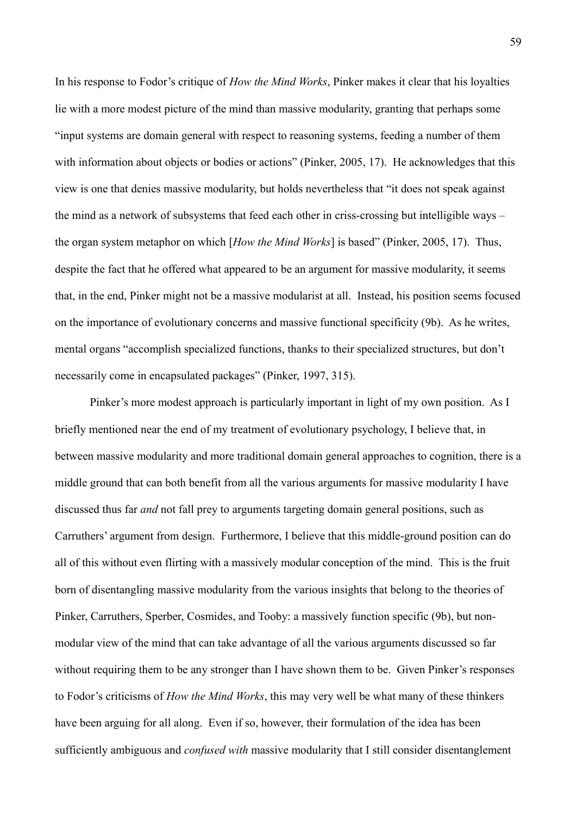In his response to Fodor's critique of *How the Mind Works*, Pinker makes it clear that his loyalties lie with a more modest picture of the mind than massive modularity, granting that perhaps some "input systems are domain general with respect to reasoning systems, feeding a number of them with information about objects or bodies or actions" (Pinker, 2005, 17). He acknowledges that this view is one that denies massive modularity, but holds nevertheless that "it does not speak against the mind as a network of subsystems that feed each other in criss-crossing but intelligible ways – the organ system metaphor on which [*How the Mind Works*] is based" (Pinker, 2005, 17). Thus, despite the fact that he offered what appeared to be an argument for massive modularity, it seems that, in the end, Pinker might not be a massive modularist at all. Instead, his position seems focused on the importance of evolutionary concerns and massive functional specificity (9b). As he writes, mental organs "accomplish specialized functions, thanks to their specialized structures, but don't necessarily come in encapsulated packages" (Pinker, 1997, 315).

Pinker's more modest approach is particularly important in light of my own position. As I briefly mentioned near the end of my treatment of evolutionary psychology, I believe that, in between massive modularity and more traditional domain general approaches to cognition, there is a middle ground that can both benefit from all the various arguments for massive modularity I have discussed thus far *and* not fall prey to arguments targeting domain general positions, such as Carruthers' argument from design. Furthermore, I believe that this middle-ground position can do all of this without even flirting with a massively modular conception of the mind. This is the fruit born of disentangling massive modularity from the various insights that belong to the theories of Pinker, Carruthers, Sperber, Cosmides, and Tooby: a massively function specific (9b), but nonmodular view of the mind that can take advantage of all the various arguments discussed so far without requiring them to be any stronger than I have shown them to be. Given Pinker's responses to Fodor's criticisms of *How the Mind Works*, this may very well be what many of these thinkers have been arguing for all along. Even if so, however, their formulation of the idea has been sufficiently ambiguous and *confused with* massive modularity that I still consider disentanglement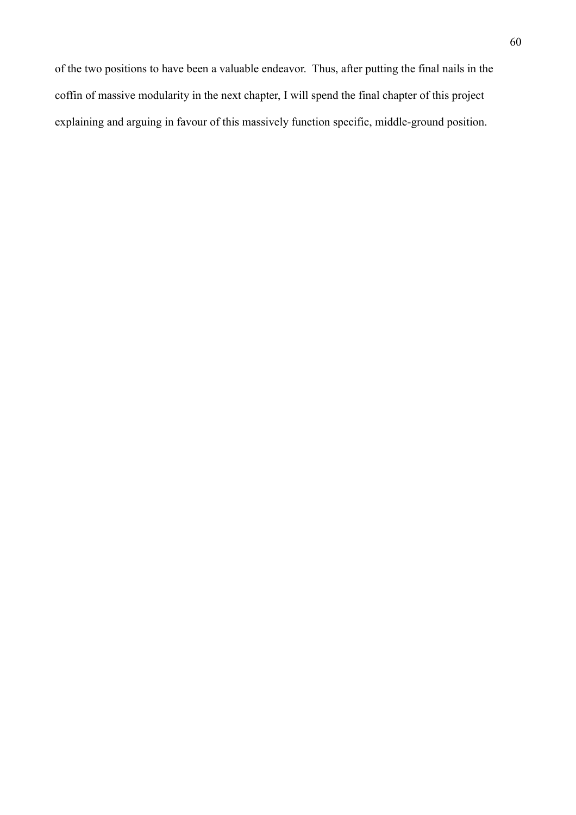of the two positions to have been a valuable endeavor. Thus, after putting the final nails in the coffin of massive modularity in the next chapter, I will spend the final chapter of this project explaining and arguing in favour of this massively function specific, middle-ground position.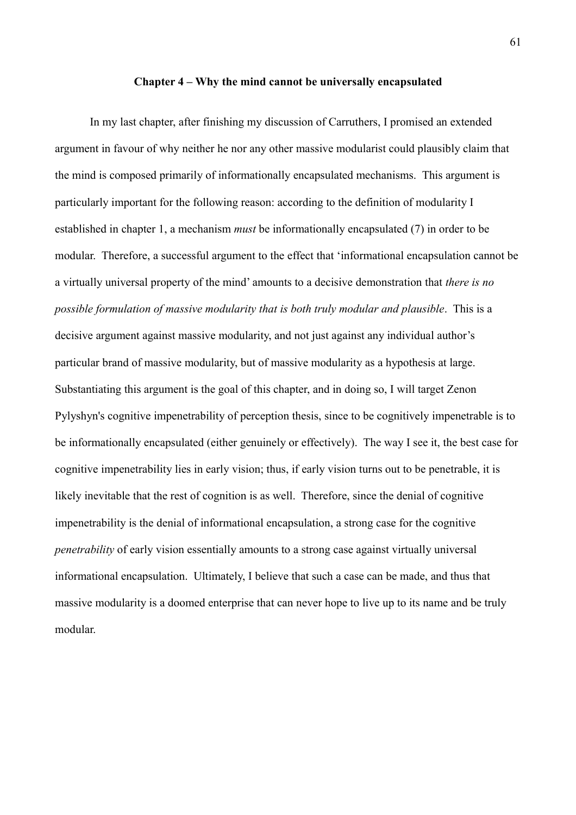#### **Chapter 4 – Why the mind cannot be universally encapsulated**

In my last chapter, after finishing my discussion of Carruthers, I promised an extended argument in favour of why neither he nor any other massive modularist could plausibly claim that the mind is composed primarily of informationally encapsulated mechanisms. This argument is particularly important for the following reason: according to the definition of modularity I established in chapter 1, a mechanism *must* be informationally encapsulated (7) in order to be modular. Therefore, a successful argument to the effect that 'informational encapsulation cannot be a virtually universal property of the mind' amounts to a decisive demonstration that *there is no possible formulation of massive modularity that is both truly modular and plausible*. This is a decisive argument against massive modularity, and not just against any individual author's particular brand of massive modularity, but of massive modularity as a hypothesis at large. Substantiating this argument is the goal of this chapter, and in doing so, I will target Zenon Pylyshyn's cognitive impenetrability of perception thesis, since to be cognitively impenetrable is to be informationally encapsulated (either genuinely or effectively). The way I see it, the best case for cognitive impenetrability lies in early vision; thus, if early vision turns out to be penetrable, it is likely inevitable that the rest of cognition is as well. Therefore, since the denial of cognitive impenetrability is the denial of informational encapsulation, a strong case for the cognitive *penetrability* of early vision essentially amounts to a strong case against virtually universal informational encapsulation. Ultimately, I believe that such a case can be made, and thus that massive modularity is a doomed enterprise that can never hope to live up to its name and be truly modular.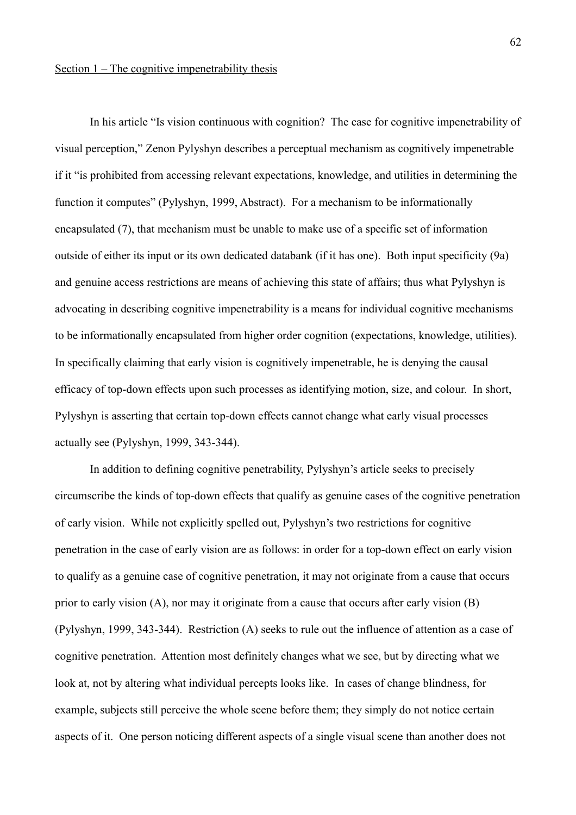In his article "Is vision continuous with cognition? The case for cognitive impenetrability of visual perception," Zenon Pylyshyn describes a perceptual mechanism as cognitively impenetrable if it "is prohibited from accessing relevant expectations, knowledge, and utilities in determining the function it computes" (Pylyshyn, 1999, Abstract). For a mechanism to be informationally encapsulated (7), that mechanism must be unable to make use of a specific set of information outside of either its input or its own dedicated databank (if it has one). Both input specificity (9a) and genuine access restrictions are means of achieving this state of affairs; thus what Pylyshyn is advocating in describing cognitive impenetrability is a means for individual cognitive mechanisms to be informationally encapsulated from higher order cognition (expectations, knowledge, utilities). In specifically claiming that early vision is cognitively impenetrable, he is denying the causal efficacy of top-down effects upon such processes as identifying motion, size, and colour. In short, Pylyshyn is asserting that certain top-down effects cannot change what early visual processes actually see (Pylyshyn, 1999, 343-344).

In addition to defining cognitive penetrability, Pylyshyn's article seeks to precisely circumscribe the kinds of top-down effects that qualify as genuine cases of the cognitive penetration of early vision. While not explicitly spelled out, Pylyshyn's two restrictions for cognitive penetration in the case of early vision are as follows: in order for a top-down effect on early vision to qualify as a genuine case of cognitive penetration, it may not originate from a cause that occurs prior to early vision (A), nor may it originate from a cause that occurs after early vision (B) (Pylyshyn, 1999, 343-344). Restriction (A) seeks to rule out the influence of attention as a case of cognitive penetration. Attention most definitely changes what we see, but by directing what we look at, not by altering what individual percepts looks like. In cases of change blindness, for example, subjects still perceive the whole scene before them; they simply do not notice certain aspects of it. One person noticing different aspects of a single visual scene than another does not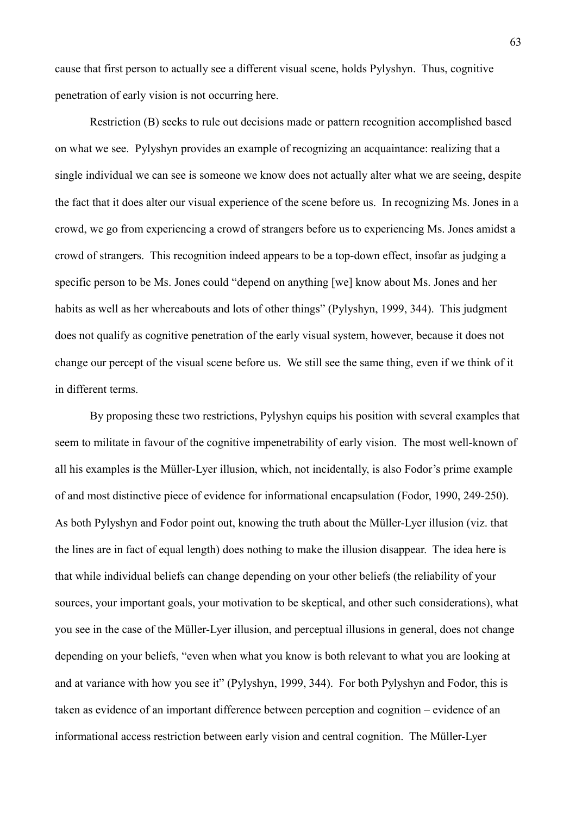cause that first person to actually see a different visual scene, holds Pylyshyn. Thus, cognitive penetration of early vision is not occurring here.

Restriction (B) seeks to rule out decisions made or pattern recognition accomplished based on what we see. Pylyshyn provides an example of recognizing an acquaintance: realizing that a single individual we can see is someone we know does not actually alter what we are seeing, despite the fact that it does alter our visual experience of the scene before us. In recognizing Ms. Jones in a crowd, we go from experiencing a crowd of strangers before us to experiencing Ms. Jones amidst a crowd of strangers. This recognition indeed appears to be a top-down effect, insofar as judging a specific person to be Ms. Jones could "depend on anything [we] know about Ms. Jones and her habits as well as her whereabouts and lots of other things" (Pylyshyn, 1999, 344). This judgment does not qualify as cognitive penetration of the early visual system, however, because it does not change our percept of the visual scene before us. We still see the same thing, even if we think of it in different terms.

By proposing these two restrictions, Pylyshyn equips his position with several examples that seem to militate in favour of the cognitive impenetrability of early vision. The most well-known of all his examples is the Müller-Lyer illusion, which, not incidentally, is also Fodor's prime example of and most distinctive piece of evidence for informational encapsulation (Fodor, 1990, 249-250). As both Pylyshyn and Fodor point out, knowing the truth about the Müller-Lyer illusion (viz. that the lines are in fact of equal length) does nothing to make the illusion disappear. The idea here is that while individual beliefs can change depending on your other beliefs (the reliability of your sources, your important goals, your motivation to be skeptical, and other such considerations), what you see in the case of the Müller-Lyer illusion, and perceptual illusions in general, does not change depending on your beliefs, "even when what you know is both relevant to what you are looking at and at variance with how you see it" (Pylyshyn, 1999, 344). For both Pylyshyn and Fodor, this is taken as evidence of an important difference between perception and cognition – evidence of an informational access restriction between early vision and central cognition. The Müller-Lyer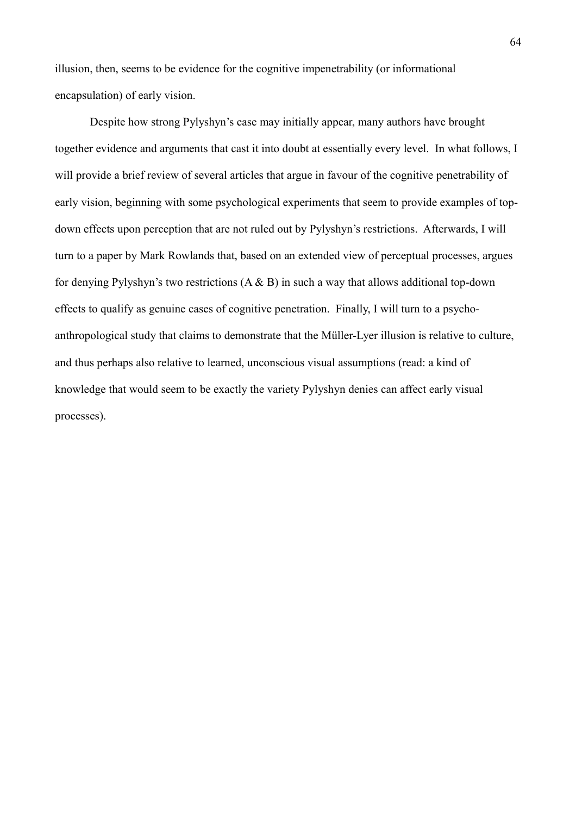illusion, then, seems to be evidence for the cognitive impenetrability (or informational encapsulation) of early vision.

Despite how strong Pylyshyn's case may initially appear, many authors have brought together evidence and arguments that cast it into doubt at essentially every level. In what follows, I will provide a brief review of several articles that argue in favour of the cognitive penetrability of early vision, beginning with some psychological experiments that seem to provide examples of topdown effects upon perception that are not ruled out by Pylyshyn's restrictions. Afterwards, I will turn to a paper by Mark Rowlands that, based on an extended view of perceptual processes, argues for denying Pylyshyn's two restrictions  $(A & B)$  in such a way that allows additional top-down effects to qualify as genuine cases of cognitive penetration. Finally, I will turn to a psychoanthropological study that claims to demonstrate that the Müller-Lyer illusion is relative to culture, and thus perhaps also relative to learned, unconscious visual assumptions (read: a kind of knowledge that would seem to be exactly the variety Pylyshyn denies can affect early visual processes).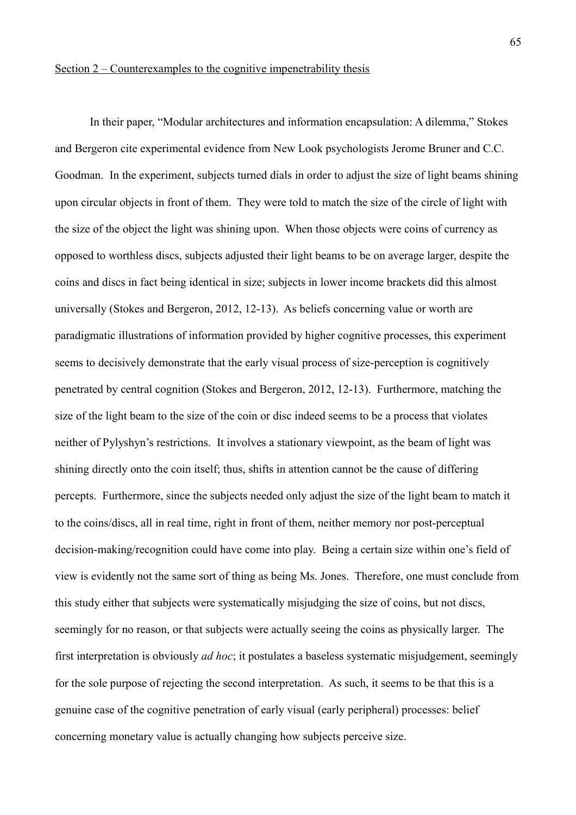In their paper, "Modular architectures and information encapsulation: A dilemma," Stokes and Bergeron cite experimental evidence from New Look psychologists Jerome Bruner and C.C. Goodman. In the experiment, subjects turned dials in order to adjust the size of light beams shining upon circular objects in front of them. They were told to match the size of the circle of light with the size of the object the light was shining upon. When those objects were coins of currency as opposed to worthless discs, subjects adjusted their light beams to be on average larger, despite the coins and discs in fact being identical in size; subjects in lower income brackets did this almost universally (Stokes and Bergeron, 2012, 12-13). As beliefs concerning value or worth are paradigmatic illustrations of information provided by higher cognitive processes, this experiment seems to decisively demonstrate that the early visual process of size-perception is cognitively penetrated by central cognition (Stokes and Bergeron, 2012, 12-13). Furthermore, matching the size of the light beam to the size of the coin or disc indeed seems to be a process that violates neither of Pylyshyn's restrictions. It involves a stationary viewpoint, as the beam of light was shining directly onto the coin itself; thus, shifts in attention cannot be the cause of differing percepts. Furthermore, since the subjects needed only adjust the size of the light beam to match it to the coins/discs, all in real time, right in front of them, neither memory nor post-perceptual decision-making/recognition could have come into play. Being a certain size within one's field of view is evidently not the same sort of thing as being Ms. Jones. Therefore, one must conclude from this study either that subjects were systematically misjudging the size of coins, but not discs, seemingly for no reason, or that subjects were actually seeing the coins as physically larger. The first interpretation is obviously *ad hoc*; it postulates a baseless systematic misjudgement, seemingly for the sole purpose of rejecting the second interpretation. As such, it seems to be that this is a genuine case of the cognitive penetration of early visual (early peripheral) processes: belief concerning monetary value is actually changing how subjects perceive size.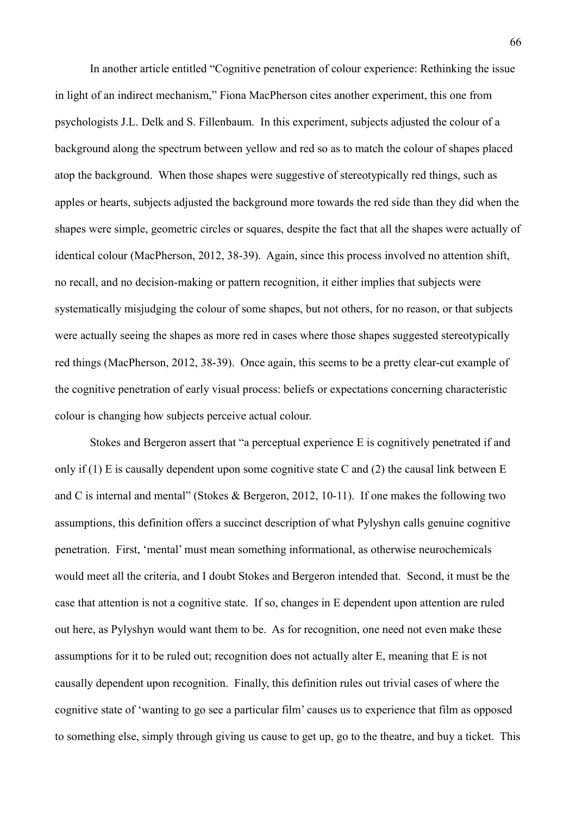In another article entitled "Cognitive penetration of colour experience: Rethinking the issue in light of an indirect mechanism," Fiona MacPherson cites another experiment, this one from psychologists J.L. Delk and S. Fillenbaum. In this experiment, subjects adjusted the colour of a background along the spectrum between yellow and red so as to match the colour of shapes placed atop the background. When those shapes were suggestive of stereotypically red things, such as apples or hearts, subjects adjusted the background more towards the red side than they did when the shapes were simple, geometric circles or squares, despite the fact that all the shapes were actually of identical colour (MacPherson, 2012, 38-39). Again, since this process involved no attention shift, no recall, and no decision-making or pattern recognition, it either implies that subjects were systematically misjudging the colour of some shapes, but not others, for no reason, or that subjects were actually seeing the shapes as more red in cases where those shapes suggested stereotypically red things (MacPherson, 2012, 38-39). Once again, this seems to be a pretty clear-cut example of the cognitive penetration of early visual process: beliefs or expectations concerning characteristic colour is changing how subjects perceive actual colour.

Stokes and Bergeron assert that "a perceptual experience E is cognitively penetrated if and only if (1) E is causally dependent upon some cognitive state C and (2) the causal link between E and C is internal and mental" (Stokes & Bergeron, 2012, 10-11). If one makes the following two assumptions, this definition offers a succinct description of what Pylyshyn calls genuine cognitive penetration. First, 'mental' must mean something informational, as otherwise neurochemicals would meet all the criteria, and I doubt Stokes and Bergeron intended that. Second, it must be the case that attention is not a cognitive state. If so, changes in E dependent upon attention are ruled out here, as Pylyshyn would want them to be. As for recognition, one need not even make these assumptions for it to be ruled out; recognition does not actually alter E, meaning that E is not causally dependent upon recognition. Finally, this definition rules out trivial cases of where the cognitive state of 'wanting to go see a particular film' causes us to experience that film as opposed to something else, simply through giving us cause to get up, go to the theatre, and buy a ticket. This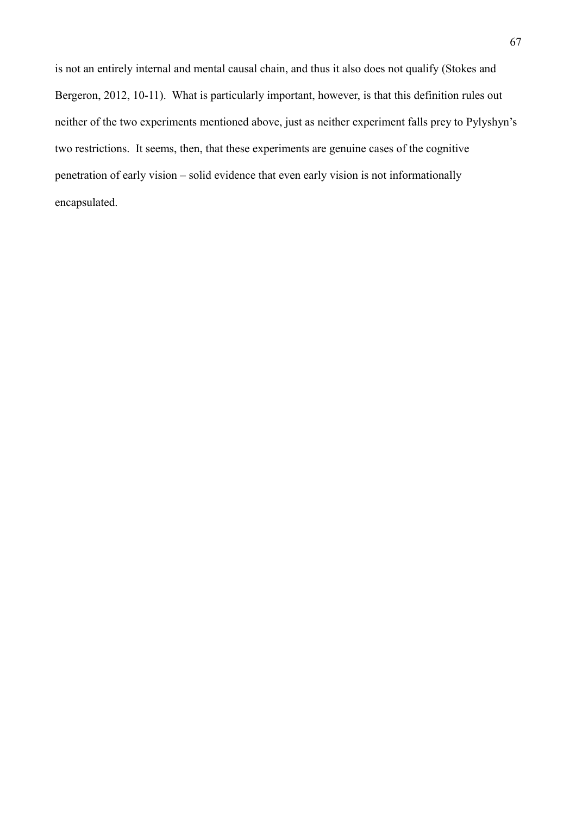is not an entirely internal and mental causal chain, and thus it also does not qualify (Stokes and Bergeron, 2012, 10-11). What is particularly important, however, is that this definition rules out neither of the two experiments mentioned above, just as neither experiment falls prey to Pylyshyn's two restrictions. It seems, then, that these experiments are genuine cases of the cognitive penetration of early vision – solid evidence that even early vision is not informationally encapsulated.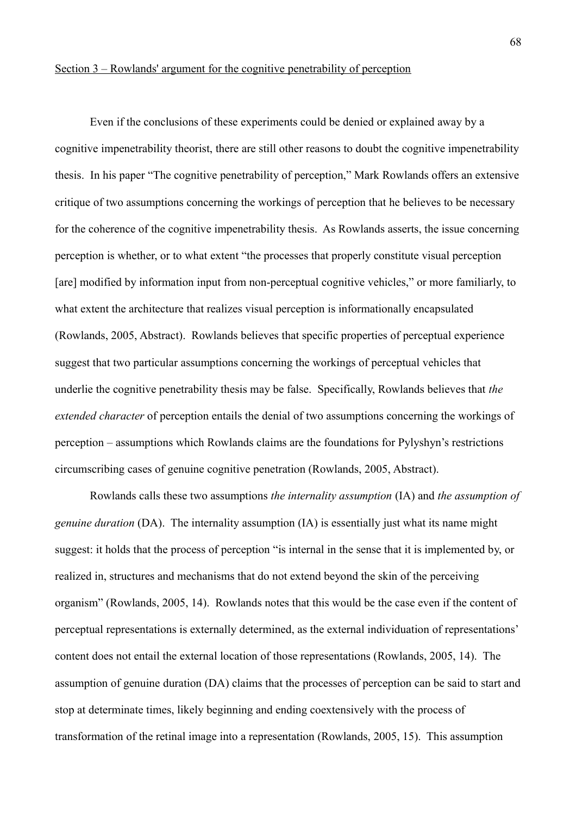### Section 3 – Rowlands' argument for the cognitive penetrability of perception

Even if the conclusions of these experiments could be denied or explained away by a cognitive impenetrability theorist, there are still other reasons to doubt the cognitive impenetrability thesis. In his paper "The cognitive penetrability of perception," Mark Rowlands offers an extensive critique of two assumptions concerning the workings of perception that he believes to be necessary for the coherence of the cognitive impenetrability thesis. As Rowlands asserts, the issue concerning perception is whether, or to what extent "the processes that properly constitute visual perception [are] modified by information input from non-perceptual cognitive vehicles," or more familiarly, to what extent the architecture that realizes visual perception is informationally encapsulated (Rowlands, 2005, Abstract). Rowlands believes that specific properties of perceptual experience suggest that two particular assumptions concerning the workings of perceptual vehicles that underlie the cognitive penetrability thesis may be false. Specifically, Rowlands believes that *the extended character* of perception entails the denial of two assumptions concerning the workings of perception – assumptions which Rowlands claims are the foundations for Pylyshyn's restrictions circumscribing cases of genuine cognitive penetration (Rowlands, 2005, Abstract).

Rowlands calls these two assumptions *the internality assumption* (IA) and *the assumption of genuine duration* (DA). The internality assumption (IA) is essentially just what its name might suggest: it holds that the process of perception "is internal in the sense that it is implemented by, or realized in, structures and mechanisms that do not extend beyond the skin of the perceiving organism" (Rowlands, 2005, 14). Rowlands notes that this would be the case even if the content of perceptual representations is externally determined, as the external individuation of representations' content does not entail the external location of those representations (Rowlands, 2005, 14). The assumption of genuine duration (DA) claims that the processes of perception can be said to start and stop at determinate times, likely beginning and ending coextensively with the process of transformation of the retinal image into a representation (Rowlands, 2005, 15). This assumption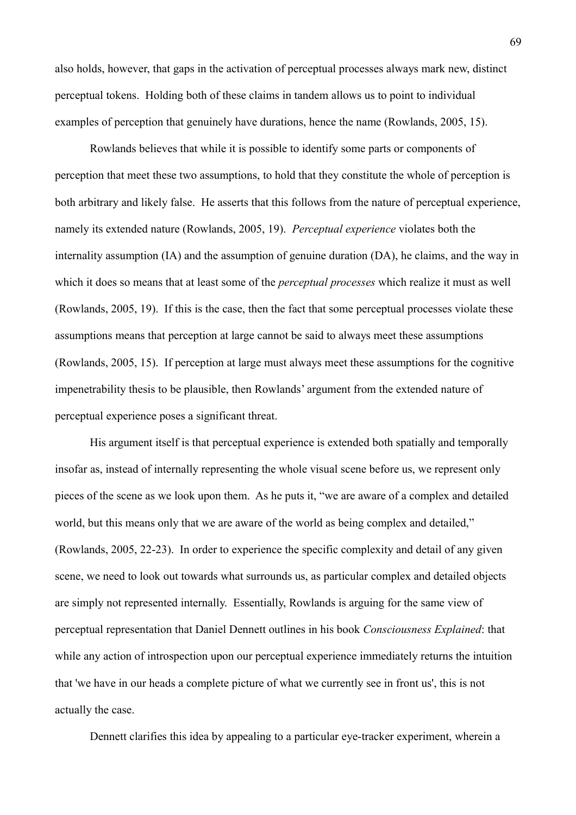also holds, however, that gaps in the activation of perceptual processes always mark new, distinct perceptual tokens. Holding both of these claims in tandem allows us to point to individual examples of perception that genuinely have durations, hence the name (Rowlands, 2005, 15).

Rowlands believes that while it is possible to identify some parts or components of perception that meet these two assumptions, to hold that they constitute the whole of perception is both arbitrary and likely false. He asserts that this follows from the nature of perceptual experience, namely its extended nature (Rowlands, 2005, 19). *Perceptual experience* violates both the internality assumption (IA) and the assumption of genuine duration (DA), he claims, and the way in which it does so means that at least some of the *perceptual processes* which realize it must as well (Rowlands, 2005, 19). If this is the case, then the fact that some perceptual processes violate these assumptions means that perception at large cannot be said to always meet these assumptions (Rowlands, 2005, 15). If perception at large must always meet these assumptions for the cognitive impenetrability thesis to be plausible, then Rowlands' argument from the extended nature of perceptual experience poses a significant threat.

His argument itself is that perceptual experience is extended both spatially and temporally insofar as, instead of internally representing the whole visual scene before us, we represent only pieces of the scene as we look upon them. As he puts it, "we are aware of a complex and detailed world, but this means only that we are aware of the world as being complex and detailed," (Rowlands, 2005, 22-23). In order to experience the specific complexity and detail of any given scene, we need to look out towards what surrounds us, as particular complex and detailed objects are simply not represented internally. Essentially, Rowlands is arguing for the same view of perceptual representation that Daniel Dennett outlines in his book *Consciousness Explained*: that while any action of introspection upon our perceptual experience immediately returns the intuition that 'we have in our heads a complete picture of what we currently see in front us', this is not actually the case.

Dennett clarifies this idea by appealing to a particular eye-tracker experiment, wherein a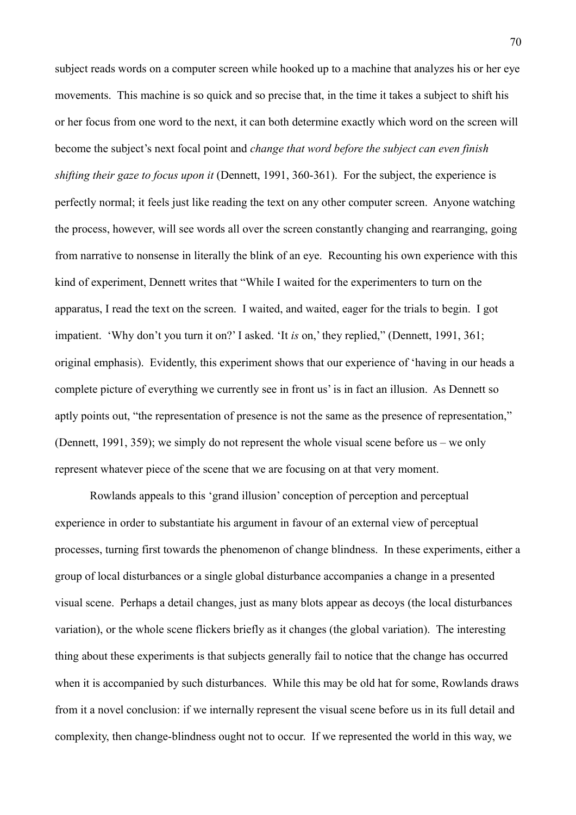subject reads words on a computer screen while hooked up to a machine that analyzes his or her eye movements. This machine is so quick and so precise that, in the time it takes a subject to shift his or her focus from one word to the next, it can both determine exactly which word on the screen will become the subject's next focal point and *change that word before the subject can even finish shifting their gaze to focus upon it (Dennett, 1991, 360-361). For the subject, the experience is* perfectly normal; it feels just like reading the text on any other computer screen. Anyone watching the process, however, will see words all over the screen constantly changing and rearranging, going from narrative to nonsense in literally the blink of an eye. Recounting his own experience with this kind of experiment, Dennett writes that "While I waited for the experimenters to turn on the apparatus, I read the text on the screen. I waited, and waited, eager for the trials to begin. I got impatient. 'Why don't you turn it on?' I asked. 'It *is* on,' they replied," (Dennett, 1991, 361; original emphasis). Evidently, this experiment shows that our experience of 'having in our heads a complete picture of everything we currently see in front us' is in fact an illusion. As Dennett so aptly points out, "the representation of presence is not the same as the presence of representation," (Dennett, 1991, 359); we simply do not represent the whole visual scene before us – we only represent whatever piece of the scene that we are focusing on at that very moment.

Rowlands appeals to this 'grand illusion' conception of perception and perceptual experience in order to substantiate his argument in favour of an external view of perceptual processes, turning first towards the phenomenon of change blindness. In these experiments, either a group of local disturbances or a single global disturbance accompanies a change in a presented visual scene. Perhaps a detail changes, just as many blots appear as decoys (the local disturbances variation), or the whole scene flickers briefly as it changes (the global variation). The interesting thing about these experiments is that subjects generally fail to notice that the change has occurred when it is accompanied by such disturbances. While this may be old hat for some, Rowlands draws from it a novel conclusion: if we internally represent the visual scene before us in its full detail and complexity, then change-blindness ought not to occur. If we represented the world in this way, we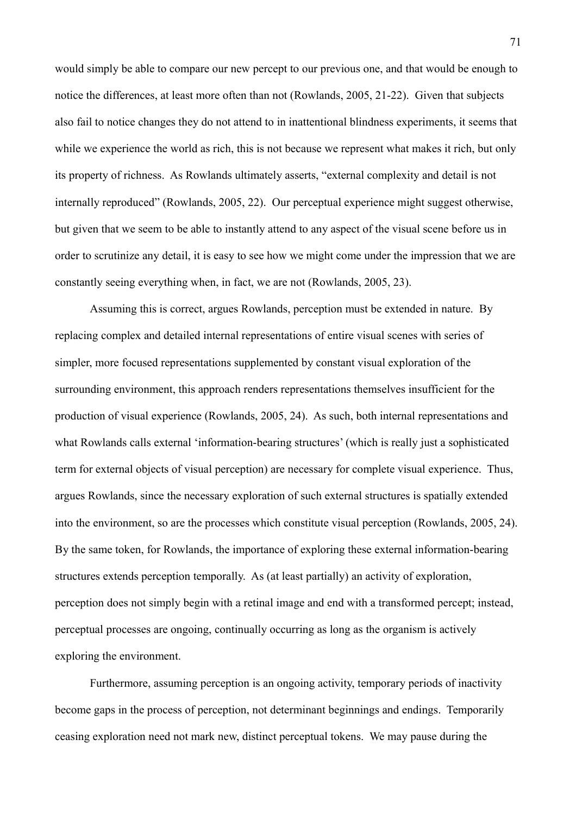would simply be able to compare our new percept to our previous one, and that would be enough to notice the differences, at least more often than not (Rowlands, 2005, 21-22). Given that subjects also fail to notice changes they do not attend to in inattentional blindness experiments, it seems that while we experience the world as rich, this is not because we represent what makes it rich, but only its property of richness. As Rowlands ultimately asserts, "external complexity and detail is not internally reproduced" (Rowlands, 2005, 22). Our perceptual experience might suggest otherwise, but given that we seem to be able to instantly attend to any aspect of the visual scene before us in order to scrutinize any detail, it is easy to see how we might come under the impression that we are constantly seeing everything when, in fact, we are not (Rowlands, 2005, 23).

Assuming this is correct, argues Rowlands, perception must be extended in nature. By replacing complex and detailed internal representations of entire visual scenes with series of simpler, more focused representations supplemented by constant visual exploration of the surrounding environment, this approach renders representations themselves insufficient for the production of visual experience (Rowlands, 2005, 24). As such, both internal representations and what Rowlands calls external 'information-bearing structures' (which is really just a sophisticated term for external objects of visual perception) are necessary for complete visual experience. Thus, argues Rowlands, since the necessary exploration of such external structures is spatially extended into the environment, so are the processes which constitute visual perception (Rowlands, 2005, 24). By the same token, for Rowlands, the importance of exploring these external information-bearing structures extends perception temporally. As (at least partially) an activity of exploration, perception does not simply begin with a retinal image and end with a transformed percept; instead, perceptual processes are ongoing, continually occurring as long as the organism is actively exploring the environment.

Furthermore, assuming perception is an ongoing activity, temporary periods of inactivity become gaps in the process of perception, not determinant beginnings and endings. Temporarily ceasing exploration need not mark new, distinct perceptual tokens. We may pause during the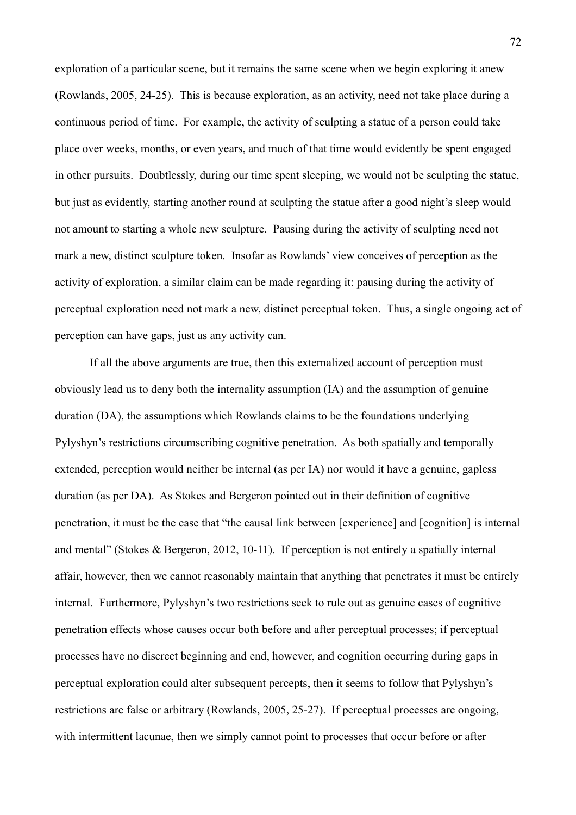exploration of a particular scene, but it remains the same scene when we begin exploring it anew (Rowlands, 2005, 24-25). This is because exploration, as an activity, need not take place during a continuous period of time. For example, the activity of sculpting a statue of a person could take place over weeks, months, or even years, and much of that time would evidently be spent engaged in other pursuits. Doubtlessly, during our time spent sleeping, we would not be sculpting the statue, but just as evidently, starting another round at sculpting the statue after a good night's sleep would not amount to starting a whole new sculpture. Pausing during the activity of sculpting need not mark a new, distinct sculpture token. Insofar as Rowlands' view conceives of perception as the activity of exploration, a similar claim can be made regarding it: pausing during the activity of perceptual exploration need not mark a new, distinct perceptual token. Thus, a single ongoing act of perception can have gaps, just as any activity can.

If all the above arguments are true, then this externalized account of perception must obviously lead us to deny both the internality assumption (IA) and the assumption of genuine duration (DA), the assumptions which Rowlands claims to be the foundations underlying Pylyshyn's restrictions circumscribing cognitive penetration. As both spatially and temporally extended, perception would neither be internal (as per IA) nor would it have a genuine, gapless duration (as per DA). As Stokes and Bergeron pointed out in their definition of cognitive penetration, it must be the case that "the causal link between [experience] and [cognition] is internal and mental" (Stokes & Bergeron, 2012, 10-11). If perception is not entirely a spatially internal affair, however, then we cannot reasonably maintain that anything that penetrates it must be entirely internal. Furthermore, Pylyshyn's two restrictions seek to rule out as genuine cases of cognitive penetration effects whose causes occur both before and after perceptual processes; if perceptual processes have no discreet beginning and end, however, and cognition occurring during gaps in perceptual exploration could alter subsequent percepts, then it seems to follow that Pylyshyn's restrictions are false or arbitrary (Rowlands, 2005, 25-27). If perceptual processes are ongoing, with intermittent lacunae, then we simply cannot point to processes that occur before or after

72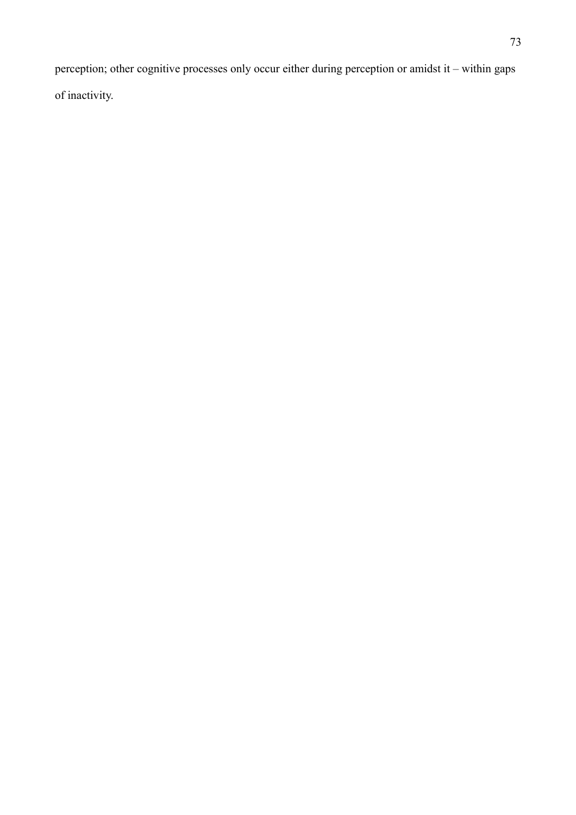perception; other cognitive processes only occur either during perception or amidst it – within gaps of inactivity.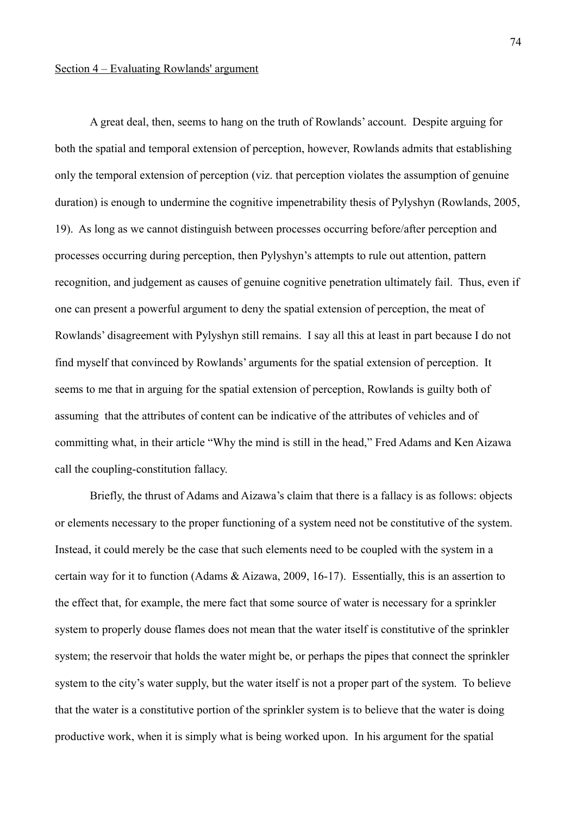# Section 4 – Evaluating Rowlands' argument

A great deal, then, seems to hang on the truth of Rowlands' account. Despite arguing for both the spatial and temporal extension of perception, however, Rowlands admits that establishing only the temporal extension of perception (viz. that perception violates the assumption of genuine duration) is enough to undermine the cognitive impenetrability thesis of Pylyshyn (Rowlands, 2005, 19). As long as we cannot distinguish between processes occurring before/after perception and processes occurring during perception, then Pylyshyn's attempts to rule out attention, pattern recognition, and judgement as causes of genuine cognitive penetration ultimately fail. Thus, even if one can present a powerful argument to deny the spatial extension of perception, the meat of Rowlands' disagreement with Pylyshyn still remains. I say all this at least in part because I do not find myself that convinced by Rowlands' arguments for the spatial extension of perception. It seems to me that in arguing for the spatial extension of perception, Rowlands is guilty both of assuming that the attributes of content can be indicative of the attributes of vehicles and of committing what, in their article "Why the mind is still in the head," Fred Adams and Ken Aizawa call the coupling-constitution fallacy.

Briefly, the thrust of Adams and Aizawa's claim that there is a fallacy is as follows: objects or elements necessary to the proper functioning of a system need not be constitutive of the system. Instead, it could merely be the case that such elements need to be coupled with the system in a certain way for it to function (Adams & Aizawa, 2009, 16-17). Essentially, this is an assertion to the effect that, for example, the mere fact that some source of water is necessary for a sprinkler system to properly douse flames does not mean that the water itself is constitutive of the sprinkler system; the reservoir that holds the water might be, or perhaps the pipes that connect the sprinkler system to the city's water supply, but the water itself is not a proper part of the system. To believe that the water is a constitutive portion of the sprinkler system is to believe that the water is doing productive work, when it is simply what is being worked upon. In his argument for the spatial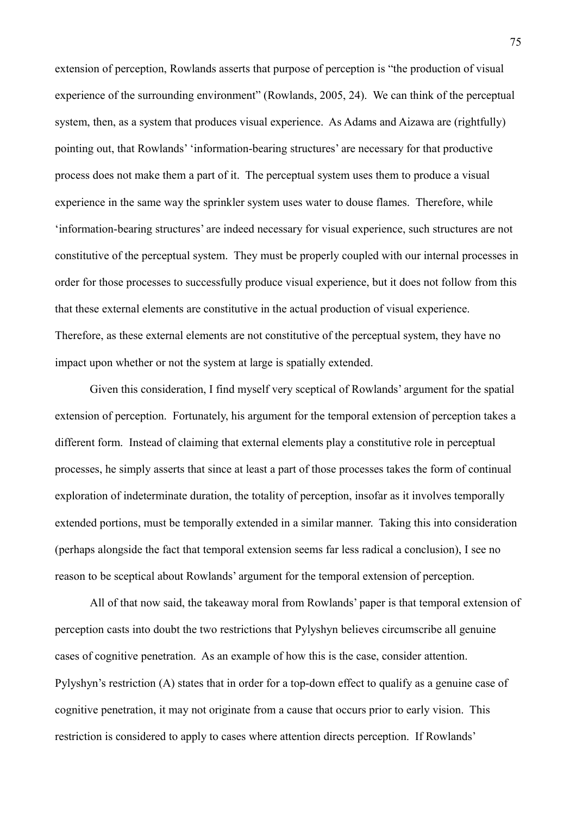extension of perception, Rowlands asserts that purpose of perception is "the production of visual experience of the surrounding environment" (Rowlands, 2005, 24). We can think of the perceptual system, then, as a system that produces visual experience. As Adams and Aizawa are (rightfully) pointing out, that Rowlands' 'information-bearing structures' are necessary for that productive process does not make them a part of it. The perceptual system uses them to produce a visual experience in the same way the sprinkler system uses water to douse flames. Therefore, while 'information-bearing structures' are indeed necessary for visual experience, such structures are not constitutive of the perceptual system. They must be properly coupled with our internal processes in order for those processes to successfully produce visual experience, but it does not follow from this that these external elements are constitutive in the actual production of visual experience. Therefore, as these external elements are not constitutive of the perceptual system, they have no impact upon whether or not the system at large is spatially extended.

Given this consideration, I find myself very sceptical of Rowlands' argument for the spatial extension of perception. Fortunately, his argument for the temporal extension of perception takes a different form. Instead of claiming that external elements play a constitutive role in perceptual processes, he simply asserts that since at least a part of those processes takes the form of continual exploration of indeterminate duration, the totality of perception, insofar as it involves temporally extended portions, must be temporally extended in a similar manner. Taking this into consideration (perhaps alongside the fact that temporal extension seems far less radical a conclusion), I see no reason to be sceptical about Rowlands' argument for the temporal extension of perception.

All of that now said, the takeaway moral from Rowlands' paper is that temporal extension of perception casts into doubt the two restrictions that Pylyshyn believes circumscribe all genuine cases of cognitive penetration. As an example of how this is the case, consider attention. Pylyshyn's restriction (A) states that in order for a top-down effect to qualify as a genuine case of cognitive penetration, it may not originate from a cause that occurs prior to early vision. This restriction is considered to apply to cases where attention directs perception. If Rowlands'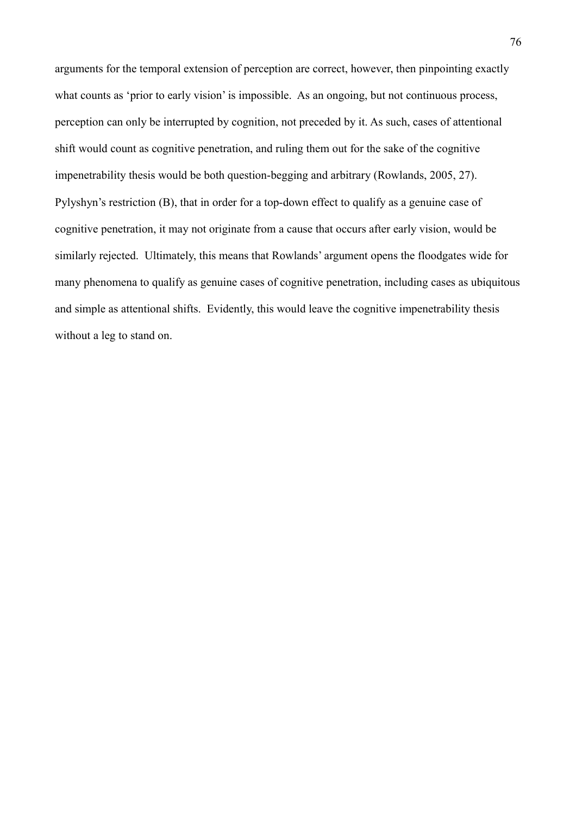arguments for the temporal extension of perception are correct, however, then pinpointing exactly what counts as 'prior to early vision' is impossible. As an ongoing, but not continuous process, perception can only be interrupted by cognition, not preceded by it. As such, cases of attentional shift would count as cognitive penetration, and ruling them out for the sake of the cognitive impenetrability thesis would be both question-begging and arbitrary (Rowlands, 2005, 27). Pylyshyn's restriction (B), that in order for a top-down effect to qualify as a genuine case of cognitive penetration, it may not originate from a cause that occurs after early vision, would be similarly rejected. Ultimately, this means that Rowlands' argument opens the floodgates wide for many phenomena to qualify as genuine cases of cognitive penetration, including cases as ubiquitous and simple as attentional shifts. Evidently, this would leave the cognitive impenetrability thesis without a leg to stand on.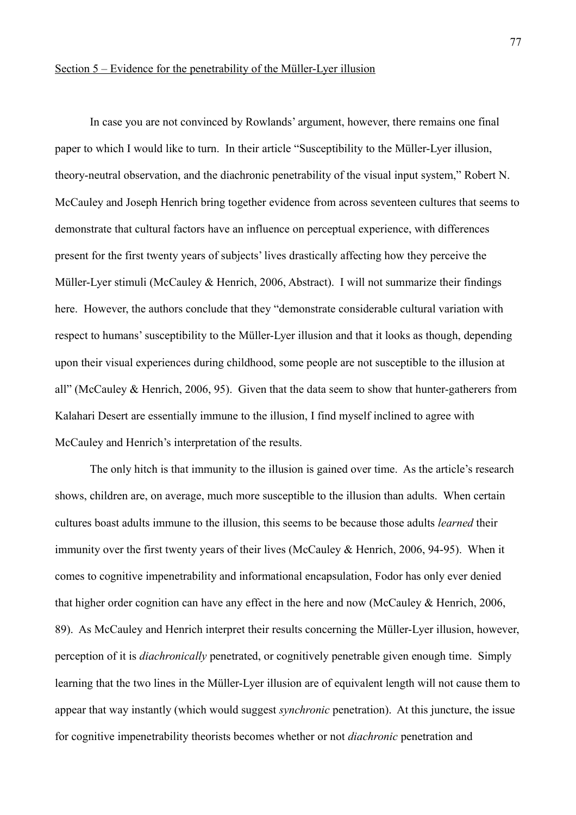# Section 5 – Evidence for the penetrability of the Müller-Lyer illusion

In case you are not convinced by Rowlands' argument, however, there remains one final paper to which I would like to turn. In their article "Susceptibility to the Müller-Lyer illusion, theory-neutral observation, and the diachronic penetrability of the visual input system," Robert N. McCauley and Joseph Henrich bring together evidence from across seventeen cultures that seems to demonstrate that cultural factors have an influence on perceptual experience, with differences present for the first twenty years of subjects' lives drastically affecting how they perceive the Müller-Lyer stimuli (McCauley & Henrich, 2006, Abstract). I will not summarize their findings here. However, the authors conclude that they "demonstrate considerable cultural variation with respect to humans' susceptibility to the Müller-Lyer illusion and that it looks as though, depending upon their visual experiences during childhood, some people are not susceptible to the illusion at all" (McCauley & Henrich, 2006, 95). Given that the data seem to show that hunter-gatherers from Kalahari Desert are essentially immune to the illusion, I find myself inclined to agree with McCauley and Henrich's interpretation of the results.

The only hitch is that immunity to the illusion is gained over time. As the article's research shows, children are, on average, much more susceptible to the illusion than adults. When certain cultures boast adults immune to the illusion, this seems to be because those adults *learned* their immunity over the first twenty years of their lives (McCauley & Henrich, 2006, 94-95). When it comes to cognitive impenetrability and informational encapsulation, Fodor has only ever denied that higher order cognition can have any effect in the here and now (McCauley & Henrich, 2006, 89). As McCauley and Henrich interpret their results concerning the Müller-Lyer illusion, however, perception of it is *diachronically* penetrated, or cognitively penetrable given enough time. Simply learning that the two lines in the Müller-Lyer illusion are of equivalent length will not cause them to appear that way instantly (which would suggest *synchronic* penetration). At this juncture, the issue for cognitive impenetrability theorists becomes whether or not *diachronic* penetration and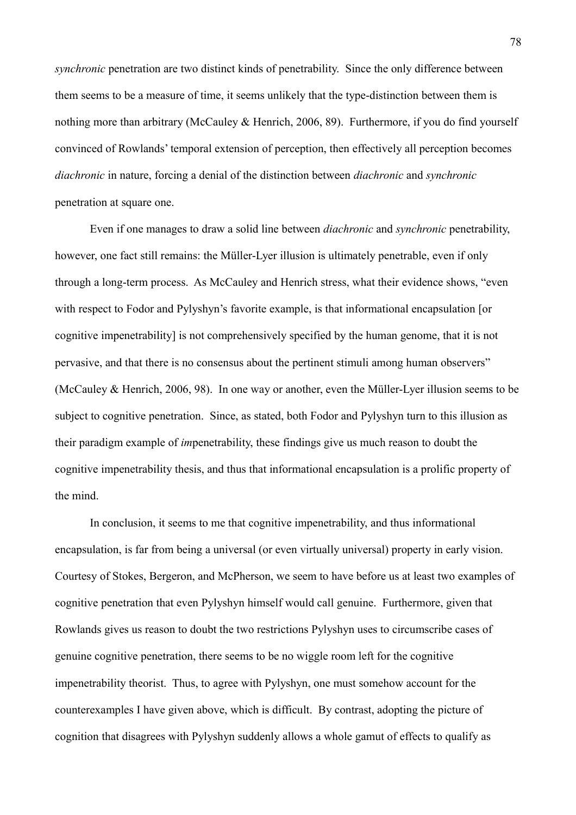*synchronic* penetration are two distinct kinds of penetrability. Since the only difference between them seems to be a measure of time, it seems unlikely that the type-distinction between them is nothing more than arbitrary (McCauley & Henrich, 2006, 89). Furthermore, if you do find yourself convinced of Rowlands' temporal extension of perception, then effectively all perception becomes *diachronic* in nature, forcing a denial of the distinction between *diachronic* and *synchronic* penetration at square one.

Even if one manages to draw a solid line between *diachronic* and *synchronic* penetrability, however, one fact still remains: the Müller-Lyer illusion is ultimately penetrable, even if only through a long-term process. As McCauley and Henrich stress, what their evidence shows, "even with respect to Fodor and Pylyshyn's favorite example, is that informational encapsulation [or cognitive impenetrability] is not comprehensively specified by the human genome, that it is not pervasive, and that there is no consensus about the pertinent stimuli among human observers" (McCauley & Henrich, 2006, 98). In one way or another, even the Müller-Lyer illusion seems to be subject to cognitive penetration. Since, as stated, both Fodor and Pylyshyn turn to this illusion as their paradigm example of *im*penetrability, these findings give us much reason to doubt the cognitive impenetrability thesis, and thus that informational encapsulation is a prolific property of the mind.

In conclusion, it seems to me that cognitive impenetrability, and thus informational encapsulation, is far from being a universal (or even virtually universal) property in early vision. Courtesy of Stokes, Bergeron, and McPherson, we seem to have before us at least two examples of cognitive penetration that even Pylyshyn himself would call genuine. Furthermore, given that Rowlands gives us reason to doubt the two restrictions Pylyshyn uses to circumscribe cases of genuine cognitive penetration, there seems to be no wiggle room left for the cognitive impenetrability theorist. Thus, to agree with Pylyshyn, one must somehow account for the counterexamples I have given above, which is difficult. By contrast, adopting the picture of cognition that disagrees with Pylyshyn suddenly allows a whole gamut of effects to qualify as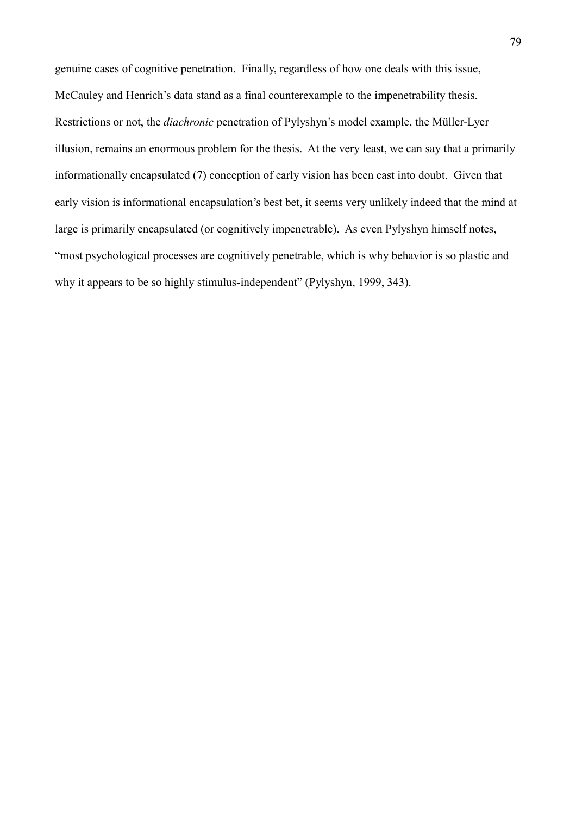genuine cases of cognitive penetration. Finally, regardless of how one deals with this issue, McCauley and Henrich's data stand as a final counterexample to the impenetrability thesis. Restrictions or not, the *diachronic* penetration of Pylyshyn's model example, the Müller-Lyer illusion, remains an enormous problem for the thesis. At the very least, we can say that a primarily informationally encapsulated (7) conception of early vision has been cast into doubt. Given that early vision is informational encapsulation's best bet, it seems very unlikely indeed that the mind at large is primarily encapsulated (or cognitively impenetrable). As even Pylyshyn himself notes, "most psychological processes are cognitively penetrable, which is why behavior is so plastic and why it appears to be so highly stimulus-independent" (Pylyshyn, 1999, 343).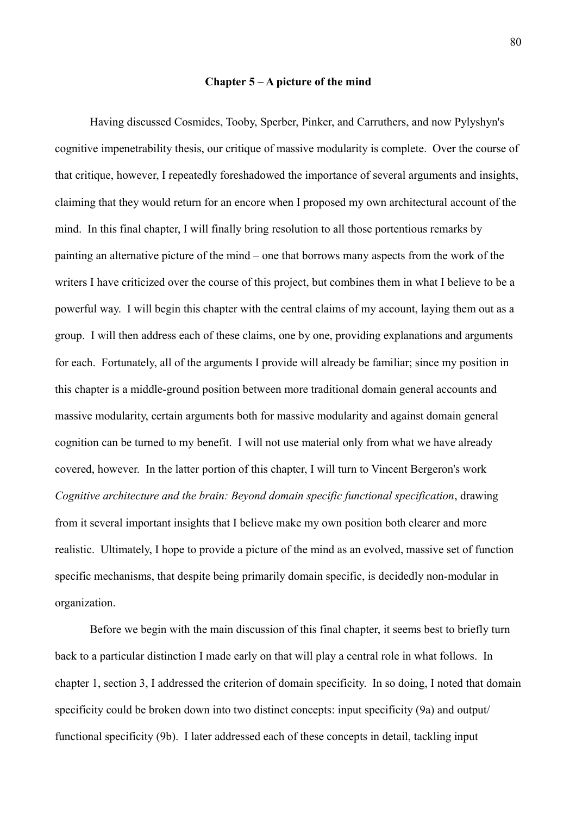#### **Chapter 5 – A picture of the mind**

Having discussed Cosmides, Tooby, Sperber, Pinker, and Carruthers, and now Pylyshyn's cognitive impenetrability thesis, our critique of massive modularity is complete. Over the course of that critique, however, I repeatedly foreshadowed the importance of several arguments and insights, claiming that they would return for an encore when I proposed my own architectural account of the mind. In this final chapter, I will finally bring resolution to all those portentious remarks by painting an alternative picture of the mind – one that borrows many aspects from the work of the writers I have criticized over the course of this project, but combines them in what I believe to be a powerful way. I will begin this chapter with the central claims of my account, laying them out as a group. I will then address each of these claims, one by one, providing explanations and arguments for each. Fortunately, all of the arguments I provide will already be familiar; since my position in this chapter is a middle-ground position between more traditional domain general accounts and massive modularity, certain arguments both for massive modularity and against domain general cognition can be turned to my benefit. I will not use material only from what we have already covered, however. In the latter portion of this chapter, I will turn to Vincent Bergeron's work *Cognitive architecture and the brain: Beyond domain specific functional specification*, drawing from it several important insights that I believe make my own position both clearer and more realistic. Ultimately, I hope to provide a picture of the mind as an evolved, massive set of function specific mechanisms, that despite being primarily domain specific, is decidedly non-modular in organization.

Before we begin with the main discussion of this final chapter, it seems best to briefly turn back to a particular distinction I made early on that will play a central role in what follows. In chapter 1, section 3, I addressed the criterion of domain specificity. In so doing, I noted that domain specificity could be broken down into two distinct concepts: input specificity (9a) and output/ functional specificity (9b). I later addressed each of these concepts in detail, tackling input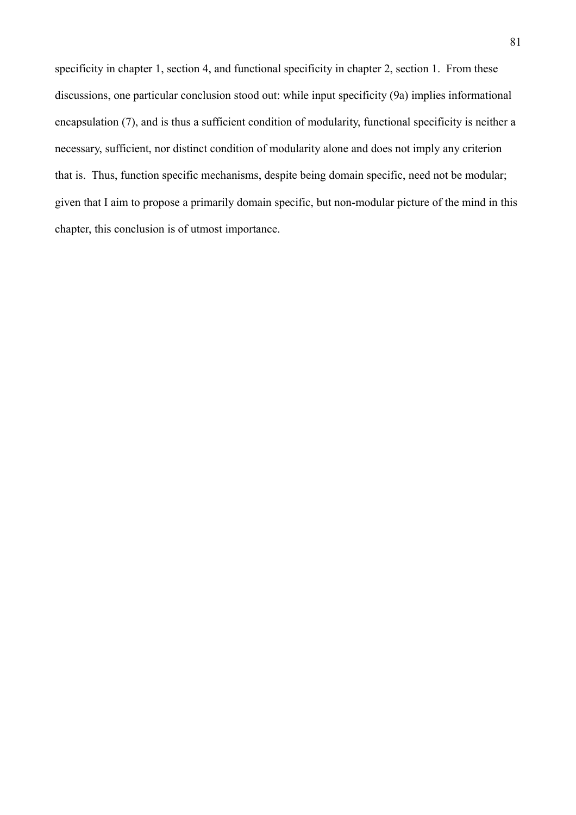specificity in chapter 1, section 4, and functional specificity in chapter 2, section 1. From these discussions, one particular conclusion stood out: while input specificity (9a) implies informational encapsulation (7), and is thus a sufficient condition of modularity, functional specificity is neither a necessary, sufficient, nor distinct condition of modularity alone and does not imply any criterion that is. Thus, function specific mechanisms, despite being domain specific, need not be modular; given that I aim to propose a primarily domain specific, but non-modular picture of the mind in this chapter, this conclusion is of utmost importance.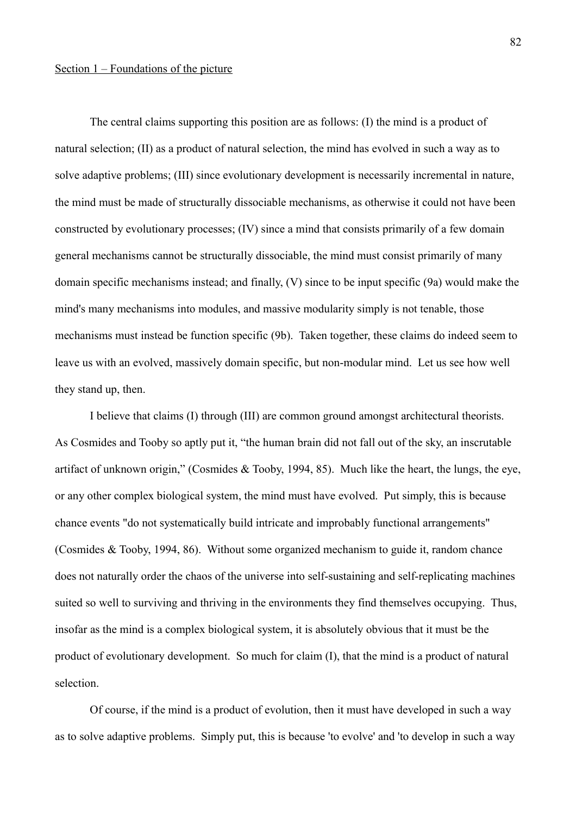# Section 1 – Foundations of the picture

The central claims supporting this position are as follows: (I) the mind is a product of natural selection; (II) as a product of natural selection, the mind has evolved in such a way as to solve adaptive problems; (III) since evolutionary development is necessarily incremental in nature, the mind must be made of structurally dissociable mechanisms, as otherwise it could not have been constructed by evolutionary processes; (IV) since a mind that consists primarily of a few domain general mechanisms cannot be structurally dissociable, the mind must consist primarily of many domain specific mechanisms instead; and finally, (V) since to be input specific (9a) would make the mind's many mechanisms into modules, and massive modularity simply is not tenable, those mechanisms must instead be function specific (9b). Taken together, these claims do indeed seem to leave us with an evolved, massively domain specific, but non-modular mind. Let us see how well they stand up, then.

I believe that claims (I) through (III) are common ground amongst architectural theorists. As Cosmides and Tooby so aptly put it, "the human brain did not fall out of the sky, an inscrutable artifact of unknown origin," (Cosmides & Tooby, 1994, 85). Much like the heart, the lungs, the eye, or any other complex biological system, the mind must have evolved. Put simply, this is because chance events "do not systematically build intricate and improbably functional arrangements" (Cosmides & Tooby, 1994, 86). Without some organized mechanism to guide it, random chance does not naturally order the chaos of the universe into self-sustaining and self-replicating machines suited so well to surviving and thriving in the environments they find themselves occupying. Thus, insofar as the mind is a complex biological system, it is absolutely obvious that it must be the product of evolutionary development. So much for claim (I), that the mind is a product of natural selection.

Of course, if the mind is a product of evolution, then it must have developed in such a way as to solve adaptive problems. Simply put, this is because 'to evolve' and 'to develop in such a way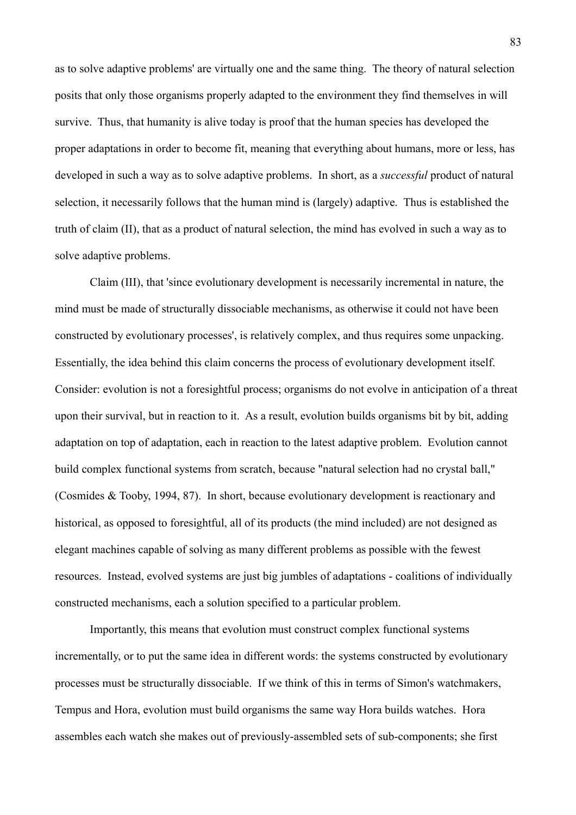as to solve adaptive problems' are virtually one and the same thing. The theory of natural selection posits that only those organisms properly adapted to the environment they find themselves in will survive. Thus, that humanity is alive today is proof that the human species has developed the proper adaptations in order to become fit, meaning that everything about humans, more or less, has developed in such a way as to solve adaptive problems. In short, as a *successful* product of natural selection, it necessarily follows that the human mind is (largely) adaptive. Thus is established the truth of claim (II), that as a product of natural selection, the mind has evolved in such a way as to solve adaptive problems.

Claim (III), that 'since evolutionary development is necessarily incremental in nature, the mind must be made of structurally dissociable mechanisms, as otherwise it could not have been constructed by evolutionary processes', is relatively complex, and thus requires some unpacking. Essentially, the idea behind this claim concerns the process of evolutionary development itself. Consider: evolution is not a foresightful process; organisms do not evolve in anticipation of a threat upon their survival, but in reaction to it. As a result, evolution builds organisms bit by bit, adding adaptation on top of adaptation, each in reaction to the latest adaptive problem. Evolution cannot build complex functional systems from scratch, because "natural selection had no crystal ball," (Cosmides & Tooby, 1994, 87). In short, because evolutionary development is reactionary and historical, as opposed to foresightful, all of its products (the mind included) are not designed as elegant machines capable of solving as many different problems as possible with the fewest resources. Instead, evolved systems are just big jumbles of adaptations - coalitions of individually constructed mechanisms, each a solution specified to a particular problem.

Importantly, this means that evolution must construct complex functional systems incrementally, or to put the same idea in different words: the systems constructed by evolutionary processes must be structurally dissociable. If we think of this in terms of Simon's watchmakers, Tempus and Hora, evolution must build organisms the same way Hora builds watches. Hora assembles each watch she makes out of previously-assembled sets of sub-components; she first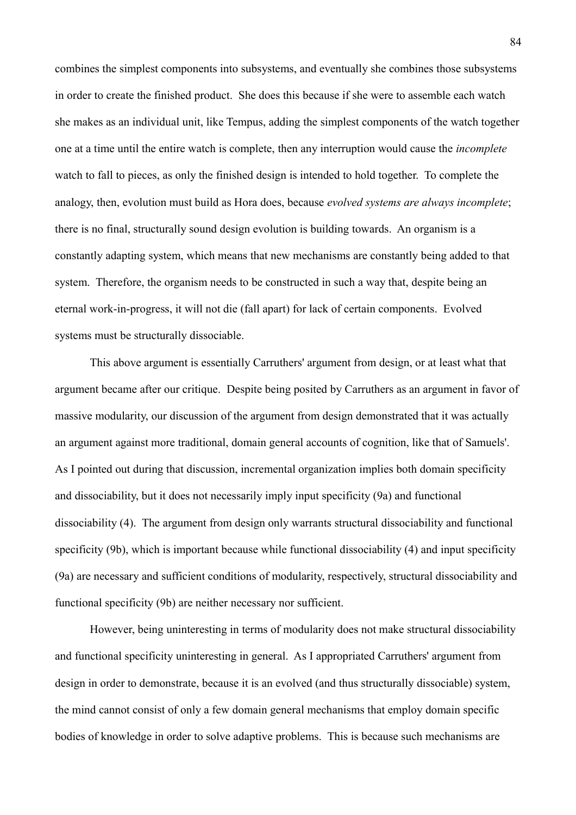combines the simplest components into subsystems, and eventually she combines those subsystems in order to create the finished product. She does this because if she were to assemble each watch she makes as an individual unit, like Tempus, adding the simplest components of the watch together one at a time until the entire watch is complete, then any interruption would cause the *incomplete* watch to fall to pieces, as only the finished design is intended to hold together. To complete the analogy, then, evolution must build as Hora does, because *evolved systems are always incomplete*; there is no final, structurally sound design evolution is building towards. An organism is a constantly adapting system, which means that new mechanisms are constantly being added to that system. Therefore, the organism needs to be constructed in such a way that, despite being an eternal work-in-progress, it will not die (fall apart) for lack of certain components. Evolved systems must be structurally dissociable.

This above argument is essentially Carruthers' argument from design, or at least what that argument became after our critique. Despite being posited by Carruthers as an argument in favor of massive modularity, our discussion of the argument from design demonstrated that it was actually an argument against more traditional, domain general accounts of cognition, like that of Samuels'. As I pointed out during that discussion, incremental organization implies both domain specificity and dissociability, but it does not necessarily imply input specificity (9a) and functional dissociability (4). The argument from design only warrants structural dissociability and functional specificity (9b), which is important because while functional dissociability (4) and input specificity (9a) are necessary and sufficient conditions of modularity, respectively, structural dissociability and functional specificity (9b) are neither necessary nor sufficient.

However, being uninteresting in terms of modularity does not make structural dissociability and functional specificity uninteresting in general. As I appropriated Carruthers' argument from design in order to demonstrate, because it is an evolved (and thus structurally dissociable) system, the mind cannot consist of only a few domain general mechanisms that employ domain specific bodies of knowledge in order to solve adaptive problems. This is because such mechanisms are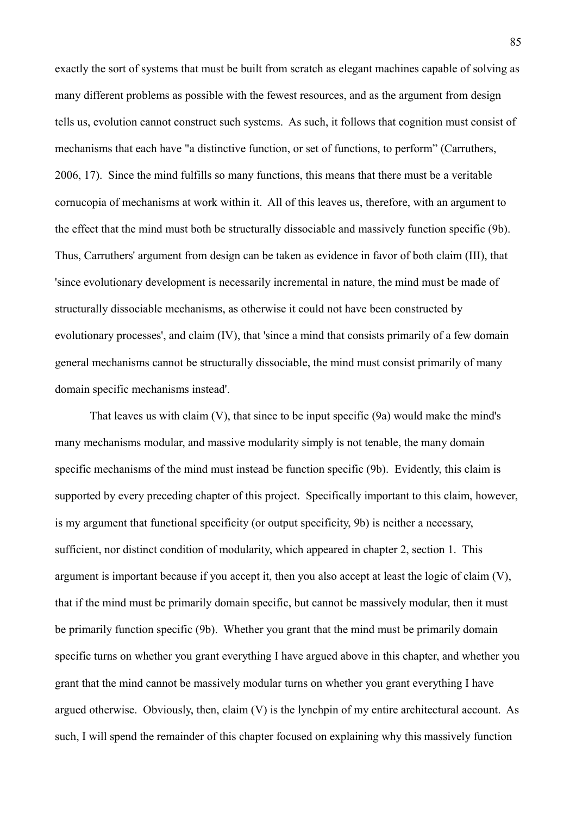exactly the sort of systems that must be built from scratch as elegant machines capable of solving as many different problems as possible with the fewest resources, and as the argument from design tells us, evolution cannot construct such systems. As such, it follows that cognition must consist of mechanisms that each have "a distinctive function, or set of functions, to perform" (Carruthers, 2006, 17). Since the mind fulfills so many functions, this means that there must be a veritable cornucopia of mechanisms at work within it. All of this leaves us, therefore, with an argument to the effect that the mind must both be structurally dissociable and massively function specific (9b). Thus, Carruthers' argument from design can be taken as evidence in favor of both claim (III), that 'since evolutionary development is necessarily incremental in nature, the mind must be made of structurally dissociable mechanisms, as otherwise it could not have been constructed by evolutionary processes', and claim (IV), that 'since a mind that consists primarily of a few domain general mechanisms cannot be structurally dissociable, the mind must consist primarily of many domain specific mechanisms instead'.

That leaves us with claim (V), that since to be input specific (9a) would make the mind's many mechanisms modular, and massive modularity simply is not tenable, the many domain specific mechanisms of the mind must instead be function specific (9b). Evidently, this claim is supported by every preceding chapter of this project. Specifically important to this claim, however, is my argument that functional specificity (or output specificity, 9b) is neither a necessary, sufficient, nor distinct condition of modularity, which appeared in chapter 2, section 1. This argument is important because if you accept it, then you also accept at least the logic of claim (V), that if the mind must be primarily domain specific, but cannot be massively modular, then it must be primarily function specific (9b). Whether you grant that the mind must be primarily domain specific turns on whether you grant everything I have argued above in this chapter, and whether you grant that the mind cannot be massively modular turns on whether you grant everything I have argued otherwise. Obviously, then, claim (V) is the lynchpin of my entire architectural account. As such. I will spend the remainder of this chapter focused on explaining why this massively function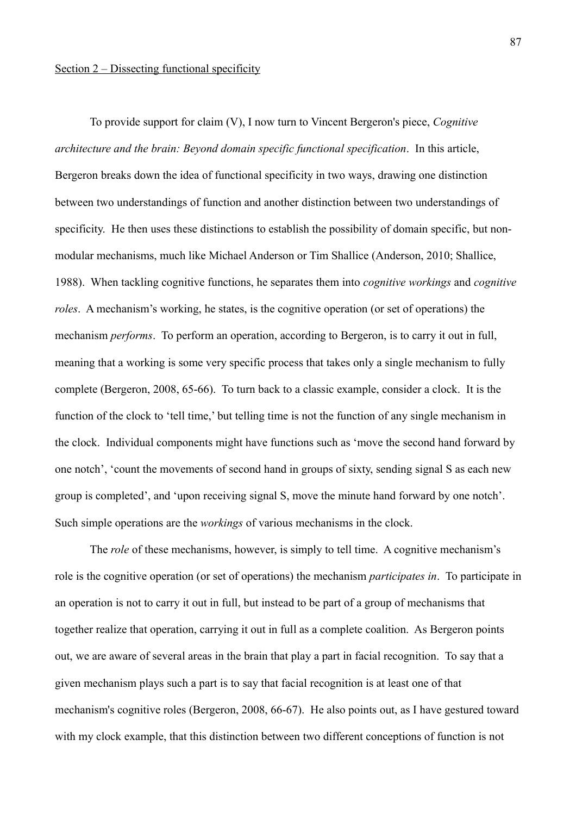# Section 2 – Dissecting functional specificity

To provide support for claim (V), I now turn to Vincent Bergeron's piece, *Cognitive architecture and the brain: Beyond domain specific functional specification*. In this article, Bergeron breaks down the idea of functional specificity in two ways, drawing one distinction between two understandings of function and another distinction between two understandings of specificity. He then uses these distinctions to establish the possibility of domain specific, but nonmodular mechanisms, much like Michael Anderson or Tim Shallice (Anderson, 2010; Shallice, 1988). When tackling cognitive functions, he separates them into *cognitive workings* and *cognitive roles*. A mechanism's working, he states, is the cognitive operation (or set of operations) the mechanism *performs*. To perform an operation, according to Bergeron, is to carry it out in full, meaning that a working is some very specific process that takes only a single mechanism to fully complete (Bergeron, 2008, 65-66). To turn back to a classic example, consider a clock. It is the function of the clock to 'tell time,' but telling time is not the function of any single mechanism in the clock. Individual components might have functions such as 'move the second hand forward by one notch', 'count the movements of second hand in groups of sixty, sending signal S as each new group is completed', and 'upon receiving signal S, move the minute hand forward by one notch'. Such simple operations are the *workings* of various mechanisms in the clock.

The *role* of these mechanisms, however, is simply to tell time. A cognitive mechanism's role is the cognitive operation (or set of operations) the mechanism *participates in*. To participate in an operation is not to carry it out in full, but instead to be part of a group of mechanisms that together realize that operation, carrying it out in full as a complete coalition. As Bergeron points out, we are aware of several areas in the brain that play a part in facial recognition. To say that a given mechanism plays such a part is to say that facial recognition is at least one of that mechanism's cognitive roles (Bergeron, 2008, 66-67). He also points out, as I have gestured toward with my clock example, that this distinction between two different conceptions of function is not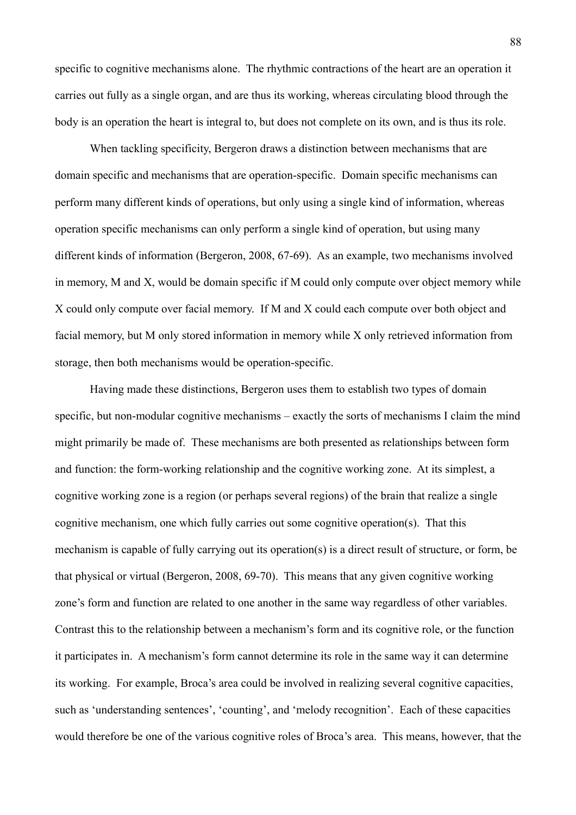specific to cognitive mechanisms alone. The rhythmic contractions of the heart are an operation it carries out fully as a single organ, and are thus its working, whereas circulating blood through the body is an operation the heart is integral to, but does not complete on its own, and is thus its role.

When tackling specificity, Bergeron draws a distinction between mechanisms that are domain specific and mechanisms that are operation-specific. Domain specific mechanisms can perform many different kinds of operations, but only using a single kind of information, whereas operation specific mechanisms can only perform a single kind of operation, but using many different kinds of information (Bergeron, 2008, 67-69). As an example, two mechanisms involved in memory, M and X, would be domain specific if M could only compute over object memory while X could only compute over facial memory. If M and X could each compute over both object and facial memory, but M only stored information in memory while X only retrieved information from storage, then both mechanisms would be operation-specific.

Having made these distinctions, Bergeron uses them to establish two types of domain specific, but non-modular cognitive mechanisms – exactly the sorts of mechanisms I claim the mind might primarily be made of. These mechanisms are both presented as relationships between form and function: the form-working relationship and the cognitive working zone. At its simplest, a cognitive working zone is a region (or perhaps several regions) of the brain that realize a single cognitive mechanism, one which fully carries out some cognitive operation(s). That this mechanism is capable of fully carrying out its operation(s) is a direct result of structure, or form, be that physical or virtual (Bergeron, 2008, 69-70). This means that any given cognitive working zone's form and function are related to one another in the same way regardless of other variables. Contrast this to the relationship between a mechanism's form and its cognitive role, or the function it participates in. A mechanism's form cannot determine its role in the same way it can determine its working. For example, Broca's area could be involved in realizing several cognitive capacities, such as 'understanding sentences', 'counting', and 'melody recognition'. Each of these capacities would therefore be one of the various cognitive roles of Broca's area. This means, however, that the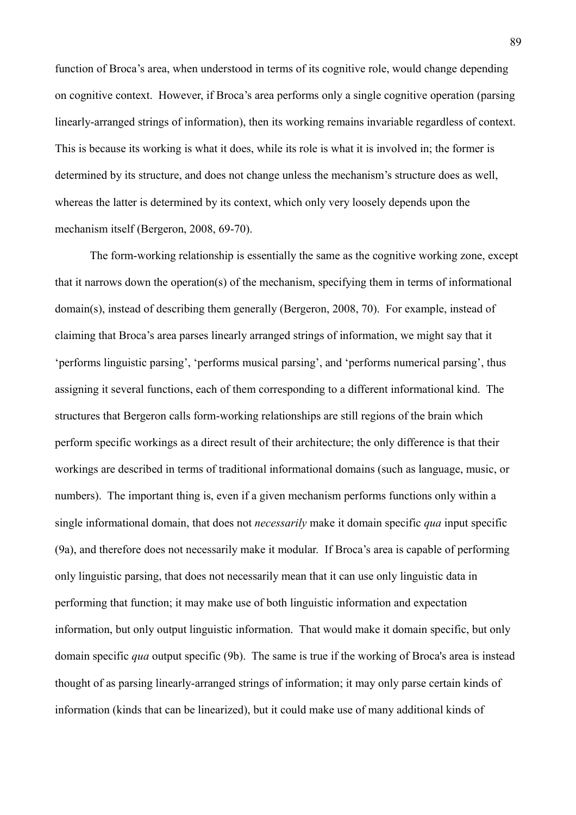function of Broca's area, when understood in terms of its cognitive role, would change depending on cognitive context. However, if Broca's area performs only a single cognitive operation (parsing linearly-arranged strings of information), then its working remains invariable regardless of context. This is because its working is what it does, while its role is what it is involved in; the former is determined by its structure, and does not change unless the mechanism's structure does as well, whereas the latter is determined by its context, which only very loosely depends upon the mechanism itself (Bergeron, 2008, 69-70).

The form-working relationship is essentially the same as the cognitive working zone, except that it narrows down the operation(s) of the mechanism, specifying them in terms of informational domain(s), instead of describing them generally (Bergeron, 2008, 70). For example, instead of claiming that Broca's area parses linearly arranged strings of information, we might say that it 'performs linguistic parsing', 'performs musical parsing', and 'performs numerical parsing', thus assigning it several functions, each of them corresponding to a different informational kind. The structures that Bergeron calls form-working relationships are still regions of the brain which perform specific workings as a direct result of their architecture; the only difference is that their workings are described in terms of traditional informational domains (such as language, music, or numbers). The important thing is, even if a given mechanism performs functions only within a single informational domain, that does not *necessarily* make it domain specific *qua* input specific (9a), and therefore does not necessarily make it modular. If Broca's area is capable of performing only linguistic parsing, that does not necessarily mean that it can use only linguistic data in performing that function; it may make use of both linguistic information and expectation information, but only output linguistic information. That would make it domain specific, but only domain specific *qua* output specific (9b). The same is true if the working of Broca's area is instead thought of as parsing linearly-arranged strings of information; it may only parse certain kinds of information (kinds that can be linearized), but it could make use of many additional kinds of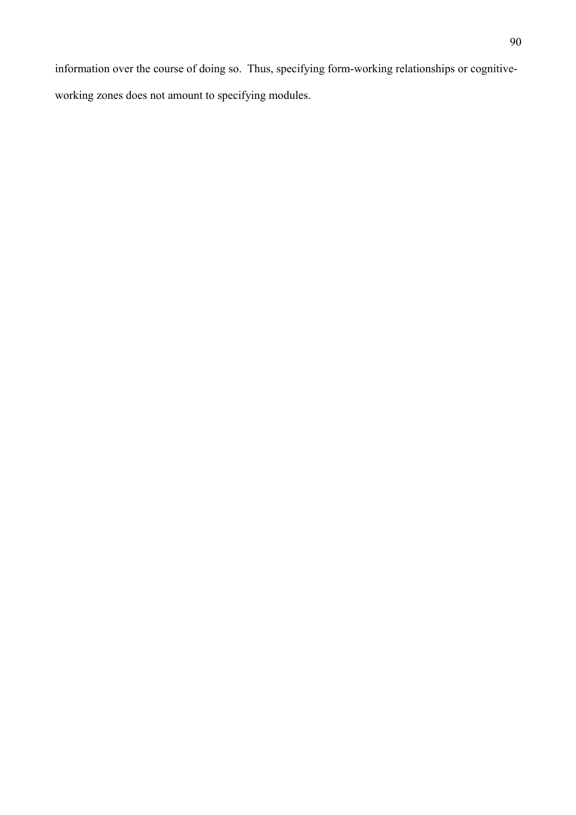information over the course of doing so. Thus, specifying form-working relationships or cognitiveworking zones does not amount to specifying modules.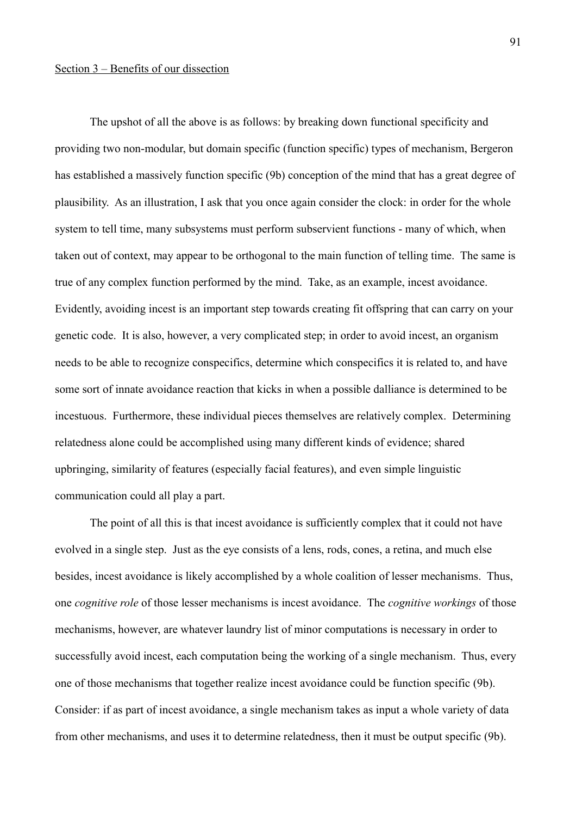The upshot of all the above is as follows: by breaking down functional specificity and providing two non-modular, but domain specific (function specific) types of mechanism, Bergeron has established a massively function specific (9b) conception of the mind that has a great degree of plausibility. As an illustration, I ask that you once again consider the clock: in order for the whole system to tell time, many subsystems must perform subservient functions - many of which, when taken out of context, may appear to be orthogonal to the main function of telling time. The same is true of any complex function performed by the mind. Take, as an example, incest avoidance. Evidently, avoiding incest is an important step towards creating fit offspring that can carry on your genetic code. It is also, however, a very complicated step; in order to avoid incest, an organism needs to be able to recognize conspecifics, determine which conspecifics it is related to, and have some sort of innate avoidance reaction that kicks in when a possible dalliance is determined to be incestuous. Furthermore, these individual pieces themselves are relatively complex. Determining relatedness alone could be accomplished using many different kinds of evidence; shared upbringing, similarity of features (especially facial features), and even simple linguistic communication could all play a part.

The point of all this is that incest avoidance is sufficiently complex that it could not have evolved in a single step. Just as the eye consists of a lens, rods, cones, a retina, and much else besides, incest avoidance is likely accomplished by a whole coalition of lesser mechanisms. Thus, one *cognitive role* of those lesser mechanisms is incest avoidance. The *cognitive workings* of those mechanisms, however, are whatever laundry list of minor computations is necessary in order to successfully avoid incest, each computation being the working of a single mechanism. Thus, every one of those mechanisms that together realize incest avoidance could be function specific (9b). Consider: if as part of incest avoidance, a single mechanism takes as input a whole variety of data from other mechanisms, and uses it to determine relatedness, then it must be output specific (9b).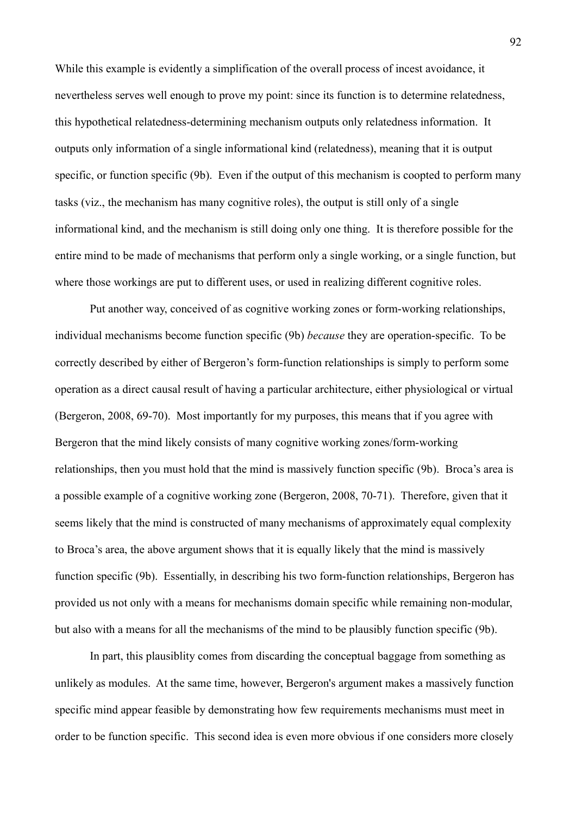While this example is evidently a simplification of the overall process of incest avoidance, it nevertheless serves well enough to prove my point: since its function is to determine relatedness, this hypothetical relatedness-determining mechanism outputs only relatedness information. It outputs only information of a single informational kind (relatedness), meaning that it is output specific, or function specific (9b). Even if the output of this mechanism is coopted to perform many tasks (viz., the mechanism has many cognitive roles), the output is still only of a single informational kind, and the mechanism is still doing only one thing. It is therefore possible for the entire mind to be made of mechanisms that perform only a single working, or a single function, but where those workings are put to different uses, or used in realizing different cognitive roles.

Put another way, conceived of as cognitive working zones or form-working relationships, individual mechanisms become function specific (9b) *because* they are operation-specific. To be correctly described by either of Bergeron's form-function relationships is simply to perform some operation as a direct causal result of having a particular architecture, either physiological or virtual (Bergeron, 2008, 69-70). Most importantly for my purposes, this means that if you agree with Bergeron that the mind likely consists of many cognitive working zones/form-working relationships, then you must hold that the mind is massively function specific (9b). Broca's area is a possible example of a cognitive working zone (Bergeron, 2008, 70-71). Therefore, given that it seems likely that the mind is constructed of many mechanisms of approximately equal complexity to Broca's area, the above argument shows that it is equally likely that the mind is massively function specific (9b). Essentially, in describing his two form-function relationships, Bergeron has provided us not only with a means for mechanisms domain specific while remaining non-modular, but also with a means for all the mechanisms of the mind to be plausibly function specific (9b).

In part, this plausiblity comes from discarding the conceptual baggage from something as unlikely as modules. At the same time, however, Bergeron's argument makes a massively function specific mind appear feasible by demonstrating how few requirements mechanisms must meet in order to be function specific. This second idea is even more obvious if one considers more closely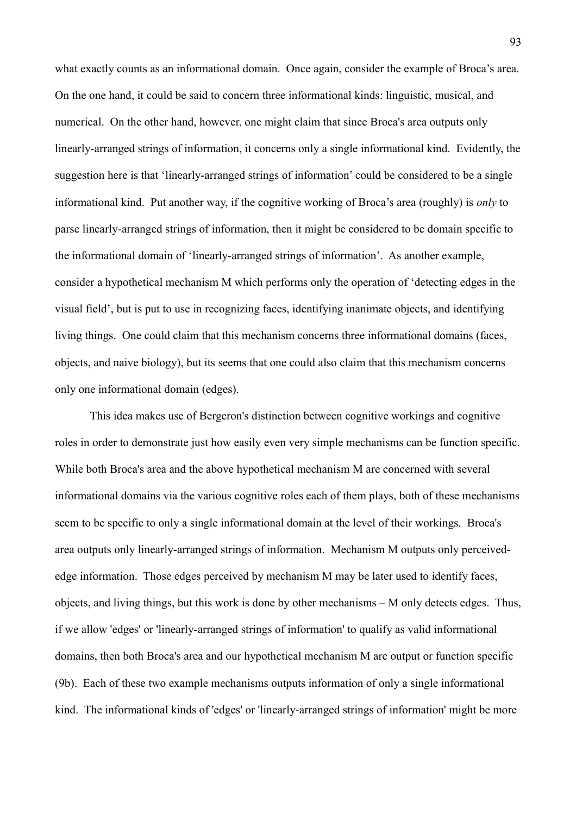what exactly counts as an informational domain. Once again, consider the example of Broca's area. On the one hand, it could be said to concern three informational kinds: linguistic, musical, and numerical. On the other hand, however, one might claim that since Broca's area outputs only linearly-arranged strings of information, it concerns only a single informational kind. Evidently, the suggestion here is that 'linearly-arranged strings of information' could be considered to be a single informational kind. Put another way, if the cognitive working of Broca's area (roughly) is *only* to parse linearly-arranged strings of information, then it might be considered to be domain specific to the informational domain of 'linearly-arranged strings of information'. As another example, consider a hypothetical mechanism M which performs only the operation of 'detecting edges in the visual field', but is put to use in recognizing faces, identifying inanimate objects, and identifying living things. One could claim that this mechanism concerns three informational domains (faces, objects, and naive biology), but its seems that one could also claim that this mechanism concerns only one informational domain (edges).

This idea makes use of Bergeron's distinction between cognitive workings and cognitive roles in order to demonstrate just how easily even very simple mechanisms can be function specific. While both Broca's area and the above hypothetical mechanism M are concerned with several informational domains via the various cognitive roles each of them plays, both of these mechanisms seem to be specific to only a single informational domain at the level of their workings. Broca's area outputs only linearly-arranged strings of information. Mechanism M outputs only perceivededge information. Those edges perceived by mechanism M may be later used to identify faces, objects, and living things, but this work is done by other mechanisms – M only detects edges. Thus, if we allow 'edges' or 'linearly-arranged strings of information' to qualify as valid informational domains, then both Broca's area and our hypothetical mechanism M are output or function specific (9b). Each of these two example mechanisms outputs information of only a single informational kind. The informational kinds of 'edges' or 'linearly-arranged strings of information' might be more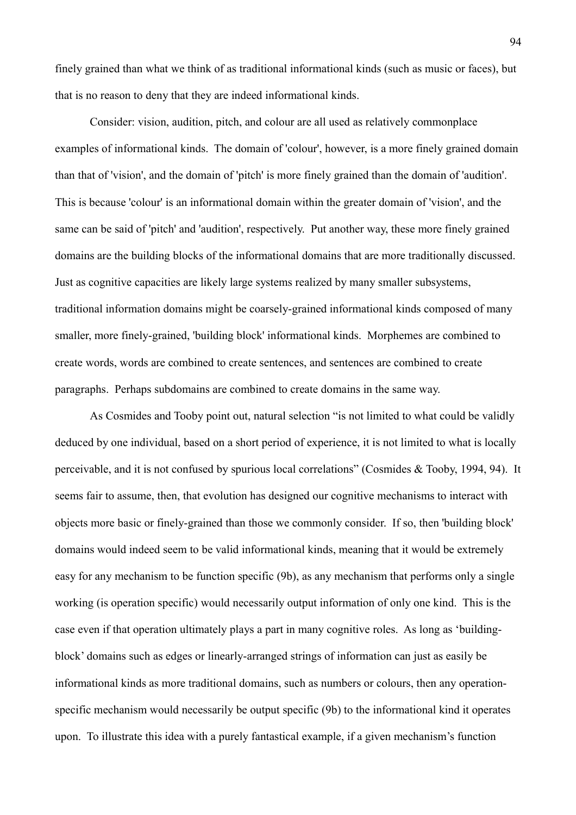finely grained than what we think of as traditional informational kinds (such as music or faces), but that is no reason to deny that they are indeed informational kinds.

Consider: vision, audition, pitch, and colour are all used as relatively commonplace examples of informational kinds. The domain of 'colour', however, is a more finely grained domain than that of 'vision', and the domain of 'pitch' is more finely grained than the domain of 'audition'. This is because 'colour' is an informational domain within the greater domain of 'vision', and the same can be said of 'pitch' and 'audition', respectively. Put another way, these more finely grained domains are the building blocks of the informational domains that are more traditionally discussed. Just as cognitive capacities are likely large systems realized by many smaller subsystems, traditional information domains might be coarsely-grained informational kinds composed of many smaller, more finely-grained, 'building block' informational kinds. Morphemes are combined to create words, words are combined to create sentences, and sentences are combined to create paragraphs. Perhaps subdomains are combined to create domains in the same way.

As Cosmides and Tooby point out, natural selection "is not limited to what could be validly deduced by one individual, based on a short period of experience, it is not limited to what is locally perceivable, and it is not confused by spurious local correlations" (Cosmides & Tooby, 1994, 94). It seems fair to assume, then, that evolution has designed our cognitive mechanisms to interact with objects more basic or finely-grained than those we commonly consider. If so, then 'building block' domains would indeed seem to be valid informational kinds, meaning that it would be extremely easy for any mechanism to be function specific (9b), as any mechanism that performs only a single working (is operation specific) would necessarily output information of only one kind. This is the case even if that operation ultimately plays a part in many cognitive roles. As long as 'buildingblock' domains such as edges or linearly-arranged strings of information can just as easily be informational kinds as more traditional domains, such as numbers or colours, then any operationspecific mechanism would necessarily be output specific (9b) to the informational kind it operates upon. To illustrate this idea with a purely fantastical example, if a given mechanism's function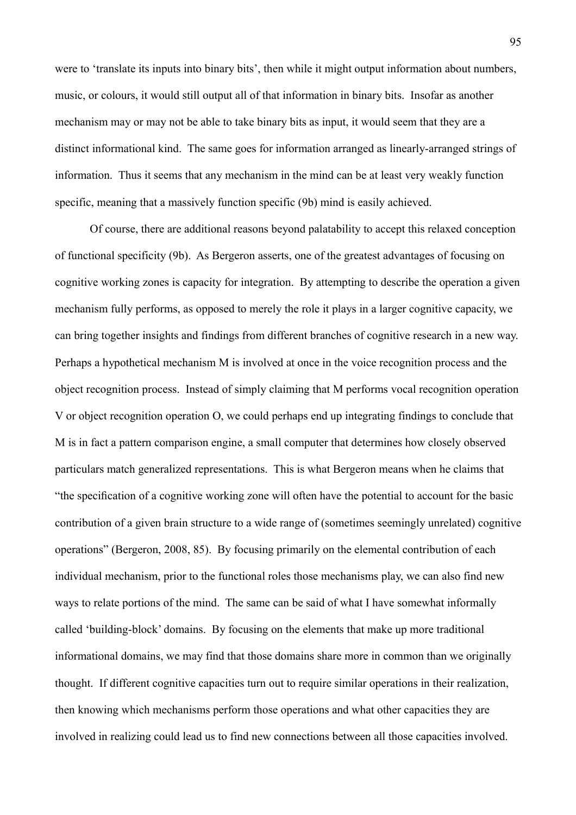were to 'translate its inputs into binary bits', then while it might output information about numbers, music, or colours, it would still output all of that information in binary bits. Insofar as another mechanism may or may not be able to take binary bits as input, it would seem that they are a distinct informational kind. The same goes for information arranged as linearly-arranged strings of information. Thus it seems that any mechanism in the mind can be at least very weakly function specific, meaning that a massively function specific (9b) mind is easily achieved.

Of course, there are additional reasons beyond palatability to accept this relaxed conception of functional specificity (9b). As Bergeron asserts, one of the greatest advantages of focusing on cognitive working zones is capacity for integration. By attempting to describe the operation a given mechanism fully performs, as opposed to merely the role it plays in a larger cognitive capacity, we can bring together insights and findings from different branches of cognitive research in a new way. Perhaps a hypothetical mechanism M is involved at once in the voice recognition process and the object recognition process. Instead of simply claiming that M performs vocal recognition operation V or object recognition operation O, we could perhaps end up integrating findings to conclude that M is in fact a pattern comparison engine, a small computer that determines how closely observed particulars match generalized representations. This is what Bergeron means when he claims that "the specification of a cognitive working zone will often have the potential to account for the basic contribution of a given brain structure to a wide range of (sometimes seemingly unrelated) cognitive operations" (Bergeron, 2008, 85). By focusing primarily on the elemental contribution of each individual mechanism, prior to the functional roles those mechanisms play, we can also find new ways to relate portions of the mind. The same can be said of what I have somewhat informally called 'building-block' domains. By focusing on the elements that make up more traditional informational domains, we may find that those domains share more in common than we originally thought. If different cognitive capacities turn out to require similar operations in their realization, then knowing which mechanisms perform those operations and what other capacities they are involved in realizing could lead us to find new connections between all those capacities involved.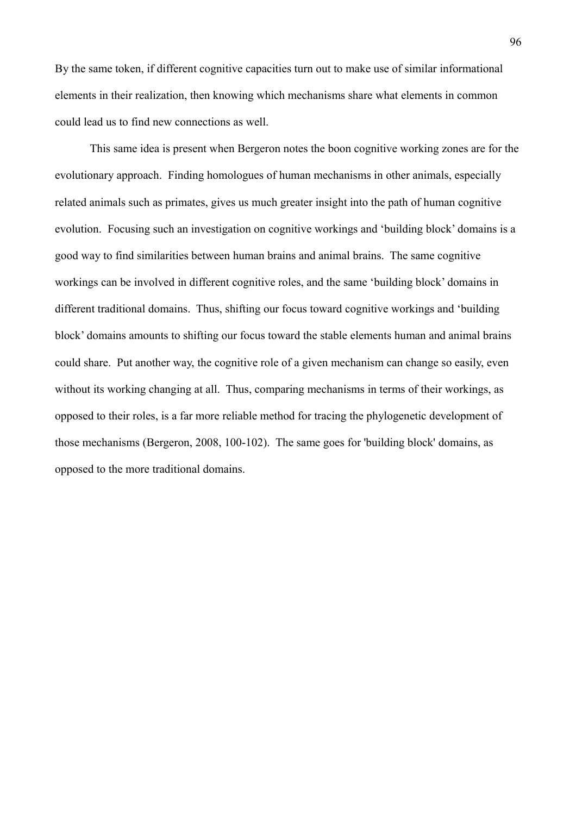By the same token, if different cognitive capacities turn out to make use of similar informational elements in their realization, then knowing which mechanisms share what elements in common could lead us to find new connections as well.

This same idea is present when Bergeron notes the boon cognitive working zones are for the evolutionary approach. Finding homologues of human mechanisms in other animals, especially related animals such as primates, gives us much greater insight into the path of human cognitive evolution. Focusing such an investigation on cognitive workings and 'building block' domains is a good way to find similarities between human brains and animal brains. The same cognitive workings can be involved in different cognitive roles, and the same 'building block' domains in different traditional domains. Thus, shifting our focus toward cognitive workings and 'building block' domains amounts to shifting our focus toward the stable elements human and animal brains could share. Put another way, the cognitive role of a given mechanism can change so easily, even without its working changing at all. Thus, comparing mechanisms in terms of their workings, as opposed to their roles, is a far more reliable method for tracing the phylogenetic development of those mechanisms (Bergeron, 2008, 100-102). The same goes for 'building block' domains, as opposed to the more traditional domains.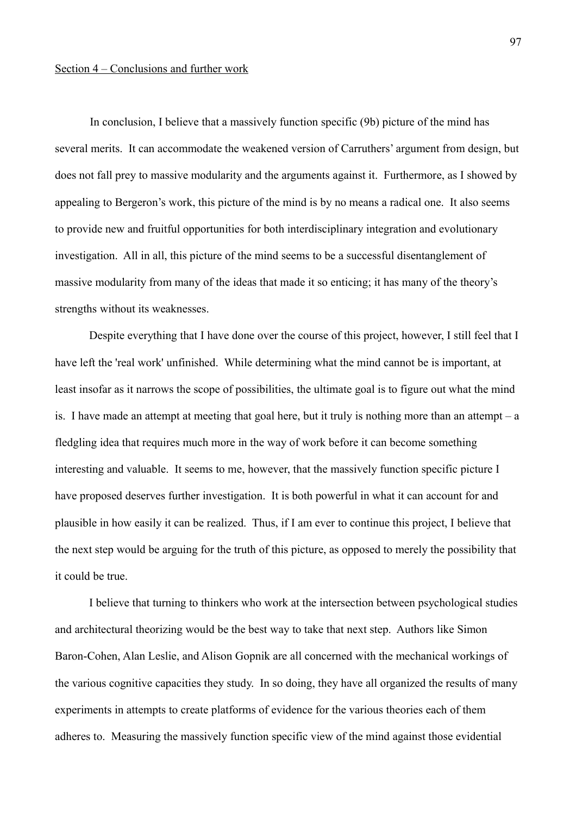# Section 4 – Conclusions and further work

In conclusion, I believe that a massively function specific (9b) picture of the mind has several merits. It can accommodate the weakened version of Carruthers' argument from design, but does not fall prey to massive modularity and the arguments against it. Furthermore, as I showed by appealing to Bergeron's work, this picture of the mind is by no means a radical one. It also seems to provide new and fruitful opportunities for both interdisciplinary integration and evolutionary investigation. All in all, this picture of the mind seems to be a successful disentanglement of massive modularity from many of the ideas that made it so enticing; it has many of the theory's strengths without its weaknesses.

Despite everything that I have done over the course of this project, however, I still feel that I have left the 'real work' unfinished. While determining what the mind cannot be is important, at least insofar as it narrows the scope of possibilities, the ultimate goal is to figure out what the mind is. I have made an attempt at meeting that goal here, but it truly is nothing more than an attempt – a fledgling idea that requires much more in the way of work before it can become something interesting and valuable. It seems to me, however, that the massively function specific picture I have proposed deserves further investigation. It is both powerful in what it can account for and plausible in how easily it can be realized. Thus, if I am ever to continue this project, I believe that the next step would be arguing for the truth of this picture, as opposed to merely the possibility that it could be true.

I believe that turning to thinkers who work at the intersection between psychological studies and architectural theorizing would be the best way to take that next step. Authors like Simon Baron-Cohen, Alan Leslie, and Alison Gopnik are all concerned with the mechanical workings of the various cognitive capacities they study. In so doing, they have all organized the results of many experiments in attempts to create platforms of evidence for the various theories each of them adheres to. Measuring the massively function specific view of the mind against those evidential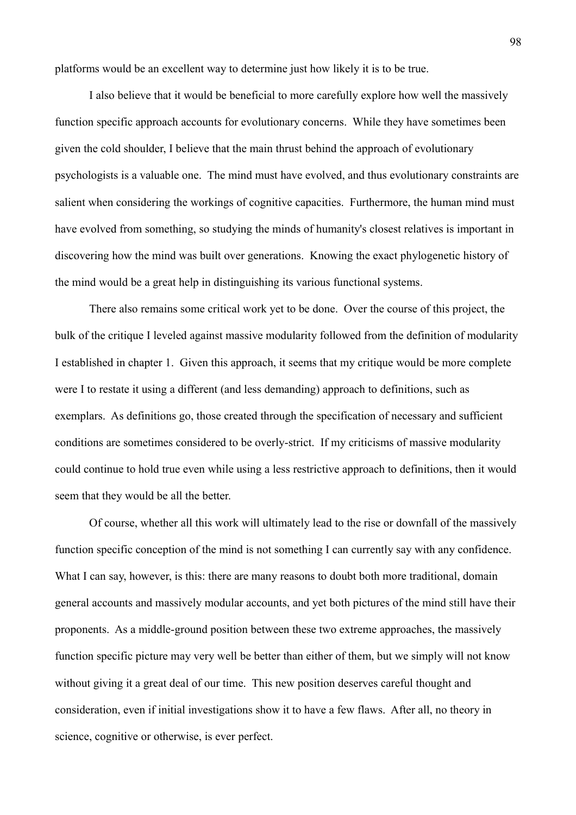platforms would be an excellent way to determine just how likely it is to be true.

I also believe that it would be beneficial to more carefully explore how well the massively function specific approach accounts for evolutionary concerns. While they have sometimes been given the cold shoulder, I believe that the main thrust behind the approach of evolutionary psychologists is a valuable one. The mind must have evolved, and thus evolutionary constraints are salient when considering the workings of cognitive capacities. Furthermore, the human mind must have evolved from something, so studying the minds of humanity's closest relatives is important in discovering how the mind was built over generations. Knowing the exact phylogenetic history of the mind would be a great help in distinguishing its various functional systems.

There also remains some critical work yet to be done. Over the course of this project, the bulk of the critique I leveled against massive modularity followed from the definition of modularity I established in chapter 1. Given this approach, it seems that my critique would be more complete were I to restate it using a different (and less demanding) approach to definitions, such as exemplars. As definitions go, those created through the specification of necessary and sufficient conditions are sometimes considered to be overly-strict. If my criticisms of massive modularity could continue to hold true even while using a less restrictive approach to definitions, then it would seem that they would be all the better.

Of course, whether all this work will ultimately lead to the rise or downfall of the massively function specific conception of the mind is not something I can currently say with any confidence. What I can say, however, is this: there are many reasons to doubt both more traditional, domain general accounts and massively modular accounts, and yet both pictures of the mind still have their proponents. As a middle-ground position between these two extreme approaches, the massively function specific picture may very well be better than either of them, but we simply will not know without giving it a great deal of our time. This new position deserves careful thought and consideration, even if initial investigations show it to have a few flaws. After all, no theory in science, cognitive or otherwise, is ever perfect.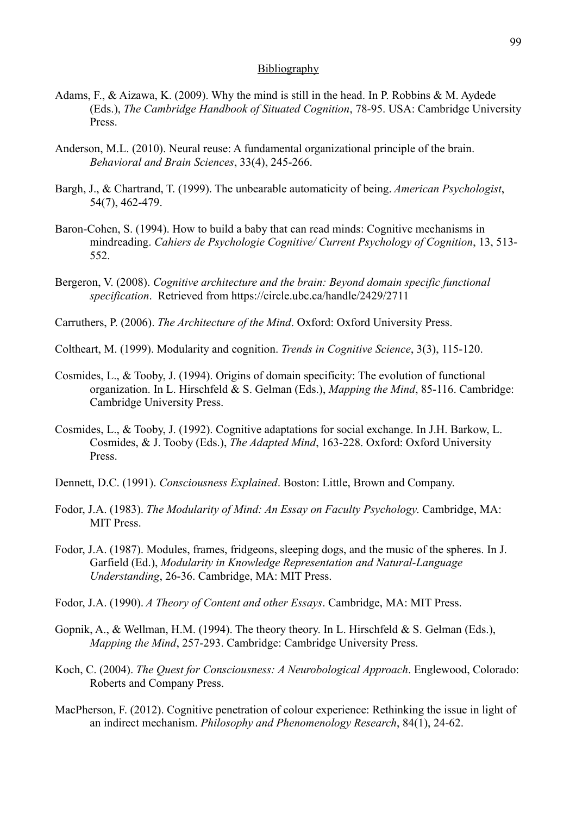# **Bibliography**

- Adams, F., & Aizawa, K. (2009). Why the mind is still in the head. In P. Robbins & M. Aydede (Eds.), *The Cambridge Handbook of Situated Cognition*, 78-95. USA: Cambridge University Press.
- Anderson, M.L. (2010). Neural reuse: A fundamental organizational principle of the brain. *Behavioral and Brain Sciences*, 33(4), 245-266.
- Bargh, J., & Chartrand, T. (1999). The unbearable automaticity of being. *American Psychologist*, 54(7), 462-479.
- Baron-Cohen, S. (1994). How to build a baby that can read minds: Cognitive mechanisms in mindreading. *Cahiers de Psychologie Cognitive/ Current Psychology of Cognition*, 13, 513- 552.
- Bergeron, V. (2008). *Cognitive architecture and the brain: Beyond domain specific functional specification*. Retrieved from https://circle.ubc.ca/handle/2429/2711
- Carruthers, P. (2006). *The Architecture of the Mind*. Oxford: Oxford University Press.
- Coltheart, M. (1999). Modularity and cognition. *Trends in Cognitive Science*, 3(3), 115-120.
- Cosmides, L., & Tooby, J. (1994). Origins of domain specificity: The evolution of functional organization. In L. Hirschfeld & S. Gelman (Eds.), *Mapping the Mind*, 85-116. Cambridge: Cambridge University Press.
- Cosmides, L., & Tooby, J. (1992). Cognitive adaptations for social exchange. In J.H. Barkow, L. Cosmides, & J. Tooby (Eds.), *The Adapted Mind*, 163-228. Oxford: Oxford University Press.
- Dennett, D.C. (1991). *Consciousness Explained*. Boston: Little, Brown and Company.
- Fodor, J.A. (1983). *The Modularity of Mind: An Essay on Faculty Psychology*. Cambridge, MA: MIT Press.
- Fodor, J.A. (1987). Modules, frames, fridgeons, sleeping dogs, and the music of the spheres. In J. Garfield (Ed.), *Modularity in Knowledge Representation and Natural-Language Understanding*, 26-36. Cambridge, MA: MIT Press.
- Fodor, J.A. (1990). *A Theory of Content and other Essays*. Cambridge, MA: MIT Press.
- Gopnik, A., & Wellman, H.M. (1994). The theory theory. In L. Hirschfeld & S. Gelman (Eds.), *Mapping the Mind*, 257-293. Cambridge: Cambridge University Press.
- Koch, C. (2004). *The Quest for Consciousness: A Neurobological Approach*. Englewood, Colorado: Roberts and Company Press.
- MacPherson, F. (2012). Cognitive penetration of colour experience: Rethinking the issue in light of an indirect mechanism. *Philosophy and Phenomenology Research*, 84(1), 24-62.